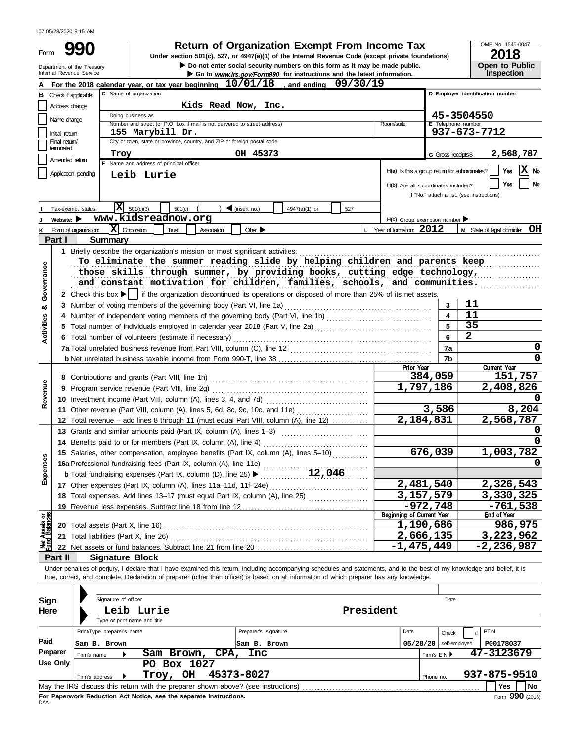107 05/28/2020 9:15 AM

| Form | 9 <sub>l</sub>                                           |
|------|----------------------------------------------------------|
|      | Department of the Treasury<br>Internal Personia Sensical |

# **990 1990 2018 Depending Solution Solution Solution Script Script Script Script Script Script Private foundations)**<br> **P900** Under section 501(c), 527, or 4947(a)(1) of the Internal Revenue Code (except private founda

▶ Do not enter social security numbers on this form as it may be made public. **Open to Public** 

Go to www.irs.gov/Form990 for instructions and the latest information.

**10/01/18 09/30/19 A** For the 2018 calendar year, or tax year beginning  $\frac{10/01/18}{a}$ , and ending **B C D Employer identification number D Employer identification number** Check if applicable: C Name of organization **Kids Read Now, Inc.** Address change Doing business as **45-3504550** Name change Number and street (or P.O. box if mail is not delivered to street address) Room/suite **Telephone** numbe **155 Marybill Dr. 937-673-7712** Initial return Final return/ City or town, state or province, country, and ZIP or foreign postal code terminated **Troy OH 45373 2,568,787** G Gross receipts\$ Amended return Name and address of principal officer: **X** No Application pending **H(a)** Is this a group return for subordinates? **Leib Lurie** Yes **No H(b)** Are all subordinates included? If "No," attach a list. (see instructions)  $\overline{\mathbf{X}}$  501(c)(3)  $\frac{1}{501(c)}$  ( )  $\triangleleft$  (insert no.)  $\frac{1}{1}$  4947(a)(1) or  $\frac{1}{527}$ Tax-exempt status: **I www.kidsreadnow.org Website: H(c)** Group exemption number **J** Corporation Trust Association Other **L** Year of formation: **M** State of legal domicile: **X 2012 OH** Form of organization: **K Part I Summary 1** Briefly describe the organization's mission or most significant activities: . . . . . . . . . . . . . . . . . . . . . . . . . . . . . . . . . . . . . . . . . . . . . . . . . . . . . . . . . . . . . . . . . . . . . . . . . . . . . . . . To eliminate the summer reading slide by helping children and parents keep Governance those skills through summer, by providing books, cutting edge technology, and constant motivation for children, families, schools, and communities. **2** Check this box  $\blacktriangleright$  | if the organization discontinued its operations or disposed of more than 25% of its net assets. **11 3** ಹ **3** Number of voting members of the governing body (Part VI, line 1a) . . . . . . . . . . . . . . . . . . . . . . . . . . . . . . . . . . . . . . . . . . . . . . . . . **11** Activities **4 4** Number of independent voting members of the governing body (Part VI, line 1b) . . . . . . . . . . . . . . . . . . . . . . . . . . . . . . . . . . . **35 5 5** Total number of individuals employed in calendar year 2018 (Part V, line 2a) . . . . . . . . . . . . . . . . . . . . . . . . . . . . . . . . . . . . . . . **6 2 6** Total number of volunteers (estimate if necessary) . . . . . . . . . . . . . . . . . . . . . . . . . . . . . . . . . . . . . . . . . . . . . . . . . . . . . . . . . . . . . . . . . . **0 7a 7a** Total unrelated business revenue from Part VIII, column (C), line 12 . . . . . . . . . . . . . . . . . . . . . . . . . . . . . . . . . . . . . . . . . . . . . . . **0 b** Net unrelated business taxable income from Form 990-T, line 38 . . . . . . . . . . . . . . . . . . . . . . . . . . . . . . . . . . . . . . . . . . . . . . . . . . . **7b Current Year 384,059 151,757 8** Contributions and grants (Part VIII, line 1h) . . . . . . . . . . . . . . . . . . . . . . . . . . . . . . . . . . . . . . . . . . . . . . . . . . . . . Revenue **1,797,186 2,408,826 9** Program service revenue (Part VIII, line 2g) . . . . . . . . . . . . . . . . . . . . . . . . . . . . . . . . . . . . . . . . . . . . . . . . . . . . **0 10** Investment income (Part VIII, column (A), lines 3, 4, and 7d) ................................. **3,586 8,204 11** Other revenue (Part VIII, column (A), lines 5, 6d, 8c, 9c, 10c, and 11e) **.................... 2,184,831 2,568,787 12** Total revenue – add lines 8 through 11 (must equal Part VIII, column (A), line 12) ............ **0 13** Grants and similar amounts paid (Part IX, column (A), lines 1–3) .............................. **0 14** Benefits paid to or for members (Part IX, column (A), line 4) . . . . . . . . . . . . . . . . . . . . . . . . . . . . . . . . . . . **676,039 1,003,782 15** Salaries, other compensation, employee benefits (Part IX, column (A), lines 5–10) ........... Expenses **0 16a** Professional fundraising fees (Part IX, column (A), line 11e) . . . . . . . . . . . . . . . . . . . . . . . . . . . . . . . . . . . **12,046 b** Total fundraising expenses (Part IX, column (D), line 25) . . . . . . . . . . . . . . . . . . . . . . . . . . . . . . . . . . . . **2,481,540 2,326,543 17** Other expenses (Part IX, column (A), lines 11a–11d, 11f–24e) .................................. **3,157,579 3,330,325** Total expenses. Add lines 13–17 (must equal Part IX, column (A), line 25) **18** . . . . . . . . . . . . . . . . . . . . **-972,748** -761,538<br>Beginning of Current Year End of Year **19** Revenue less expenses. Subtract line 18 from line 12 . . . . . . . . . . . . . . . . . . . . . . . . . . . . . . . . . . . . . . . . . . ៦} **1,190,686 986,975 20** Total assets (Part X, line 16) . . . . . . . . . . . . . . . . . . . . . . . . . . . . . . . . . . . . . . . . . . . . . . . . . . . . . . . . . . . . . . . . . . . . **2,666,135 3,223,962 21** Total liabilities (Part X, line 26) . . . . . . . . . . . . . . . . . . . . . . . . . . . . . . . . . . . . . . . . . . . . . . . . . . . . . . . . . . . . . . . . . . ጀ **-1,475,449 -2,236,987 22** Net assets or fund balances. Subtract line 21 from line 20 . . . . . . . . . . . . . . . . . . . . . . . . . . . . . . . . . . . . . **Part II Signature Block** Under penalties of perjury, I declare that I have examined this return, including accompanying schedules and statements, and to the best of my knowledge and belief, it is true, correct, and complete. Declaration of preparer (other than officer) is based on all information of which preparer has any knowledge.

| Sign       | Signature of officer         |                                                                                   |                      |  |              | Date          |                 |
|------------|------------------------------|-----------------------------------------------------------------------------------|----------------------|--|--------------|---------------|-----------------|
| Here       |                              | Leib Lurie                                                                        |                      |  |              |               |                 |
|            | Type or print name and title |                                                                                   |                      |  |              |               |                 |
|            | Print/Type preparer's name   |                                                                                   | Preparer's signature |  | Date         | Check         | PTIN            |
| Paid       | Sam B. Brown                 |                                                                                   | Sam B. Brown         |  | 05/28/20     | self-employed | P00178037       |
| Preparer   | Firm's name                  | Sam Brown, CPA,                                                                   | Inc                  |  | Firm's EIN ▶ |               | 47-3123679      |
| Use Only   |                              | Box 1027<br>PO.                                                                   |                      |  |              |               |                 |
|            | Firm's address               | <b>OH</b><br>Troy,                                                                | 45373-8027           |  | Phone no.    |               | 937-875-9510    |
|            |                              | May the IRS discuss this return with the preparer shown above? (see instructions) |                      |  |              |               | No<br>Yes       |
| <b>DAA</b> |                              | For Paperwork Reduction Act Notice, see the separate instructions.                |                      |  |              |               | Form 990 (2018) |

OMB No. 1545-0047

**Inspection**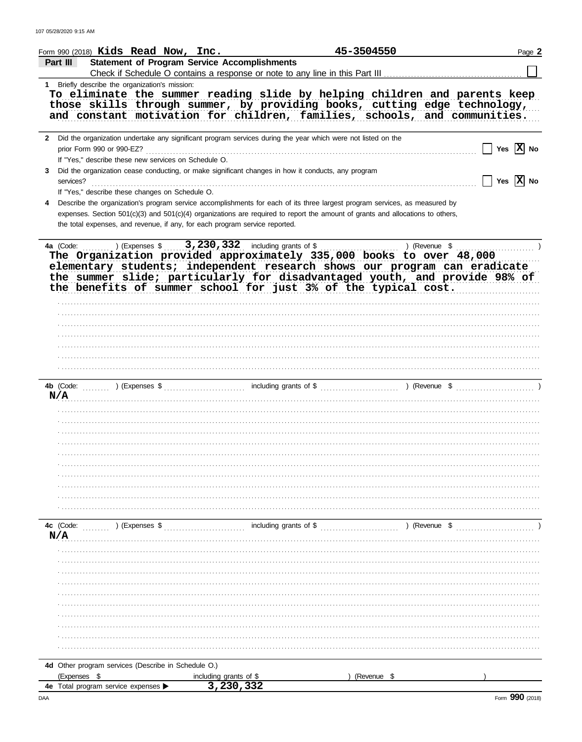| <b>Statement of Program Service Accomplishments</b><br>Part III<br>1 Briefly describe the organization's mission:<br>To eliminate the summer reading slide by helping children and parents keep<br>those skills through summer, by providing books, cutting edge technology,<br>and constant motivation for children, families, schools, and communities.<br>2 Did the organization undertake any significant program services during the year which were not listed on the<br>Yes $ X $ No<br>prior Form 990 or 990-EZ?<br>If "Yes," describe these new services on Schedule O.<br>Did the organization cease conducting, or make significant changes in how it conducts, any program<br>3.<br>Yes $ \mathbf{X} $ No<br>services?<br>If "Yes," describe these changes on Schedule O.<br>Describe the organization's program service accomplishments for each of its three largest program services, as measured by<br>expenses. Section 501(c)(3) and 501(c)(4) organizations are required to report the amount of grants and allocations to others,<br>the total expenses, and revenue, if any, for each program service reported.<br>3, 230, 332 including grants of \$<br>4a (Code:<br>) (Expenses \$<br>) (Revenue \$<br>The Organization provided approximately 335,000 books to over 48,000<br>elementary students; independent research shows our program can eradicate<br>the summer slide; particularly for disadvantaged youth, and provide 98% of<br>the benefits of summer school for just 3% of the typical cost.<br>including grants of \$<br>) (Revenue \$<br>4b (Code:<br>) (Expenses \$<br>N/A<br>including grants of \$<br>4c (Code:<br>) (Expenses \$<br>) (Revenue \$<br>N/A<br>4d Other program services (Describe in Schedule O.)<br>(Expenses \$<br>(Revenue \$<br>including grants of \$ | Form 990 (2018) $Kids$ Read Now, Inc. |           | 45-3504550 | Page 2 |
|-------------------------------------------------------------------------------------------------------------------------------------------------------------------------------------------------------------------------------------------------------------------------------------------------------------------------------------------------------------------------------------------------------------------------------------------------------------------------------------------------------------------------------------------------------------------------------------------------------------------------------------------------------------------------------------------------------------------------------------------------------------------------------------------------------------------------------------------------------------------------------------------------------------------------------------------------------------------------------------------------------------------------------------------------------------------------------------------------------------------------------------------------------------------------------------------------------------------------------------------------------------------------------------------------------------------------------------------------------------------------------------------------------------------------------------------------------------------------------------------------------------------------------------------------------------------------------------------------------------------------------------------------------------------------------------------------------------------------------------------------------------------------------------------------------------------|---------------------------------------|-----------|------------|--------|
|                                                                                                                                                                                                                                                                                                                                                                                                                                                                                                                                                                                                                                                                                                                                                                                                                                                                                                                                                                                                                                                                                                                                                                                                                                                                                                                                                                                                                                                                                                                                                                                                                                                                                                                                                                                                                   |                                       |           |            |        |
|                                                                                                                                                                                                                                                                                                                                                                                                                                                                                                                                                                                                                                                                                                                                                                                                                                                                                                                                                                                                                                                                                                                                                                                                                                                                                                                                                                                                                                                                                                                                                                                                                                                                                                                                                                                                                   |                                       |           |            |        |
|                                                                                                                                                                                                                                                                                                                                                                                                                                                                                                                                                                                                                                                                                                                                                                                                                                                                                                                                                                                                                                                                                                                                                                                                                                                                                                                                                                                                                                                                                                                                                                                                                                                                                                                                                                                                                   |                                       |           |            |        |
|                                                                                                                                                                                                                                                                                                                                                                                                                                                                                                                                                                                                                                                                                                                                                                                                                                                                                                                                                                                                                                                                                                                                                                                                                                                                                                                                                                                                                                                                                                                                                                                                                                                                                                                                                                                                                   |                                       |           |            |        |
|                                                                                                                                                                                                                                                                                                                                                                                                                                                                                                                                                                                                                                                                                                                                                                                                                                                                                                                                                                                                                                                                                                                                                                                                                                                                                                                                                                                                                                                                                                                                                                                                                                                                                                                                                                                                                   |                                       |           |            |        |
|                                                                                                                                                                                                                                                                                                                                                                                                                                                                                                                                                                                                                                                                                                                                                                                                                                                                                                                                                                                                                                                                                                                                                                                                                                                                                                                                                                                                                                                                                                                                                                                                                                                                                                                                                                                                                   |                                       |           |            |        |
|                                                                                                                                                                                                                                                                                                                                                                                                                                                                                                                                                                                                                                                                                                                                                                                                                                                                                                                                                                                                                                                                                                                                                                                                                                                                                                                                                                                                                                                                                                                                                                                                                                                                                                                                                                                                                   |                                       |           |            |        |
|                                                                                                                                                                                                                                                                                                                                                                                                                                                                                                                                                                                                                                                                                                                                                                                                                                                                                                                                                                                                                                                                                                                                                                                                                                                                                                                                                                                                                                                                                                                                                                                                                                                                                                                                                                                                                   |                                       |           |            |        |
|                                                                                                                                                                                                                                                                                                                                                                                                                                                                                                                                                                                                                                                                                                                                                                                                                                                                                                                                                                                                                                                                                                                                                                                                                                                                                                                                                                                                                                                                                                                                                                                                                                                                                                                                                                                                                   |                                       |           |            |        |
|                                                                                                                                                                                                                                                                                                                                                                                                                                                                                                                                                                                                                                                                                                                                                                                                                                                                                                                                                                                                                                                                                                                                                                                                                                                                                                                                                                                                                                                                                                                                                                                                                                                                                                                                                                                                                   |                                       |           |            |        |
|                                                                                                                                                                                                                                                                                                                                                                                                                                                                                                                                                                                                                                                                                                                                                                                                                                                                                                                                                                                                                                                                                                                                                                                                                                                                                                                                                                                                                                                                                                                                                                                                                                                                                                                                                                                                                   |                                       |           |            |        |
|                                                                                                                                                                                                                                                                                                                                                                                                                                                                                                                                                                                                                                                                                                                                                                                                                                                                                                                                                                                                                                                                                                                                                                                                                                                                                                                                                                                                                                                                                                                                                                                                                                                                                                                                                                                                                   |                                       |           |            |        |
|                                                                                                                                                                                                                                                                                                                                                                                                                                                                                                                                                                                                                                                                                                                                                                                                                                                                                                                                                                                                                                                                                                                                                                                                                                                                                                                                                                                                                                                                                                                                                                                                                                                                                                                                                                                                                   |                                       |           |            |        |
|                                                                                                                                                                                                                                                                                                                                                                                                                                                                                                                                                                                                                                                                                                                                                                                                                                                                                                                                                                                                                                                                                                                                                                                                                                                                                                                                                                                                                                                                                                                                                                                                                                                                                                                                                                                                                   |                                       |           |            |        |
|                                                                                                                                                                                                                                                                                                                                                                                                                                                                                                                                                                                                                                                                                                                                                                                                                                                                                                                                                                                                                                                                                                                                                                                                                                                                                                                                                                                                                                                                                                                                                                                                                                                                                                                                                                                                                   |                                       |           |            |        |
|                                                                                                                                                                                                                                                                                                                                                                                                                                                                                                                                                                                                                                                                                                                                                                                                                                                                                                                                                                                                                                                                                                                                                                                                                                                                                                                                                                                                                                                                                                                                                                                                                                                                                                                                                                                                                   |                                       |           |            |        |
|                                                                                                                                                                                                                                                                                                                                                                                                                                                                                                                                                                                                                                                                                                                                                                                                                                                                                                                                                                                                                                                                                                                                                                                                                                                                                                                                                                                                                                                                                                                                                                                                                                                                                                                                                                                                                   |                                       |           |            |        |
|                                                                                                                                                                                                                                                                                                                                                                                                                                                                                                                                                                                                                                                                                                                                                                                                                                                                                                                                                                                                                                                                                                                                                                                                                                                                                                                                                                                                                                                                                                                                                                                                                                                                                                                                                                                                                   |                                       |           |            |        |
|                                                                                                                                                                                                                                                                                                                                                                                                                                                                                                                                                                                                                                                                                                                                                                                                                                                                                                                                                                                                                                                                                                                                                                                                                                                                                                                                                                                                                                                                                                                                                                                                                                                                                                                                                                                                                   |                                       |           |            |        |
|                                                                                                                                                                                                                                                                                                                                                                                                                                                                                                                                                                                                                                                                                                                                                                                                                                                                                                                                                                                                                                                                                                                                                                                                                                                                                                                                                                                                                                                                                                                                                                                                                                                                                                                                                                                                                   |                                       |           |            |        |
|                                                                                                                                                                                                                                                                                                                                                                                                                                                                                                                                                                                                                                                                                                                                                                                                                                                                                                                                                                                                                                                                                                                                                                                                                                                                                                                                                                                                                                                                                                                                                                                                                                                                                                                                                                                                                   |                                       |           |            |        |
|                                                                                                                                                                                                                                                                                                                                                                                                                                                                                                                                                                                                                                                                                                                                                                                                                                                                                                                                                                                                                                                                                                                                                                                                                                                                                                                                                                                                                                                                                                                                                                                                                                                                                                                                                                                                                   |                                       |           |            |        |
|                                                                                                                                                                                                                                                                                                                                                                                                                                                                                                                                                                                                                                                                                                                                                                                                                                                                                                                                                                                                                                                                                                                                                                                                                                                                                                                                                                                                                                                                                                                                                                                                                                                                                                                                                                                                                   |                                       |           |            |        |
|                                                                                                                                                                                                                                                                                                                                                                                                                                                                                                                                                                                                                                                                                                                                                                                                                                                                                                                                                                                                                                                                                                                                                                                                                                                                                                                                                                                                                                                                                                                                                                                                                                                                                                                                                                                                                   |                                       |           |            |        |
|                                                                                                                                                                                                                                                                                                                                                                                                                                                                                                                                                                                                                                                                                                                                                                                                                                                                                                                                                                                                                                                                                                                                                                                                                                                                                                                                                                                                                                                                                                                                                                                                                                                                                                                                                                                                                   |                                       |           |            |        |
|                                                                                                                                                                                                                                                                                                                                                                                                                                                                                                                                                                                                                                                                                                                                                                                                                                                                                                                                                                                                                                                                                                                                                                                                                                                                                                                                                                                                                                                                                                                                                                                                                                                                                                                                                                                                                   |                                       |           |            |        |
|                                                                                                                                                                                                                                                                                                                                                                                                                                                                                                                                                                                                                                                                                                                                                                                                                                                                                                                                                                                                                                                                                                                                                                                                                                                                                                                                                                                                                                                                                                                                                                                                                                                                                                                                                                                                                   |                                       |           |            |        |
|                                                                                                                                                                                                                                                                                                                                                                                                                                                                                                                                                                                                                                                                                                                                                                                                                                                                                                                                                                                                                                                                                                                                                                                                                                                                                                                                                                                                                                                                                                                                                                                                                                                                                                                                                                                                                   |                                       |           |            |        |
|                                                                                                                                                                                                                                                                                                                                                                                                                                                                                                                                                                                                                                                                                                                                                                                                                                                                                                                                                                                                                                                                                                                                                                                                                                                                                                                                                                                                                                                                                                                                                                                                                                                                                                                                                                                                                   |                                       |           |            |        |
|                                                                                                                                                                                                                                                                                                                                                                                                                                                                                                                                                                                                                                                                                                                                                                                                                                                                                                                                                                                                                                                                                                                                                                                                                                                                                                                                                                                                                                                                                                                                                                                                                                                                                                                                                                                                                   |                                       |           |            |        |
|                                                                                                                                                                                                                                                                                                                                                                                                                                                                                                                                                                                                                                                                                                                                                                                                                                                                                                                                                                                                                                                                                                                                                                                                                                                                                                                                                                                                                                                                                                                                                                                                                                                                                                                                                                                                                   |                                       |           |            |        |
|                                                                                                                                                                                                                                                                                                                                                                                                                                                                                                                                                                                                                                                                                                                                                                                                                                                                                                                                                                                                                                                                                                                                                                                                                                                                                                                                                                                                                                                                                                                                                                                                                                                                                                                                                                                                                   |                                       |           |            |        |
|                                                                                                                                                                                                                                                                                                                                                                                                                                                                                                                                                                                                                                                                                                                                                                                                                                                                                                                                                                                                                                                                                                                                                                                                                                                                                                                                                                                                                                                                                                                                                                                                                                                                                                                                                                                                                   |                                       |           |            |        |
|                                                                                                                                                                                                                                                                                                                                                                                                                                                                                                                                                                                                                                                                                                                                                                                                                                                                                                                                                                                                                                                                                                                                                                                                                                                                                                                                                                                                                                                                                                                                                                                                                                                                                                                                                                                                                   |                                       |           |            |        |
|                                                                                                                                                                                                                                                                                                                                                                                                                                                                                                                                                                                                                                                                                                                                                                                                                                                                                                                                                                                                                                                                                                                                                                                                                                                                                                                                                                                                                                                                                                                                                                                                                                                                                                                                                                                                                   |                                       |           |            |        |
|                                                                                                                                                                                                                                                                                                                                                                                                                                                                                                                                                                                                                                                                                                                                                                                                                                                                                                                                                                                                                                                                                                                                                                                                                                                                                                                                                                                                                                                                                                                                                                                                                                                                                                                                                                                                                   |                                       |           |            |        |
|                                                                                                                                                                                                                                                                                                                                                                                                                                                                                                                                                                                                                                                                                                                                                                                                                                                                                                                                                                                                                                                                                                                                                                                                                                                                                                                                                                                                                                                                                                                                                                                                                                                                                                                                                                                                                   |                                       |           |            |        |
|                                                                                                                                                                                                                                                                                                                                                                                                                                                                                                                                                                                                                                                                                                                                                                                                                                                                                                                                                                                                                                                                                                                                                                                                                                                                                                                                                                                                                                                                                                                                                                                                                                                                                                                                                                                                                   |                                       |           |            |        |
|                                                                                                                                                                                                                                                                                                                                                                                                                                                                                                                                                                                                                                                                                                                                                                                                                                                                                                                                                                                                                                                                                                                                                                                                                                                                                                                                                                                                                                                                                                                                                                                                                                                                                                                                                                                                                   |                                       |           |            |        |
|                                                                                                                                                                                                                                                                                                                                                                                                                                                                                                                                                                                                                                                                                                                                                                                                                                                                                                                                                                                                                                                                                                                                                                                                                                                                                                                                                                                                                                                                                                                                                                                                                                                                                                                                                                                                                   |                                       |           |            |        |
|                                                                                                                                                                                                                                                                                                                                                                                                                                                                                                                                                                                                                                                                                                                                                                                                                                                                                                                                                                                                                                                                                                                                                                                                                                                                                                                                                                                                                                                                                                                                                                                                                                                                                                                                                                                                                   |                                       |           |            |        |
|                                                                                                                                                                                                                                                                                                                                                                                                                                                                                                                                                                                                                                                                                                                                                                                                                                                                                                                                                                                                                                                                                                                                                                                                                                                                                                                                                                                                                                                                                                                                                                                                                                                                                                                                                                                                                   |                                       |           |            |        |
|                                                                                                                                                                                                                                                                                                                                                                                                                                                                                                                                                                                                                                                                                                                                                                                                                                                                                                                                                                                                                                                                                                                                                                                                                                                                                                                                                                                                                                                                                                                                                                                                                                                                                                                                                                                                                   |                                       |           |            |        |
|                                                                                                                                                                                                                                                                                                                                                                                                                                                                                                                                                                                                                                                                                                                                                                                                                                                                                                                                                                                                                                                                                                                                                                                                                                                                                                                                                                                                                                                                                                                                                                                                                                                                                                                                                                                                                   |                                       |           |            |        |
|                                                                                                                                                                                                                                                                                                                                                                                                                                                                                                                                                                                                                                                                                                                                                                                                                                                                                                                                                                                                                                                                                                                                                                                                                                                                                                                                                                                                                                                                                                                                                                                                                                                                                                                                                                                                                   |                                       |           |            |        |
|                                                                                                                                                                                                                                                                                                                                                                                                                                                                                                                                                                                                                                                                                                                                                                                                                                                                                                                                                                                                                                                                                                                                                                                                                                                                                                                                                                                                                                                                                                                                                                                                                                                                                                                                                                                                                   |                                       |           |            |        |
|                                                                                                                                                                                                                                                                                                                                                                                                                                                                                                                                                                                                                                                                                                                                                                                                                                                                                                                                                                                                                                                                                                                                                                                                                                                                                                                                                                                                                                                                                                                                                                                                                                                                                                                                                                                                                   | 4e Total program service expenses     | 3,230,332 |            |        |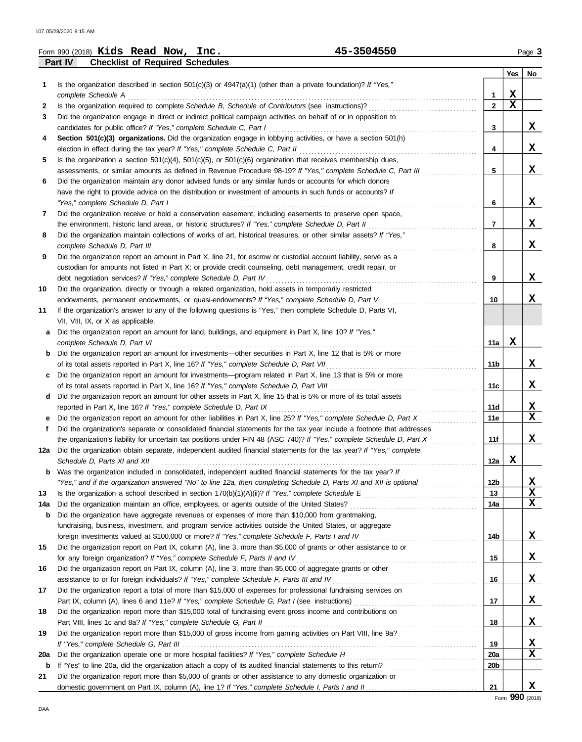|             | 45-3504550<br>Form 990 (2018) $Kids$ Read Now, Inc.                                                                                                                                             |                 |             | Page 3 |
|-------------|-------------------------------------------------------------------------------------------------------------------------------------------------------------------------------------------------|-----------------|-------------|--------|
|             | Part IV<br><b>Checklist of Required Schedules</b>                                                                                                                                               |                 |             |        |
|             |                                                                                                                                                                                                 |                 | Yes         | No     |
| $\mathbf 1$ | Is the organization described in section $501(c)(3)$ or $4947(a)(1)$ (other than a private foundation)? If "Yes,"                                                                               |                 |             |        |
|             | complete Schedule A                                                                                                                                                                             | 1               | $\mathbf x$ |        |
| 2           |                                                                                                                                                                                                 | $\overline{2}$  | $\mathbf x$ |        |
| 3           | Did the organization engage in direct or indirect political campaign activities on behalf of or in opposition to                                                                                |                 |             |        |
|             | candidates for public office? If "Yes," complete Schedule C, Part I                                                                                                                             | 3               |             | X      |
| 4           | Section 501(c)(3) organizations. Did the organization engage in lobbying activities, or have a section 501(h)<br>election in effect during the tax year? If "Yes," complete Schedule C, Part II | 4               |             | x      |
| 5           | Is the organization a section $501(c)(4)$ , $501(c)(5)$ , or $501(c)(6)$ organization that receives membership dues,                                                                            |                 |             |        |
|             | assessments, or similar amounts as defined in Revenue Procedure 98-19? If "Yes," complete Schedule C, Part III                                                                                  | 5               |             | X      |
| 6           | Did the organization maintain any donor advised funds or any similar funds or accounts for which donors                                                                                         |                 |             |        |
|             | have the right to provide advice on the distribution or investment of amounts in such funds or accounts? If                                                                                     |                 |             |        |
|             | "Yes," complete Schedule D, Part I                                                                                                                                                              | 6               |             | X      |
| 7           | Did the organization receive or hold a conservation easement, including easements to preserve open space,                                                                                       |                 |             |        |
|             | the environment, historic land areas, or historic structures? If "Yes," complete Schedule D, Part II                                                                                            | 7               |             | X      |
| 8           | Did the organization maintain collections of works of art, historical treasures, or other similar assets? If "Yes,"                                                                             |                 |             |        |
|             | complete Schedule D, Part III                                                                                                                                                                   | 8               |             | X      |
| 9           | Did the organization report an amount in Part X, line 21, for escrow or custodial account liability, serve as a                                                                                 |                 |             |        |
|             | custodian for amounts not listed in Part X; or provide credit counseling, debt management, credit repair, or                                                                                    |                 |             |        |
|             | debt negotiation services? If "Yes," complete Schedule D, Part IV                                                                                                                               | 9               |             | X      |
| 10          | Did the organization, directly or through a related organization, hold assets in temporarily restricted                                                                                         |                 |             |        |
|             | endowments, permanent endowments, or quasi-endowments? If "Yes," complete Schedule D, Part V                                                                                                    | 10              |             | x      |
| 11          | If the organization's answer to any of the following questions is "Yes," then complete Schedule D, Parts VI,                                                                                    |                 |             |        |
|             | VII, VIII, IX, or X as applicable.                                                                                                                                                              |                 |             |        |
| а           | Did the organization report an amount for land, buildings, and equipment in Part X, line 10? If "Yes,"                                                                                          |                 |             |        |
|             | complete Schedule D, Part VI                                                                                                                                                                    | 11a             | x           |        |
| b           | Did the organization report an amount for investments—other securities in Part X, line 12 that is 5% or more                                                                                    |                 |             |        |
|             | of its total assets reported in Part X, line 16? If "Yes," complete Schedule D, Part VII                                                                                                        | 11b             |             | x      |
| C           | Did the organization report an amount for investments—program related in Part X, line 13 that is 5% or more                                                                                     |                 |             |        |
|             | of its total assets reported in Part X, line 16? If "Yes," complete Schedule D, Part VIII                                                                                                       | 11c             |             | x      |
| d           | Did the organization report an amount for other assets in Part X, line 15 that is 5% or more of its total assets                                                                                | <b>11d</b>      |             | X      |
|             | reported in Part X, line 16? If "Yes," complete Schedule D, Part IX<br>Did the organization report an amount for other liabilities in Part X, line 25? If "Yes," complete Schedule D, Part X    | 11e             |             | X      |
| f           | Did the organization's separate or consolidated financial statements for the tax year include a footnote that addresses                                                                         |                 |             |        |
|             | the organization's liability for uncertain tax positions under FIN 48 (ASC 740)? If "Yes," complete Schedule D, Part X                                                                          | 11f             |             | X      |
| 12a         | Did the organization obtain separate, independent audited financial statements for the tax year? If "Yes," complete                                                                             |                 |             |        |
|             |                                                                                                                                                                                                 | 12a             | X           |        |
|             | <b>b</b> Was the organization included in consolidated, independent audited financial statements for the tax year? If                                                                           |                 |             |        |
|             | "Yes," and if the organization answered "No" to line 12a, then completing Schedule D, Parts XI and XII is optional                                                                              | 12 <sub>b</sub> |             | X      |
| 13          |                                                                                                                                                                                                 | 13              |             | X      |
| 14a         | Did the organization maintain an office, employees, or agents outside of the United States?                                                                                                     | 14a             |             | X      |
| b           | Did the organization have aggregate revenues or expenses of more than \$10,000 from grantmaking,                                                                                                |                 |             |        |
|             | fundraising, business, investment, and program service activities outside the United States, or aggregate                                                                                       |                 |             |        |
|             |                                                                                                                                                                                                 | 14b             |             | X      |
| 15          | Did the organization report on Part IX, column (A), line 3, more than \$5,000 of grants or other assistance to or                                                                               |                 |             |        |
|             | for any foreign organization? If "Yes," complete Schedule F, Parts II and IV                                                                                                                    | 15              |             | X      |
| 16          | Did the organization report on Part IX, column (A), line 3, more than \$5,000 of aggregate grants or other                                                                                      |                 |             |        |
|             | assistance to or for foreign individuals? If "Yes," complete Schedule F, Parts III and IV                                                                                                       | 16              |             | X      |
| 17          | Did the organization report a total of more than \$15,000 of expenses for professional fundraising services on                                                                                  |                 |             |        |
|             |                                                                                                                                                                                                 | 17              |             | X      |
| 18          | Did the organization report more than \$15,000 total of fundraising event gross income and contributions on                                                                                     |                 |             |        |
|             | Part VIII, lines 1c and 8a? If "Yes," complete Schedule G, Part II                                                                                                                              | 18              |             | X      |
| 19          | Did the organization report more than \$15,000 of gross income from gaming activities on Part VIII, line 9a?                                                                                    |                 |             |        |
|             |                                                                                                                                                                                                 | 19              |             | x      |
| 20a         |                                                                                                                                                                                                 | 20a             |             | x      |
| b           |                                                                                                                                                                                                 | 20 <sub>b</sub> |             |        |
| 21          | Did the organization report more than \$5,000 of grants or other assistance to any domestic organization or                                                                                     |                 |             | X      |
|             |                                                                                                                                                                                                 | 21              |             |        |

Form **990** (2018)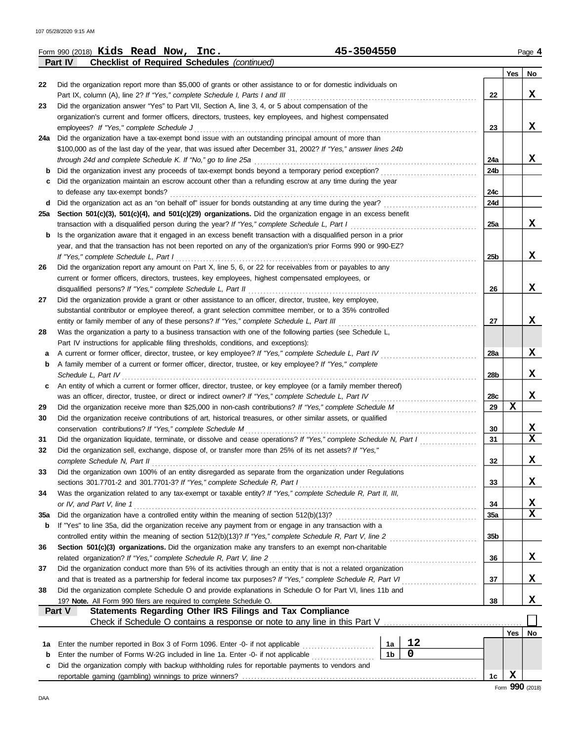|        | 45-3504550<br>Form 990 (2018) Kids Read Now, Inc.                                                                                                                                              |                 |     | Page 4 |
|--------|------------------------------------------------------------------------------------------------------------------------------------------------------------------------------------------------|-----------------|-----|--------|
|        | Part IV<br><b>Checklist of Required Schedules (continued)</b>                                                                                                                                  |                 |     |        |
|        |                                                                                                                                                                                                |                 | Yes | No     |
| 22     | Did the organization report more than \$5,000 of grants or other assistance to or for domestic individuals on<br>Part IX, column (A), line 2? If "Yes," complete Schedule I, Parts I and III   | 22              |     | X      |
| 23     | Did the organization answer "Yes" to Part VII, Section A, line 3, 4, or 5 about compensation of the                                                                                            |                 |     |        |
|        | organization's current and former officers, directors, trustees, key employees, and highest compensated                                                                                        |                 |     |        |
|        | employees? If "Yes," complete Schedule J                                                                                                                                                       | 23              |     | X      |
|        | 24a Did the organization have a tax-exempt bond issue with an outstanding principal amount of more than                                                                                        |                 |     |        |
|        | \$100,000 as of the last day of the year, that was issued after December 31, 2002? If "Yes," answer lines 24b                                                                                  |                 |     |        |
|        | through 24d and complete Schedule K. If "No," go to line 25a                                                                                                                                   | 24a             |     | x      |
| b      | Did the organization invest any proceeds of tax-exempt bonds beyond a temporary period exception?                                                                                              | 24b             |     |        |
| c      | Did the organization maintain an escrow account other than a refunding escrow at any time during the year                                                                                      |                 |     |        |
|        | to defease any tax-exempt bonds?                                                                                                                                                               | 24c             |     |        |
| d      | Did the organization act as an "on behalf of" issuer for bonds outstanding at any time during the year?                                                                                        | 24d             |     |        |
| 25a    | Section 501(c)(3), 501(c)(4), and 501(c)(29) organizations. Did the organization engage in an excess benefit                                                                                   |                 |     |        |
|        | transaction with a disqualified person during the year? If "Yes," complete Schedule L, Part I                                                                                                  | 25a             |     | x      |
| b      | Is the organization aware that it engaged in an excess benefit transaction with a disqualified person in a prior                                                                               |                 |     |        |
|        | year, and that the transaction has not been reported on any of the organization's prior Forms 990 or 990-EZ?                                                                                   |                 |     |        |
|        | If "Yes," complete Schedule L, Part I                                                                                                                                                          | 25 <sub>b</sub> |     | X      |
| 26     | Did the organization report any amount on Part X, line 5, 6, or 22 for receivables from or payables to any                                                                                     |                 |     |        |
|        | current or former officers, directors, trustees, key employees, highest compensated employees, or                                                                                              |                 |     |        |
|        | disqualified persons? If "Yes," complete Schedule L, Part II                                                                                                                                   | 26              |     | X      |
| 27     | Did the organization provide a grant or other assistance to an officer, director, trustee, key employee,                                                                                       |                 |     |        |
|        | substantial contributor or employee thereof, a grant selection committee member, or to a 35% controlled                                                                                        |                 |     | X      |
|        | entity or family member of any of these persons? If "Yes," complete Schedule L, Part III                                                                                                       | 27              |     |        |
| 28     | Was the organization a party to a business transaction with one of the following parties (see Schedule L,                                                                                      |                 |     |        |
|        | Part IV instructions for applicable filing thresholds, conditions, and exceptions):<br>A current or former officer, director, trustee, or key employee? If "Yes," complete Schedule L, Part IV | 28a             |     | X      |
| а<br>b | A family member of a current or former officer, director, trustee, or key employee? If "Yes," complete                                                                                         |                 |     |        |
|        | Schedule L, Part IV                                                                                                                                                                            | 28b             |     | X      |
| c      | An entity of which a current or former officer, director, trustee, or key employee (or a family member thereof)                                                                                |                 |     |        |
|        | was an officer, director, trustee, or direct or indirect owner? If "Yes," complete Schedule L, Part IV                                                                                         | 28c             |     | X      |
| 29     | Did the organization receive more than \$25,000 in non-cash contributions? If "Yes," complete Schedule M                                                                                       | 29              | X   |        |
| 30     | Did the organization receive contributions of art, historical treasures, or other similar assets, or qualified                                                                                 |                 |     |        |
|        | conservation contributions? If "Yes," complete Schedule M                                                                                                                                      | 30              |     | X      |
| 31     | Did the organization liquidate, terminate, or dissolve and cease operations? If "Yes," complete Schedule N, Part I                                                                             | 31              |     | X      |
|        | Did the organization sell, exchange, dispose of, or transfer more than 25% of its net assets? If "Yes,"                                                                                        |                 |     |        |
|        | complete Schedule N, Part II                                                                                                                                                                   | 32              |     | X      |
| 33     | Did the organization own 100% of an entity disregarded as separate from the organization under Regulations                                                                                     |                 |     |        |
|        | sections 301.7701-2 and 301.7701-3? If "Yes," complete Schedule R, Part I                                                                                                                      | 33              |     | X      |
| 34     | Was the organization related to any tax-exempt or taxable entity? If "Yes," complete Schedule R, Part II, III,                                                                                 |                 |     |        |
|        | or IV, and Part V, line 1                                                                                                                                                                      | 34              |     | х      |
| 35a    |                                                                                                                                                                                                | <b>35a</b>      |     | X      |
| b      | If "Yes" to line 35a, did the organization receive any payment from or engage in any transaction with a                                                                                        |                 |     |        |
|        | controlled entity within the meaning of section 512(b)(13)? If "Yes," complete Schedule R, Part V, line 2                                                                                      | 35b             |     |        |
| 36     | Section 501(c)(3) organizations. Did the organization make any transfers to an exempt non-charitable                                                                                           |                 |     |        |
|        | related organization? If "Yes," complete Schedule R, Part V, line 2                                                                                                                            | 36              |     | х      |
| 37     | Did the organization conduct more than 5% of its activities through an entity that is not a related organization                                                                               |                 |     |        |
|        | and that is treated as a partnership for federal income tax purposes? If "Yes," complete Schedule R, Part VI                                                                                   | 37              |     | х      |
| 38     | Did the organization complete Schedule O and provide explanations in Schedule O for Part VI, lines 11b and                                                                                     |                 |     |        |
|        | 19? Note. All Form 990 filers are required to complete Schedule O.                                                                                                                             | 38              |     | X      |
|        | Statements Regarding Other IRS Filings and Tax Compliance<br>Part V                                                                                                                            |                 |     |        |
|        |                                                                                                                                                                                                |                 | Yes | No     |
| 1а     | 12<br>Enter the number reported in Box 3 of Form 1096. Enter -0- if not applicable<br>1a                                                                                                       |                 |     |        |
| b      | $\mathbf 0$<br>1 <sub>b</sub><br>Enter the number of Forms W-2G included in line 1a. Enter -0- if not applicable                                                                               |                 |     |        |
| c      | Did the organization comply with backup withholding rules for reportable payments to vendors and                                                                                               |                 |     |        |
|        |                                                                                                                                                                                                | 1c              | X   |        |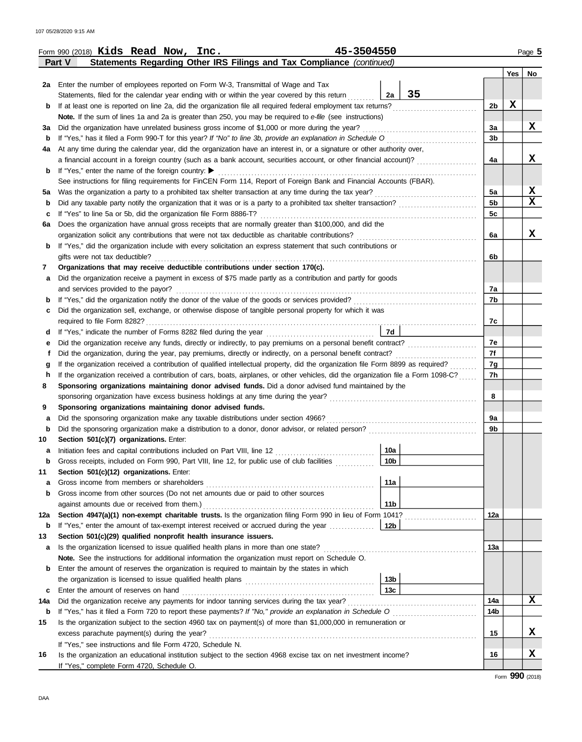|                   | 45-3504550<br>Form 990 (2018) Kids Read Now, Inc.                                                                                  |                 |                        |         | Page 5      |  |  |  |  |
|-------------------|------------------------------------------------------------------------------------------------------------------------------------|-----------------|------------------------|---------|-------------|--|--|--|--|
|                   | Statements Regarding Other IRS Filings and Tax Compliance (continued)<br>Part V                                                    |                 |                        |         |             |  |  |  |  |
|                   |                                                                                                                                    |                 |                        | Yes $ $ | No          |  |  |  |  |
|                   | 2a Enter the number of employees reported on Form W-3, Transmittal of Wage and Tax                                                 |                 |                        |         |             |  |  |  |  |
|                   | Statements, filed for the calendar year ending with or within the year covered by this return                                      | 35<br>2a        |                        |         |             |  |  |  |  |
| b                 | If at least one is reported on line 2a, did the organization file all required federal employment tax returns?                     |                 | 2 <sub>b</sub>         | X       |             |  |  |  |  |
|                   | <b>Note.</b> If the sum of lines 1a and 2a is greater than 250, you may be required to e-file (see instructions)                   |                 |                        |         |             |  |  |  |  |
| за                | Did the organization have unrelated business gross income of \$1,000 or more during the year?                                      |                 | 3a                     |         | x           |  |  |  |  |
| b                 |                                                                                                                                    |                 | 3 <sub>b</sub>         |         |             |  |  |  |  |
| 4a                | At any time during the calendar year, did the organization have an interest in, or a signature or other authority over,            |                 |                        |         |             |  |  |  |  |
|                   | a financial account in a foreign country (such as a bank account, securities account, or other financial account)?                 |                 | 4a                     |         | X           |  |  |  |  |
| b                 | If "Yes," enter the name of the foreign country: $\blacktriangleright$                                                             |                 |                        |         |             |  |  |  |  |
|                   | See instructions for filing requirements for FinCEN Form 114, Report of Foreign Bank and Financial Accounts (FBAR).                |                 |                        |         |             |  |  |  |  |
| 5a                |                                                                                                                                    |                 | 5a                     |         | X           |  |  |  |  |
| b                 | Did any taxable party notify the organization that it was or is a party to a prohibited tax shelter transaction?                   |                 | 5 <sub>b</sub>         |         | $\mathbf x$ |  |  |  |  |
| c                 | If "Yes" to line 5a or 5b, did the organization file Form 8886-T?                                                                  |                 | 5c                     |         |             |  |  |  |  |
| 6а                | Does the organization have annual gross receipts that are normally greater than \$100,000, and did the                             |                 |                        |         |             |  |  |  |  |
|                   | organization solicit any contributions that were not tax deductible as charitable contributions?                                   |                 | 6a                     |         | x           |  |  |  |  |
| b                 | If "Yes," did the organization include with every solicitation an express statement that such contributions or                     |                 |                        |         |             |  |  |  |  |
|                   | gifts were not tax deductible?                                                                                                     |                 | 6b                     |         |             |  |  |  |  |
| 7                 | Organizations that may receive deductible contributions under section 170(c).                                                      |                 |                        |         |             |  |  |  |  |
| а                 | Did the organization receive a payment in excess of \$75 made partly as a contribution and partly for goods                        |                 |                        |         |             |  |  |  |  |
|                   | and services provided to the payor?                                                                                                |                 | 7a                     |         |             |  |  |  |  |
| b                 |                                                                                                                                    |                 | 7b                     |         |             |  |  |  |  |
| c                 | Did the organization sell, exchange, or otherwise dispose of tangible personal property for which it was                           |                 |                        |         |             |  |  |  |  |
|                   | required to file Form 8282?                                                                                                        | 7d              | 7c                     |         |             |  |  |  |  |
| d                 |                                                                                                                                    |                 | 7e                     |         |             |  |  |  |  |
| е<br>f            | Did the organization, during the year, pay premiums, directly or indirectly, on a personal benefit contract?                       |                 |                        |         |             |  |  |  |  |
| g                 |                                                                                                                                    |                 |                        |         |             |  |  |  |  |
| h                 | If the organization received a contribution of cars, boats, airplanes, or other vehicles, did the organization file a Form 1098-C? |                 | 7g<br>7h               |         |             |  |  |  |  |
| 8                 | Sponsoring organizations maintaining donor advised funds. Did a donor advised fund maintained by the                               |                 |                        |         |             |  |  |  |  |
|                   |                                                                                                                                    |                 | 8                      |         |             |  |  |  |  |
| 9                 | Sponsoring organizations maintaining donor advised funds.                                                                          |                 |                        |         |             |  |  |  |  |
| a                 | Did the sponsoring organization make any taxable distributions under section 4966?                                                 |                 | 9a                     |         |             |  |  |  |  |
| b                 |                                                                                                                                    |                 | 9 <sub>b</sub>         |         |             |  |  |  |  |
| 10                | Section 501(c)(7) organizations. Enter:                                                                                            |                 |                        |         |             |  |  |  |  |
| a                 | Initiation fees and capital contributions included on Part VIII, line 12                                                           | 10a             |                        |         |             |  |  |  |  |
| b                 | Gross receipts, included on Form 990, Part VIII, line 12, for public use of club facilities                                        | 10 <sub>b</sub> |                        |         |             |  |  |  |  |
| 11                | Section 501(c)(12) organizations. Enter:                                                                                           |                 |                        |         |             |  |  |  |  |
| a                 | Gross income from members or shareholders                                                                                          | 11a             |                        |         |             |  |  |  |  |
| b                 | Gross income from other sources (Do not net amounts due or paid to other sources                                                   |                 |                        |         |             |  |  |  |  |
|                   | against amounts due or received from them.)                                                                                        | 11 <sub>b</sub> |                        |         |             |  |  |  |  |
| 12a               | Section 4947(a)(1) non-exempt charitable trusts. Is the organization filing Form 990 in lieu of Form 1041?                         |                 | 12a                    |         |             |  |  |  |  |
| $\mathbf b$       | If "Yes," enter the amount of tax-exempt interest received or accrued during the year                                              | 12b             |                        |         |             |  |  |  |  |
| 13                | Section 501(c)(29) qualified nonprofit health insurance issuers.                                                                   |                 |                        |         |             |  |  |  |  |
| а                 | Is the organization licensed to issue qualified health plans in more than one state?                                               |                 | 13a                    |         |             |  |  |  |  |
|                   | Note. See the instructions for additional information the organization must report on Schedule O.                                  |                 |                        |         |             |  |  |  |  |
| b                 | Enter the amount of reserves the organization is required to maintain by the states in which                                       |                 |                        |         |             |  |  |  |  |
|                   |                                                                                                                                    | 13 <sub>b</sub> |                        |         |             |  |  |  |  |
| c                 | Enter the amount of reserves on hand                                                                                               | 13c             |                        |         | X           |  |  |  |  |
| 14a               | Did the organization receive any payments for indoor tanning services during the tax year?                                         |                 | 14a<br>14 <sub>b</sub> |         |             |  |  |  |  |
| $\mathbf b$<br>15 | Is the organization subject to the section 4960 tax on payment(s) of more than \$1,000,000 in remuneration or                      |                 |                        |         |             |  |  |  |  |
|                   | excess parachute payment(s) during the year?                                                                                       |                 | 15                     |         | x           |  |  |  |  |
|                   | If "Yes," see instructions and file Form 4720, Schedule N.                                                                         |                 |                        |         |             |  |  |  |  |
| 16                | Is the organization an educational institution subject to the section 4968 excise tax on net investment income?                    |                 | 16                     |         | x           |  |  |  |  |
|                   | If "Yes," complete Form 4720, Schedule O.                                                                                          |                 |                        |         |             |  |  |  |  |

Form **990** (2018)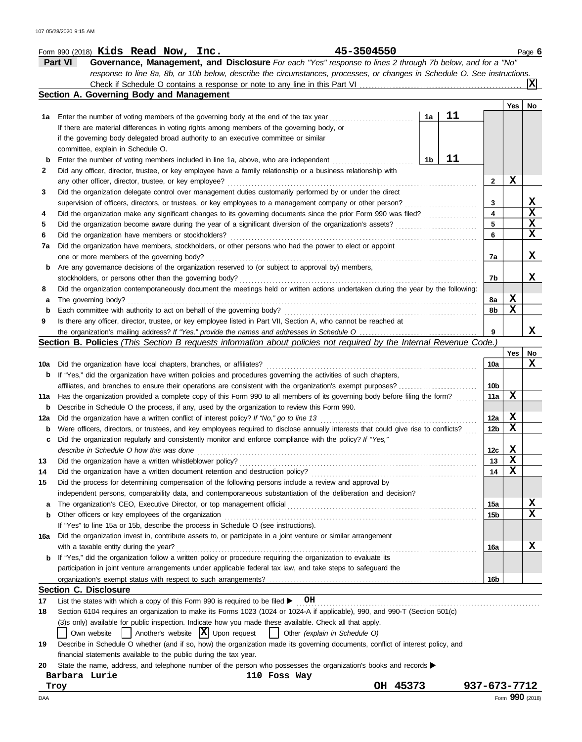### Form 990 (2018) Page **6 Kids Read Now, Inc. 45-3504550**

**Part VI Governance, Management, and Disclosure** *For each "Yes" response to lines 2 through 7b below, and for a "No" response to line 8a, 8b, or 10b below, describe the circumstances, processes, or changes in Schedule O. See instructions.* Check if Schedule O contains a response or note to any line in this Part VI . . . . . . . . . . . . . . . . . . . . . . . . . . . . . . . . . . . . . . . . . . . . . . . . . . . . . . **X**

|     | Section A. Governing Body and Management                                                                                                                                                                                       |    |    |                 |     |                 |
|-----|--------------------------------------------------------------------------------------------------------------------------------------------------------------------------------------------------------------------------------|----|----|-----------------|-----|-----------------|
|     |                                                                                                                                                                                                                                |    |    |                 | Yes | No.             |
| 1а  | Enter the number of voting members of the governing body at the end of the tax year                                                                                                                                            | 1a | 11 |                 |     |                 |
|     | If there are material differences in voting rights among members of the governing body, or                                                                                                                                     |    |    |                 |     |                 |
|     | if the governing body delegated broad authority to an executive committee or similar                                                                                                                                           |    |    |                 |     |                 |
|     | committee, explain in Schedule O.                                                                                                                                                                                              |    |    |                 |     |                 |
| b   | Enter the number of voting members included in line 1a, above, who are independent                                                                                                                                             | 1b | 11 |                 |     |                 |
| 2   | Did any officer, director, trustee, or key employee have a family relationship or a business relationship with                                                                                                                 |    |    |                 | X   |                 |
|     | any other officer, director, trustee, or key employee?                                                                                                                                                                         |    |    | 2               |     |                 |
| 3   | Did the organization delegate control over management duties customarily performed by or under the direct                                                                                                                      |    |    | 3               |     | X               |
| 4   | supervision of officers, directors, or trustees, or key employees to a management company or other person?<br>Did the organization make any significant changes to its governing documents since the prior Form 990 was filed? |    |    | 4               |     | $\mathbf x$     |
| 5   |                                                                                                                                                                                                                                |    |    | 5               |     | $\mathbf x$     |
| 6   | Did the organization have members or stockholders?                                                                                                                                                                             |    |    | 6               |     | X               |
| 7а  | Did the organization have members, stockholders, or other persons who had the power to elect or appoint                                                                                                                        |    |    |                 |     |                 |
|     | one or more members of the governing body?                                                                                                                                                                                     |    |    | 7а              |     | X               |
| b   | Are any governance decisions of the organization reserved to (or subject to approval by) members,                                                                                                                              |    |    |                 |     |                 |
|     | stockholders, or persons other than the governing body?                                                                                                                                                                        |    |    | 7b              |     | x               |
| 8   | Did the organization contemporaneously document the meetings held or written actions undertaken during the year by the following:                                                                                              |    |    |                 |     |                 |
| а   | The governing body?                                                                                                                                                                                                            |    |    | 8а              | X   |                 |
| b   | Each committee with authority to act on behalf of the governing body?                                                                                                                                                          |    |    | 8b              | X   |                 |
| 9   | Is there any officer, director, trustee, or key employee listed in Part VII, Section A, who cannot be reached at                                                                                                               |    |    |                 |     |                 |
|     |                                                                                                                                                                                                                                |    |    | 9               |     | x               |
|     | Section B. Policies (This Section B requests information about policies not required by the Internal Revenue Code.)                                                                                                            |    |    |                 |     |                 |
|     |                                                                                                                                                                                                                                |    |    |                 | Yes | No              |
| 10a | Did the organization have local chapters, branches, or affiliates?                                                                                                                                                             |    |    | 10a             |     | x               |
| b   | If "Yes," did the organization have written policies and procedures governing the activities of such chapters,                                                                                                                 |    |    |                 |     |                 |
|     | affiliates, and branches to ensure their operations are consistent with the organization's exempt purposes?                                                                                                                    |    |    | 10 <sub>b</sub> |     |                 |
| 11a | Has the organization provided a complete copy of this Form 990 to all members of its governing body before filing the form?                                                                                                    |    |    | 11a             | х   |                 |
| b   | Describe in Schedule O the process, if any, used by the organization to review this Form 990.                                                                                                                                  |    |    |                 |     |                 |
| 12a | Did the organization have a written conflict of interest policy? If "No," go to line 13                                                                                                                                        |    |    | 12a             | X   |                 |
| b   | Were officers, directors, or trustees, and key employees required to disclose annually interests that could give rise to conflicts?                                                                                            |    |    | 12b             | х   |                 |
| c   | Did the organization regularly and consistently monitor and enforce compliance with the policy? If "Yes,"                                                                                                                      |    |    |                 |     |                 |
|     | describe in Schedule O how this was done                                                                                                                                                                                       |    |    | 12c             | x   |                 |
| 13  | Did the organization have a written whistleblower policy?                                                                                                                                                                      |    |    | 13              | х   |                 |
| 14  | Did the organization have a written document retention and destruction policy?                                                                                                                                                 |    |    | 14              | X   |                 |
| 15  | Did the process for determining compensation of the following persons include a review and approval by                                                                                                                         |    |    |                 |     |                 |
|     | independent persons, comparability data, and contemporaneous substantiation of the deliberation and decision?                                                                                                                  |    |    |                 |     |                 |
| а   |                                                                                                                                                                                                                                |    |    | 15a             |     | x               |
| b   | Other officers or key employees of the organization                                                                                                                                                                            |    |    | 15b             |     | x               |
|     | If "Yes" to line 15a or 15b, describe the process in Schedule O (see instructions).                                                                                                                                            |    |    |                 |     |                 |
| 16a | Did the organization invest in, contribute assets to, or participate in a joint venture or similar arrangement<br>with a taxable entity during the year?                                                                       |    |    | 16a             |     | x               |
| b   | If "Yes," did the organization follow a written policy or procedure requiring the organization to evaluate its                                                                                                                 |    |    |                 |     |                 |
|     | participation in joint venture arrangements under applicable federal tax law, and take steps to safeguard the                                                                                                                  |    |    |                 |     |                 |
|     |                                                                                                                                                                                                                                |    |    | 16b             |     |                 |
|     | <b>Section C. Disclosure</b>                                                                                                                                                                                                   |    |    |                 |     |                 |
| 17  | List the states with which a copy of this Form 990 is required to be filed $\blacktriangleright$ OH                                                                                                                            |    |    |                 |     |                 |
| 18  | Section 6104 requires an organization to make its Forms 1023 (1024 or 1024-A if applicable), 990, and 990-T (Section 501(c)                                                                                                    |    |    |                 |     |                 |
|     | (3)s only) available for public inspection. Indicate how you made these available. Check all that apply.                                                                                                                       |    |    |                 |     |                 |
|     | $\vert$ Another's website $\vert X \vert$ Upon request<br>Other (explain in Schedule O)<br>Own website                                                                                                                         |    |    |                 |     |                 |
| 19  | Describe in Schedule O whether (and if so, how) the organization made its governing documents, conflict of interest policy, and                                                                                                |    |    |                 |     |                 |
|     | financial statements available to the public during the tax year.                                                                                                                                                              |    |    |                 |     |                 |
| 20  | State the name, address, and telephone number of the person who possesses the organization's books and records ▶                                                                                                               |    |    |                 |     |                 |
|     | Barbara Lurie<br>110 Foss Way                                                                                                                                                                                                  |    |    |                 |     |                 |
|     | OH 45373<br>Troy                                                                                                                                                                                                               |    |    | 937-673-7712    |     |                 |
| Daa |                                                                                                                                                                                                                                |    |    |                 |     | Form 990 (2018) |

DAA Form **990** (2018)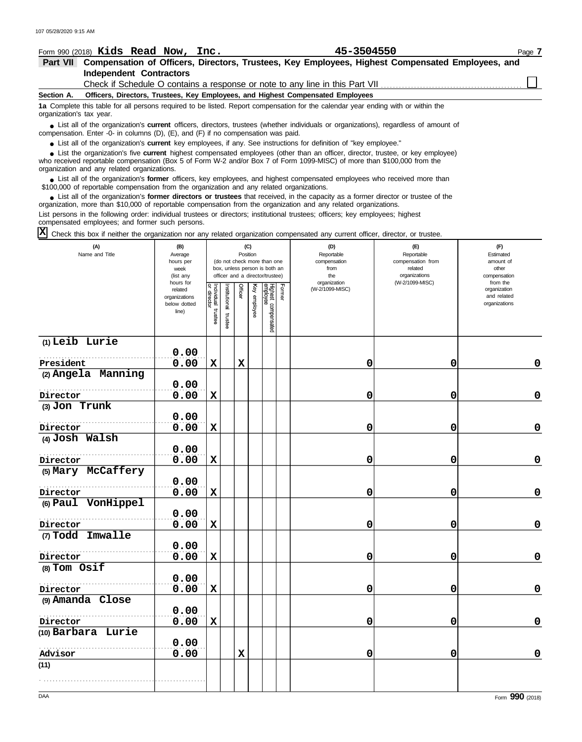| 107 05/28/2020 9:15 AM   |                                                                                           |                               |             |                      |             |          |                                                              |                                                                                                                                                                                                                                                         |                                  |                              |
|--------------------------|-------------------------------------------------------------------------------------------|-------------------------------|-------------|----------------------|-------------|----------|--------------------------------------------------------------|---------------------------------------------------------------------------------------------------------------------------------------------------------------------------------------------------------------------------------------------------------|----------------------------------|------------------------------|
|                          | Form 990 (2018) Kids Read Now, Inc.                                                       |                               |             |                      |             |          |                                                              | 45-3504550                                                                                                                                                                                                                                              |                                  | Page 7                       |
|                          |                                                                                           |                               |             |                      |             |          |                                                              | Part VII Compensation of Officers, Directors, Trustees, Key Employees, Highest Compensated Employees, and                                                                                                                                               |                                  |                              |
|                          | <b>Independent Contractors</b>                                                            |                               |             |                      |             |          |                                                              |                                                                                                                                                                                                                                                         |                                  |                              |
|                          |                                                                                           |                               |             |                      |             |          |                                                              |                                                                                                                                                                                                                                                         |                                  |                              |
| Section A.               |                                                                                           |                               |             |                      |             |          |                                                              | Officers, Directors, Trustees, Key Employees, and Highest Compensated Employees                                                                                                                                                                         |                                  |                              |
| organization's tax year. |                                                                                           |                               |             |                      |             |          |                                                              | 1a Complete this table for all persons required to be listed. Report compensation for the calendar year ending with or within the                                                                                                                       |                                  |                              |
|                          | compensation. Enter -0- in columns (D), (E), and (F) if no compensation was paid.         |                               |             |                      |             |          |                                                              | • List all of the organization's <b>current</b> officers, directors, trustees (whether individuals or organizations), regardless of amount of                                                                                                           |                                  |                              |
|                          |                                                                                           |                               |             |                      |             |          |                                                              | • List all of the organization's current key employees, if any. See instructions for definition of "key employee."<br>List the organization's five current highest compensated employees (other than an officer, director, trustee, or key employee)    |                                  |                              |
|                          | organization and any related organizations.                                               |                               |             |                      |             |          |                                                              | who received reportable compensation (Box 5 of Form W-2 and/or Box 7 of Form 1099-MISC) of more than \$100,000 from the                                                                                                                                 |                                  |                              |
|                          | \$100,000 of reportable compensation from the organization and any related organizations. |                               |             |                      |             |          |                                                              | • List all of the organization's former officers, key employees, and highest compensated employees who received more than                                                                                                                               |                                  |                              |
|                          |                                                                                           |                               |             |                      |             |          |                                                              | • List all of the organization's former directors or trustees that received, in the capacity as a former director or trustee of the<br>organization, more than \$10,000 of reportable compensation from the organization and any related organizations. |                                  |                              |
|                          | compensated employees; and former such persons.                                           |                               |             |                      |             |          |                                                              | List persons in the following order: individual trustees or directors; institutional trustees; officers; key employees; highest                                                                                                                         |                                  |                              |
|                          |                                                                                           |                               |             |                      |             |          |                                                              | Check this box if neither the organization nor any related organization compensated any current officer, director, or trustee.                                                                                                                          |                                  |                              |
|                          | (A)                                                                                       | (B)                           |             |                      |             | (C)      |                                                              | (D)                                                                                                                                                                                                                                                     | (E)                              | (F)                          |
|                          | Name and Title                                                                            | Average                       |             |                      |             | Position |                                                              | Reportable                                                                                                                                                                                                                                              | Reportable                       | Estimated                    |
|                          |                                                                                           | hours per<br>week             |             |                      |             |          | (do not check more than one<br>box, unless person is both an | compensation<br>from                                                                                                                                                                                                                                    | compensation from<br>related     | amount of<br>other           |
|                          |                                                                                           | (list any<br>hours for        |             |                      |             |          | officer and a director/trustee)                              | the<br>organization                                                                                                                                                                                                                                     | organizations<br>(W-2/1099-MISC) | compensation<br>from the     |
|                          |                                                                                           | related                       | Individual  |                      | Officer     | Ķey      | Former                                                       | (W-2/1099-MISC)                                                                                                                                                                                                                                         |                                  | organization                 |
|                          |                                                                                           | organizations<br>below dotted | director    |                      |             | enployee |                                                              |                                                                                                                                                                                                                                                         |                                  | and related<br>organizations |
|                          |                                                                                           | line)                         | trustee     | nstitutional trustee |             |          |                                                              |                                                                                                                                                                                                                                                         |                                  |                              |
|                          |                                                                                           |                               |             |                      |             |          | Highest compensated<br>employee                              |                                                                                                                                                                                                                                                         |                                  |                              |
| (1) Leib Lurie           |                                                                                           |                               |             |                      |             |          |                                                              |                                                                                                                                                                                                                                                         |                                  |                              |
|                          |                                                                                           | 0.00                          |             |                      |             |          |                                                              |                                                                                                                                                                                                                                                         |                                  |                              |
| President                |                                                                                           | 0.00                          | $\mathbf x$ |                      | $\mathbf x$ |          |                                                              | 0                                                                                                                                                                                                                                                       | 0                                | $\mathbf 0$                  |
| (2) Angela Manning       |                                                                                           |                               |             |                      |             |          |                                                              |                                                                                                                                                                                                                                                         |                                  |                              |
|                          |                                                                                           | 0.00                          |             |                      |             |          |                                                              |                                                                                                                                                                                                                                                         |                                  |                              |
| Director                 |                                                                                           | 0.00                          | X           |                      |             |          |                                                              | 0                                                                                                                                                                                                                                                       | 0                                | $\mathbf 0$                  |
| $(3)$ Jon Trunk          |                                                                                           |                               |             |                      |             |          |                                                              |                                                                                                                                                                                                                                                         |                                  |                              |
|                          |                                                                                           | 0.00                          |             |                      |             |          |                                                              |                                                                                                                                                                                                                                                         |                                  |                              |
| Director                 |                                                                                           | 0.00                          | $\mathbf x$ |                      |             |          |                                                              | 0                                                                                                                                                                                                                                                       | 0                                | 0                            |
| $(4)$ Josh Walsh         |                                                                                           |                               |             |                      |             |          |                                                              |                                                                                                                                                                                                                                                         |                                  |                              |
|                          |                                                                                           | 0.00                          |             |                      |             |          |                                                              |                                                                                                                                                                                                                                                         |                                  |                              |
| Director                 |                                                                                           | 0.00                          | X           |                      |             |          |                                                              | 0                                                                                                                                                                                                                                                       | 0                                | 0                            |
| (5) Mary McCaffery       |                                                                                           |                               |             |                      |             |          |                                                              |                                                                                                                                                                                                                                                         |                                  |                              |
| Director                 |                                                                                           | 0.00                          |             |                      |             |          |                                                              | 0                                                                                                                                                                                                                                                       |                                  |                              |
| (6) Paul VonHippel       |                                                                                           | 0.00                          | $\mathbf x$ |                      |             |          |                                                              |                                                                                                                                                                                                                                                         | 0                                | $\mathbf 0$                  |
|                          |                                                                                           | 0.00                          |             |                      |             |          |                                                              |                                                                                                                                                                                                                                                         |                                  |                              |
| Director                 |                                                                                           | 0.00                          | $\mathbf x$ |                      |             |          |                                                              | 0                                                                                                                                                                                                                                                       | 0                                | $\mathbf 0$                  |
| (7) Todd Imwalle         |                                                                                           |                               |             |                      |             |          |                                                              |                                                                                                                                                                                                                                                         |                                  |                              |
|                          |                                                                                           | 0.00                          |             |                      |             |          |                                                              |                                                                                                                                                                                                                                                         |                                  |                              |
| Director                 |                                                                                           | 0.00                          | $\mathbf x$ |                      |             |          |                                                              | 0                                                                                                                                                                                                                                                       | 0                                | $\mathbf 0$                  |
| (8) Tom Osif             |                                                                                           |                               |             |                      |             |          |                                                              |                                                                                                                                                                                                                                                         |                                  |                              |
|                          |                                                                                           | 0.00                          |             |                      |             |          |                                                              |                                                                                                                                                                                                                                                         |                                  |                              |
| Director                 |                                                                                           | 0.00                          | $\mathbf x$ |                      |             |          |                                                              | 0                                                                                                                                                                                                                                                       | 0                                | $\mathbf 0$                  |

**0.00 X 0 0 0**

**0.00 X 0 0 0**

**(11)**

. . . . . . . . . . . . . . . . . . . . . . . . . . . . . . . . . . . . . . . . . . . . . . . . . . . . . . .

**(9) Amanda Close**

**(10) Barbara Lurie**

. . . . . . . . . . . . . . . . . . . . . . . . . . . . . . . . . . . . . . . . . . . . . . . . . . . . . . . **Director**

**0.00**

**0.00**

. . . . . . . . . . . . . . . . . . . . . . . . . . . . . . . . . . . . . . . . . . . . . . . . . . . . . . . **Advisor**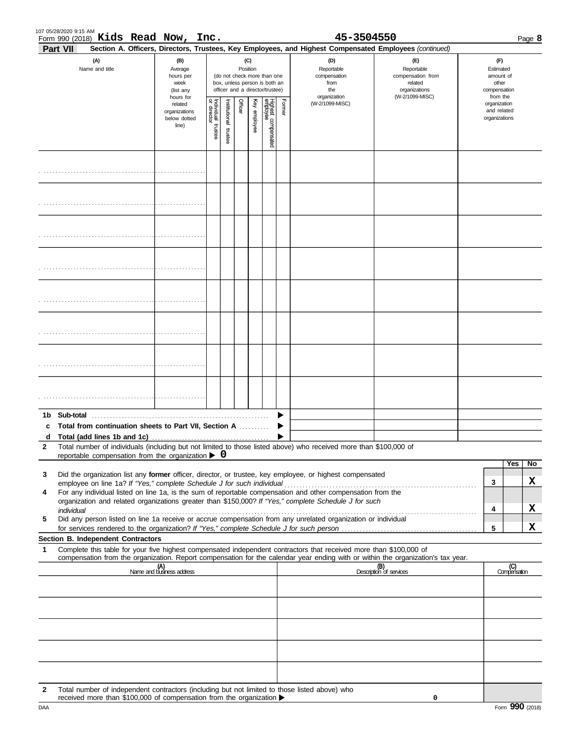|                   | 107 05/28/2020 9:15 AM<br>Form 990 (2018) Kids Read Now, Inc.                                                                                                                      |                                                                |                         |                         |         |                 |                                                                                                 |        | 45-3504550                                                                                                                                                 |                                                                    | Page 8                                                   |
|-------------------|------------------------------------------------------------------------------------------------------------------------------------------------------------------------------------|----------------------------------------------------------------|-------------------------|-------------------------|---------|-----------------|-------------------------------------------------------------------------------------------------|--------|------------------------------------------------------------------------------------------------------------------------------------------------------------|--------------------------------------------------------------------|----------------------------------------------------------|
|                   | <b>Part VII</b><br>(A)<br>Name and title                                                                                                                                           | (B)<br>Average<br>hours per<br>week<br>(list any               |                         |                         |         | (C)<br>Position | (do not check more than one<br>box, unless person is both an<br>officer and a director/trustee) |        | Section A. Officers, Directors, Trustees, Key Employees, and Highest Compensated Employees (continued)<br>(D)<br>Reportable<br>compensation<br>from<br>the | (F)<br>Reportable<br>compensation from<br>related<br>organizations |                                                          |
|                   |                                                                                                                                                                                    | hours for<br>related<br>organizations<br>below dotted<br>line) | Individual 1<br>trustee | hstitutional<br>trustee | Officer | Key employee    | Highest compensated<br>employee                                                                 | Former | organization<br>(W-2/1099-MISC)                                                                                                                            | (W-2/1099-MISC)                                                    | from the<br>organization<br>and related<br>organizations |
|                   |                                                                                                                                                                                    |                                                                |                         |                         |         |                 |                                                                                                 |        |                                                                                                                                                            |                                                                    |                                                          |
|                   |                                                                                                                                                                                    |                                                                |                         |                         |         |                 |                                                                                                 |        |                                                                                                                                                            |                                                                    |                                                          |
|                   |                                                                                                                                                                                    |                                                                |                         |                         |         |                 |                                                                                                 |        |                                                                                                                                                            |                                                                    |                                                          |
|                   |                                                                                                                                                                                    |                                                                |                         |                         |         |                 |                                                                                                 |        |                                                                                                                                                            |                                                                    |                                                          |
|                   |                                                                                                                                                                                    |                                                                |                         |                         |         |                 |                                                                                                 |        |                                                                                                                                                            |                                                                    |                                                          |
|                   |                                                                                                                                                                                    |                                                                |                         |                         |         |                 |                                                                                                 |        |                                                                                                                                                            |                                                                    |                                                          |
|                   |                                                                                                                                                                                    |                                                                |                         |                         |         |                 |                                                                                                 |        |                                                                                                                                                            |                                                                    |                                                          |
|                   |                                                                                                                                                                                    |                                                                |                         |                         |         |                 |                                                                                                 |        |                                                                                                                                                            |                                                                    |                                                          |
| 1b                | Sub-total                                                                                                                                                                          |                                                                |                         |                         |         |                 |                                                                                                 |        |                                                                                                                                                            |                                                                    |                                                          |
| c                 | Total from continuation sheets to Part VII, Section A                                                                                                                              |                                                                |                         |                         |         |                 |                                                                                                 |        |                                                                                                                                                            |                                                                    |                                                          |
| d<br>$\mathbf{2}$ | Total number of individuals (including but not limited to those listed above) who received more than \$100,000 of                                                                  |                                                                |                         |                         |         |                 |                                                                                                 |        |                                                                                                                                                            |                                                                    |                                                          |
|                   | reportable compensation from the organization $\triangleright$ 0                                                                                                                   |                                                                |                         |                         |         |                 |                                                                                                 |        |                                                                                                                                                            |                                                                    |                                                          |
|                   |                                                                                                                                                                                    |                                                                |                         |                         |         |                 |                                                                                                 |        |                                                                                                                                                            |                                                                    | Yes<br>No                                                |
| 3                 | Did the organization list any former officer, director, or trustee, key employee, or highest compensated<br>employee on line 1a? If "Yes," complete Schedule J for such individual |                                                                |                         |                         |         |                 |                                                                                                 |        |                                                                                                                                                            |                                                                    | x<br>3                                                   |
| 4                 | For any individual listed on line 1a, is the sum of reportable compensation and other compensation from the                                                                        |                                                                |                         |                         |         |                 |                                                                                                 |        |                                                                                                                                                            |                                                                    |                                                          |
|                   | organization and related organizations greater than \$150,000? If "Yes," complete Schedule J for such<br>individual                                                                |                                                                |                         |                         |         |                 |                                                                                                 |        |                                                                                                                                                            |                                                                    | X<br>4                                                   |
| 5                 | Did any person listed on line 1a receive or accrue compensation from any unrelated organization or individual                                                                      |                                                                |                         |                         |         |                 |                                                                                                 |        |                                                                                                                                                            |                                                                    |                                                          |
|                   | Section B. Independent Contractors                                                                                                                                                 |                                                                |                         |                         |         |                 |                                                                                                 |        |                                                                                                                                                            |                                                                    | X<br>5                                                   |
| 1                 | Complete this table for your five highest compensated independent contractors that received more than \$100,000 of                                                                 |                                                                |                         |                         |         |                 |                                                                                                 |        |                                                                                                                                                            |                                                                    |                                                          |
|                   | compensation from the organization. Report compensation for the calendar year ending with or within the organization's tax year.                                                   |                                                                |                         |                         |         |                 |                                                                                                 |        |                                                                                                                                                            |                                                                    |                                                          |
|                   |                                                                                                                                                                                    | (A)<br>Name and business address                               |                         |                         |         |                 |                                                                                                 |        |                                                                                                                                                            | (B)<br>Description of services                                     | (C)<br>Compensation                                      |
|                   |                                                                                                                                                                                    |                                                                |                         |                         |         |                 |                                                                                                 |        |                                                                                                                                                            |                                                                    |                                                          |
|                   |                                                                                                                                                                                    |                                                                |                         |                         |         |                 |                                                                                                 |        |                                                                                                                                                            |                                                                    |                                                          |
|                   |                                                                                                                                                                                    |                                                                |                         |                         |         |                 |                                                                                                 |        |                                                                                                                                                            |                                                                    |                                                          |
|                   |                                                                                                                                                                                    |                                                                |                         |                         |         |                 |                                                                                                 |        |                                                                                                                                                            |                                                                    |                                                          |
| 2                 | Total number of independent contractors (including but not limited to those listed above) who                                                                                      |                                                                |                         |                         |         |                 |                                                                                                 |        |                                                                                                                                                            |                                                                    |                                                          |

**0**

received more than \$100,000 of compensation from the organization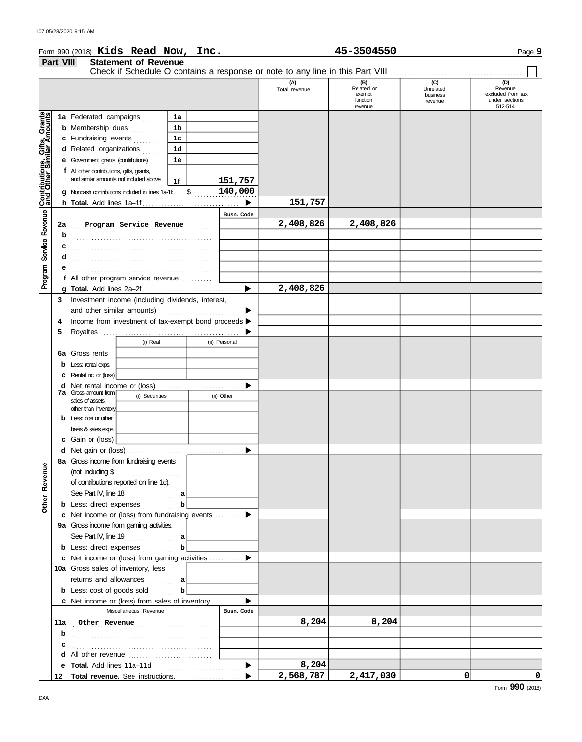|                                                                                                            |           |                                                     | Form 990 (2018) Kids Read Now, Inc.                                                |                |               |               |                      | 45-3504550                                         |                                         | Page 9                                                           |
|------------------------------------------------------------------------------------------------------------|-----------|-----------------------------------------------------|------------------------------------------------------------------------------------|----------------|---------------|---------------|----------------------|----------------------------------------------------|-----------------------------------------|------------------------------------------------------------------|
|                                                                                                            | Part VIII |                                                     | <b>Statement of Revenue</b>                                                        |                |               |               |                      |                                                    |                                         |                                                                  |
|                                                                                                            |           |                                                     |                                                                                    |                |               |               |                      |                                                    |                                         |                                                                  |
|                                                                                                            |           |                                                     |                                                                                    |                |               |               | (A)<br>Total revenue | (B)<br>Related or<br>exempt<br>function<br>revenue | (C)<br>Unrelated<br>business<br>revenue | (D)<br>Revenue<br>excluded from tax<br>under sections<br>512-514 |
|                                                                                                            |           |                                                     | 1a Federated campaigns                                                             | 1a             |               |               |                      |                                                    |                                         |                                                                  |
|                                                                                                            |           |                                                     | <b>b</b> Membership dues                                                           | 1b             |               |               |                      |                                                    |                                         |                                                                  |
|                                                                                                            |           | c Fundraising events                                |                                                                                    | 1 <sub>c</sub> |               |               |                      |                                                    |                                         |                                                                  |
|                                                                                                            |           | d Related organizations                             |                                                                                    | 1 <sub>d</sub> |               |               |                      |                                                    |                                         |                                                                  |
|                                                                                                            |           | <b>e</b> Government grants (contributions) $\ldots$ |                                                                                    | 1e             |               |               |                      |                                                    |                                         |                                                                  |
|                                                                                                            |           | f All other contributions, gifts, grants,           |                                                                                    |                |               |               |                      |                                                    |                                         |                                                                  |
|                                                                                                            |           |                                                     | and similar amounts not included above                                             | 1f             |               | 151,757       |                      |                                                    |                                         |                                                                  |
|                                                                                                            |           |                                                     | g Noncash contributions included in lines 1a-1f:                                   |                | $\mathsf{\$}$ | 140,000       |                      |                                                    |                                         |                                                                  |
|                                                                                                            |           |                                                     |                                                                                    |                |               |               | 151,757              |                                                    |                                         |                                                                  |
|                                                                                                            |           |                                                     |                                                                                    |                |               | Busn. Code    |                      |                                                    |                                         |                                                                  |
|                                                                                                            | 2a        |                                                     | Program Service Revenue                                                            |                |               |               | 2,408,826            | 2,408,826                                          |                                         |                                                                  |
|                                                                                                            | b         |                                                     |                                                                                    |                |               |               |                      |                                                    |                                         |                                                                  |
|                                                                                                            | С         |                                                     |                                                                                    |                |               |               |                      |                                                    |                                         |                                                                  |
|                                                                                                            | d         |                                                     |                                                                                    |                |               |               |                      |                                                    |                                         |                                                                  |
|                                                                                                            |           |                                                     |                                                                                    |                |               |               |                      |                                                    |                                         |                                                                  |
| Program Service Revenue Contributions, Gifts, Grants<br>Program Service Revenue Cand Other Similar Amounts |           |                                                     | f All other program service revenue                                                |                |               |               |                      |                                                    |                                         |                                                                  |
|                                                                                                            |           |                                                     |                                                                                    |                |               |               | 2,408,826            |                                                    |                                         |                                                                  |
|                                                                                                            | 3         |                                                     | Investment income (including dividends, interest,                                  |                |               | ▶             |                      |                                                    |                                         |                                                                  |
|                                                                                                            | 4         |                                                     | and other similar amounts)<br>Income from investment of tax-exempt bond proceeds > |                |               |               |                      |                                                    |                                         |                                                                  |
|                                                                                                            | 5         |                                                     |                                                                                    |                |               |               |                      |                                                    |                                         |                                                                  |
|                                                                                                            |           |                                                     | (i) Real                                                                           |                |               | (ii) Personal |                      |                                                    |                                         |                                                                  |
|                                                                                                            |           | <b>6a</b> Gross rents                               |                                                                                    |                |               |               |                      |                                                    |                                         |                                                                  |
|                                                                                                            |           | Less: rental exps.                                  |                                                                                    |                |               |               |                      |                                                    |                                         |                                                                  |
|                                                                                                            |           | <b>C</b> Rental inc. or (loss)                      |                                                                                    |                |               |               |                      |                                                    |                                         |                                                                  |
|                                                                                                            |           |                                                     |                                                                                    |                |               |               |                      |                                                    |                                         |                                                                  |
|                                                                                                            |           | <b>7a</b> Gross amount from                         | (i) Securities                                                                     |                |               | (ii) Other    |                      |                                                    |                                         |                                                                  |
|                                                                                                            |           | sales of assets<br>other than inventory             |                                                                                    |                |               |               |                      |                                                    |                                         |                                                                  |
|                                                                                                            |           | <b>b</b> Less: $\cos$ or other                      |                                                                                    |                |               |               |                      |                                                    |                                         |                                                                  |
|                                                                                                            |           | basis & sales exps.                                 |                                                                                    |                |               |               |                      |                                                    |                                         |                                                                  |
|                                                                                                            |           | c Gain or (loss)                                    |                                                                                    |                |               |               |                      |                                                    |                                         |                                                                  |
|                                                                                                            |           |                                                     |                                                                                    |                |               |               |                      |                                                    |                                         |                                                                  |
|                                                                                                            |           |                                                     | 8a Gross income from fundraising events                                            |                |               |               |                      |                                                    |                                         |                                                                  |
|                                                                                                            |           |                                                     |                                                                                    |                |               |               |                      |                                                    |                                         |                                                                  |
| Other Revenue                                                                                              |           |                                                     | of contributions reported on line 1c).                                             |                |               |               |                      |                                                    |                                         |                                                                  |
|                                                                                                            |           |                                                     | See Part IV, line 18 $\ldots$ a                                                    |                |               |               |                      |                                                    |                                         |                                                                  |
|                                                                                                            |           |                                                     | <b>b</b> Less: direct expenses <i>[[[[[[[[[[[[[[[[[[[[[[[[[[[[[[[[[[]]</i> ]]]     | b              |               |               |                      |                                                    |                                         |                                                                  |
|                                                                                                            |           |                                                     | c Net income or (loss) from fundraising events                                     |                |               |               |                      |                                                    |                                         |                                                                  |
|                                                                                                            |           |                                                     | 9a Gross income from gaming activities.                                            |                |               |               |                      |                                                    |                                         |                                                                  |
|                                                                                                            |           |                                                     | See Part IV, line 19 $a$<br><b>b</b> Less: direct expenses                         | b              |               |               |                      |                                                    |                                         |                                                                  |
|                                                                                                            |           |                                                     | c Net income or (loss) from gaming activities                                      |                |               | ▶             |                      |                                                    |                                         |                                                                  |
|                                                                                                            |           |                                                     | 10a Gross sales of inventory, less                                                 |                |               |               |                      |                                                    |                                         |                                                                  |
|                                                                                                            |           |                                                     | returns and allowances  a                                                          |                |               |               |                      |                                                    |                                         |                                                                  |
|                                                                                                            |           |                                                     | <b>b</b> Less: cost of goods sold $\ldots$                                         | b              |               |               |                      |                                                    |                                         |                                                                  |
|                                                                                                            |           |                                                     | c Net income or (loss) from sales of inventory                                     |                |               |               |                      |                                                    |                                         |                                                                  |
|                                                                                                            |           |                                                     | Miscellaneous Revenue                                                              |                |               | Busn. Code    |                      |                                                    |                                         |                                                                  |
|                                                                                                            |           |                                                     | 11a Other Revenue                                                                  |                |               |               | 8,204                | 8,204                                              |                                         |                                                                  |
|                                                                                                            | b         |                                                     |                                                                                    |                |               |               |                      |                                                    |                                         |                                                                  |
|                                                                                                            |           |                                                     |                                                                                    |                |               |               |                      |                                                    |                                         |                                                                  |
|                                                                                                            |           |                                                     |                                                                                    |                |               |               |                      |                                                    |                                         |                                                                  |

8,204<br>2,568,787

 $\blacktriangleright$  $\blacktriangleright$ 

**2,568,787 2,417,030 0 0**

**e**

**Total revenue.** See instructions. . . . . . . . . . . . . . . . . . . . . **12**

**Total.** Add lines 11a–11d .............................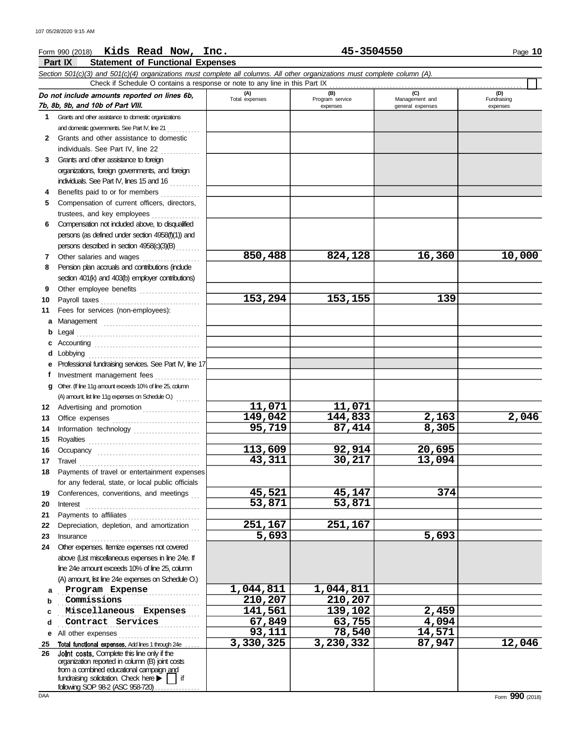### Form 990 (2018) Page **10 Kids Read Now, Inc. 45-3504550**

**Part IX Statement of Functional Expenses**

|              | <b>Part IX</b><br>Statement of Functional Expenses                                                                         |                       |                        |                       |                    |
|--------------|----------------------------------------------------------------------------------------------------------------------------|-----------------------|------------------------|-----------------------|--------------------|
|              | Section 501(c)(3) and 501(c)(4) organizations must complete all columns. All other organizations must complete column (A). |                       |                        |                       |                    |
|              | Check if Schedule O contains a response or note to any line in this Part IX                                                |                       |                        |                       |                    |
|              | Do not include amounts reported on lines 6b,                                                                               | (A)<br>Total expenses | (B)<br>Program service | (C)<br>Management and | (D)<br>Fundraising |
|              | 7b, 8b, 9b, and 10b of Part VIII.                                                                                          |                       | expenses               | general expenses      | expenses           |
|              | 1 Grants and other assistance to domestic organizations                                                                    |                       |                        |                       |                    |
|              | and domestic governments. See Part IV, line 21                                                                             |                       |                        |                       |                    |
| $\mathbf{2}$ | Grants and other assistance to domestic                                                                                    |                       |                        |                       |                    |
|              | individuals. See Part IV, line 22                                                                                          |                       |                        |                       |                    |
| 3.           | Grants and other assistance to foreign                                                                                     |                       |                        |                       |                    |
|              | organizations, foreign governments, and foreign                                                                            |                       |                        |                       |                    |
|              | individuals. See Part IV, lines 15 and 16                                                                                  |                       |                        |                       |                    |
| 4            | Benefits paid to or for members                                                                                            |                       |                        |                       |                    |
| 5            | Compensation of current officers, directors,                                                                               |                       |                        |                       |                    |
|              | trustees, and key employees                                                                                                |                       |                        |                       |                    |
| 6            | Compensation not included above, to disqualified                                                                           |                       |                        |                       |                    |
|              | persons (as defined under section 4958(f)(1)) and                                                                          |                       |                        |                       |                    |
|              | persons described in section 4958(c)(3)(B)                                                                                 |                       |                        |                       |                    |
| 7            | Other salaries and wages<br>.                                                                                              | 850,488               | 824,128                | 16,360                | 10,000             |
| 8            | Pension plan accruals and contributions (indude                                                                            |                       |                        |                       |                    |
|              | section 401(k) and 403(b) employer contributions)                                                                          |                       |                        |                       |                    |
| 9            | Other employee benefits                                                                                                    |                       |                        |                       |                    |
| 10           |                                                                                                                            | 153,294               | 153,155                | 139                   |                    |
| 11           | Fees for services (non-employees):                                                                                         |                       |                        |                       |                    |
| a            | Management                                                                                                                 |                       |                        |                       |                    |
| b            | Legal                                                                                                                      |                       |                        |                       |                    |
|              |                                                                                                                            |                       |                        |                       |                    |
| d            | Lobbying                                                                                                                   |                       |                        |                       |                    |
|              | Professional fundraising services. See Part IV, line 17                                                                    |                       |                        |                       |                    |
| f            | Investment management fees                                                                                                 |                       |                        |                       |                    |
| a            | Other. (If line 11g amount exceeds 10% of line 25, column                                                                  |                       |                        |                       |                    |
|              |                                                                                                                            |                       |                        |                       |                    |
| 12           | Advertising and promotion                                                                                                  | 11,071                | 11,071                 |                       |                    |
| 13           |                                                                                                                            | 149,042               | 144,833                | 2,163                 | 2,046              |
| 14           | Information technology                                                                                                     | 95,719                | 87,414                 | 8,305                 |                    |
| 15           |                                                                                                                            |                       |                        |                       |                    |
| 16           | Occupancy                                                                                                                  | 113,609               | 92,914                 | 20,695                |                    |
| 17           | Travel                                                                                                                     | 43,311                | 30,217                 | 13,094                |                    |
|              | 18 Payments of travel or entertainment expenses                                                                            |                       |                        |                       |                    |
|              | for any federal, state, or local public officials                                                                          |                       |                        |                       |                    |
| 19           | Conferences, conventions, and meetings                                                                                     | 45,521<br>53,871      | 45,147<br>53,871       | 374                   |                    |
| 20           | Interest                                                                                                                   |                       |                        |                       |                    |
| 21           | Payments to affiliates [11] [11] Payments to affiliates                                                                    | 251,167               | 251,167                |                       |                    |
| 22           | Depreciation, depletion, and amortization                                                                                  | 5,693                 |                        | 5,693                 |                    |
| 23           | Insurance<br>Other expenses. Itemize expenses not covered                                                                  |                       |                        |                       |                    |
| 24           |                                                                                                                            |                       |                        |                       |                    |
|              | above (List miscellaneous expenses in line 24e. If<br>line 24e amount exceeds 10% of line 25, column                       |                       |                        |                       |                    |
|              | (A) amount, list line 24e expenses on Schedule O.)                                                                         |                       |                        |                       |                    |
|              |                                                                                                                            | 1,044,811             | 1,044,811              |                       |                    |
| a            | Program Expense<br>Commissions                                                                                             | 210,207               | 210,207                |                       |                    |
| b            | Miscellaneous Expenses                                                                                                     | 141,561               | 139,102                | 2,459                 |                    |
| c            | Contract Services                                                                                                          | 67,849                | $\overline{63,}755$    | 4,094                 |                    |
| d            |                                                                                                                            | 93,111                | 78,540                 | 14,571                |                    |
| е            | All other expenses                                                                                                         | 3,330,325             | 3,230,332              | 87,947                | 12,046             |
| 25<br>26     | Total functional expenses. Add lines 1 through 24e<br>Joint costs. Complete this line only if the                          |                       |                        |                       |                    |
|              | organization reported in column (B) joint costs                                                                            |                       |                        |                       |                    |
|              | from a combined educational campaign and                                                                                   |                       |                        |                       |                    |
|              | fundraising solicitation. Check here<br>if                                                                                 |                       |                        |                       |                    |

following SOP 98-2 (ASC 958-720). . . . . . . . . . . . . . .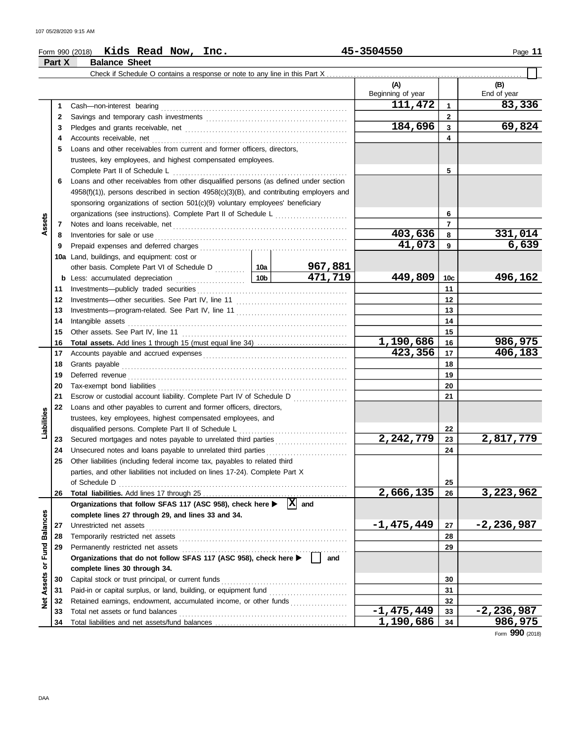| Form 990 (2018) | Kids<br>Read | Now,<br>Inc. | 3504550<br>-- | Page |
|-----------------|--------------|--------------|---------------|------|
|                 |              |              |               |      |

|                 | Part X | <b>Balance Sheet</b>                                                                                                                                                                                                                |           |                       |                          |                 |                    |
|-----------------|--------|-------------------------------------------------------------------------------------------------------------------------------------------------------------------------------------------------------------------------------------|-----------|-----------------------|--------------------------|-----------------|--------------------|
|                 |        | Check if Schedule O contains a response or note to any line in this Part X                                                                                                                                                          |           |                       |                          |                 |                    |
|                 |        |                                                                                                                                                                                                                                     |           |                       | (A)<br>Beginning of year |                 | (B)<br>End of year |
|                 | 1      |                                                                                                                                                                                                                                     |           |                       | 111,472                  | $\mathbf{1}$    | 83,336             |
|                 | 2      |                                                                                                                                                                                                                                     |           |                       |                          | $\mathbf{2}$    |                    |
|                 | 3      |                                                                                                                                                                                                                                     |           |                       | 184,696                  | 3               | 69,824             |
|                 | 4      |                                                                                                                                                                                                                                     |           |                       |                          | 4               |                    |
|                 | 5      | Loans and other receivables from current and former officers, directors,                                                                                                                                                            |           |                       |                          |                 |                    |
|                 |        | trustees, key employees, and highest compensated employees.                                                                                                                                                                         |           |                       |                          |                 |                    |
|                 |        | Complete Part II of Schedule L                                                                                                                                                                                                      |           |                       |                          | 5               |                    |
|                 | 6      | Loans and other receivables from other disqualified persons (as defined under section                                                                                                                                               |           |                       |                          |                 |                    |
|                 |        | $4958(f)(1)$ ), persons described in section $4958(c)(3)(B)$ , and contributing employers and                                                                                                                                       |           |                       |                          |                 |                    |
|                 |        | sponsoring organizations of section 501(c)(9) voluntary employees' beneficiary                                                                                                                                                      |           |                       |                          |                 |                    |
|                 |        | organizations (see instructions). Complete Part II of Schedule L [1111] [111]                                                                                                                                                       |           |                       |                          | 6               |                    |
| ssets           |        |                                                                                                                                                                                                                                     |           |                       |                          | $\overline{7}$  |                    |
| ⋖               | 7      |                                                                                                                                                                                                                                     |           |                       | 403,636                  | 8               | 331,014            |
|                 | 8      | Inventories for sale or use <i>communication</i> and the state of the state or use of the state of the state of the state of the state of the state of the state of the state of the state of the state of the state of the state o |           |                       | 41,073                   | 9               | 6,639              |
|                 | 9      |                                                                                                                                                                                                                                     |           |                       |                          |                 |                    |
|                 | 10a    | Land, buildings, and equipment: cost or                                                                                                                                                                                             |           | 967,881               |                          |                 |                    |
|                 |        |                                                                                                                                                                                                                                     |           | 471,719               | 449,809                  | 10 <sub>c</sub> | 496,162            |
|                 | 11     |                                                                                                                                                                                                                                     |           |                       |                          | 11              |                    |
|                 | 12     |                                                                                                                                                                                                                                     |           |                       |                          | 12              |                    |
|                 | 13     |                                                                                                                                                                                                                                     |           |                       |                          | 13              |                    |
|                 | 14     |                                                                                                                                                                                                                                     |           | 14                    |                          |                 |                    |
|                 | 15     | Intangible assets with a state of the contract of the state of the state of the state of the state of the state of the state of the state of the state of the state of the state of the state of the state of the state of the      |           | 15                    |                          |                 |                    |
|                 | 16     |                                                                                                                                                                                                                                     | 1,190,686 | 16                    | 986,975                  |                 |                    |
|                 | 17     |                                                                                                                                                                                                                                     | 423,356   | 17                    | 406,183                  |                 |                    |
|                 | 18     |                                                                                                                                                                                                                                     |           |                       |                          | 18              |                    |
|                 | 19     |                                                                                                                                                                                                                                     |           |                       |                          | 19              |                    |
|                 | 20     | Deferred revenue communication and contain an account of the contact of the contact of the contact of the contact of the contact of the contact of the contact of the contact of the contact of the contact of the contact of       |           |                       |                          | 20              |                    |
|                 | 21     | Escrow or custodial account liability. Complete Part IV of Schedule D                                                                                                                                                               |           |                       |                          | 21              |                    |
|                 | 22     | Loans and other payables to current and former officers, directors,                                                                                                                                                                 |           |                       |                          |                 |                    |
| Liabilities     |        | trustees, key employees, highest compensated employees, and                                                                                                                                                                         |           |                       |                          |                 |                    |
|                 |        |                                                                                                                                                                                                                                     |           |                       |                          | 22              |                    |
|                 | 23     |                                                                                                                                                                                                                                     |           |                       | 2,242,779                | 23              | 2,817,779          |
|                 | 24     |                                                                                                                                                                                                                                     |           |                       |                          | 24              |                    |
|                 | 25     | Other liabilities (including federal income tax, payables to related third                                                                                                                                                          |           |                       |                          |                 |                    |
|                 |        | parties, and other liabilities not included on lines 17-24). Complete Part X                                                                                                                                                        |           |                       |                          |                 |                    |
|                 |        | of Schedule D                                                                                                                                                                                                                       |           |                       |                          | 25              |                    |
|                 | 26     |                                                                                                                                                                                                                                     |           |                       | 2,666,135                | 26              | 3,223,962          |
|                 |        | Organizations that follow SFAS 117 (ASC 958), check here                                                                                                                                                                            |           | $ \mathbf{x} $<br>and |                          |                 |                    |
|                 |        | complete lines 27 through 29, and lines 33 and 34.                                                                                                                                                                                  |           |                       |                          |                 |                    |
|                 | 27     | Unrestricted net assets                                                                                                                                                                                                             |           |                       | $-1,475,449$             | 27              | $-2,236,987$       |
| <b>Balances</b> | 28     | Temporarily restricted net assets                                                                                                                                                                                                   |           |                       | 28                       |                 |                    |
|                 | 29     | Permanently restricted net assets                                                                                                                                                                                                   |           |                       |                          | 29              |                    |
| or Fund         |        | Organizations that do not follow SFAS 117 (ASC 958), check here >                                                                                                                                                                   |           | and                   |                          |                 |                    |
|                 |        | complete lines 30 through 34.                                                                                                                                                                                                       |           |                       |                          |                 |                    |
| Assets          | 30     | Capital stock or trust principal, or current funds                                                                                                                                                                                  |           |                       |                          | 30              |                    |
|                 | 31     | Paid-in or capital surplus, or land, building, or equipment fund                                                                                                                                                                    |           |                       |                          | 31              |                    |
| <b>P</b>        | 32     | Retained earnings, endowment, accumulated income, or other funds                                                                                                                                                                    |           |                       |                          | 32              |                    |
|                 | 33     | Total net assets or fund balances                                                                                                                                                                                                   |           |                       | $-1,475,449$             | 33              | $-2,236,987$       |
|                 | 34     |                                                                                                                                                                                                                                     |           |                       | 1,190,686                | 34              | 986,975            |

Form **990** (2018)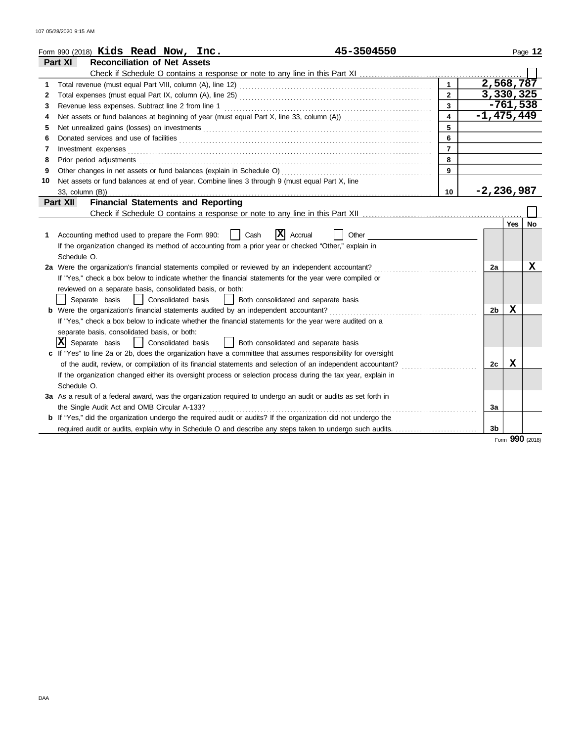|    | 45-3504550<br>Form 990 $(2018)$ Kids Read Now, Inc.                                                                                                                                                                                 |                         |                        |            | Page 12   |
|----|-------------------------------------------------------------------------------------------------------------------------------------------------------------------------------------------------------------------------------------|-------------------------|------------------------|------------|-----------|
|    | <b>Reconciliation of Net Assets</b><br>Part XI                                                                                                                                                                                      |                         |                        |            |           |
|    |                                                                                                                                                                                                                                     |                         |                        |            |           |
| 1  |                                                                                                                                                                                                                                     |                         | $\overline{2,568,787}$ |            |           |
| 2  |                                                                                                                                                                                                                                     | $\overline{2}$          | 3,330,325              |            |           |
| 3  | Revenue less expenses. Subtract line 2 from line 1                                                                                                                                                                                  | $\overline{3}$          |                        | $-761,538$ |           |
| 4  | Net assets or fund balances at beginning of year (must equal Part X, line 33, column (A)) [[[[[[[[[[[[[[[[[[[                                                                                                                       | $\overline{\mathbf{4}}$ | $-1,475,449$           |            |           |
| 5  | Net unrealized gains (losses) on investments [11] with the content of the content of the state of the state of the state of the state of the state of the state of the state of the state of the state of the state of the sta      | 5                       |                        |            |           |
| 6  |                                                                                                                                                                                                                                     | 6                       |                        |            |           |
| 7  | Investment expenses                                                                                                                                                                                                                 | $\overline{7}$          |                        |            |           |
| 8  | Prior period adjustments <b>construction and construction of the construction</b> and construction of the construction of the construction of the construction of the construction of the construction of the construction of the c | 8                       |                        |            |           |
| 9  |                                                                                                                                                                                                                                     | 9                       |                        |            |           |
| 10 | Net assets or fund balances at end of year. Combine lines 3 through 9 (must equal Part X, line                                                                                                                                      |                         |                        |            |           |
|    |                                                                                                                                                                                                                                     | 10                      | $-2, 236, 987$         |            |           |
|    | <b>Financial Statements and Reporting</b><br>Part XII                                                                                                                                                                               |                         |                        |            |           |
|    |                                                                                                                                                                                                                                     |                         |                        |            |           |
|    |                                                                                                                                                                                                                                     |                         |                        | Yes        | <b>No</b> |
| 1  | $ \mathbf{X} $ Accrual<br>Cash<br>Accounting method used to prepare the Form 990:<br>Other                                                                                                                                          |                         |                        |            |           |
|    | If the organization changed its method of accounting from a prior year or checked "Other," explain in                                                                                                                               |                         |                        |            |           |
|    | Schedule O.                                                                                                                                                                                                                         |                         |                        |            |           |
|    | 2a Were the organization's financial statements compiled or reviewed by an independent accountant?                                                                                                                                  |                         | 2a                     |            | x         |
|    | If "Yes," check a box below to indicate whether the financial statements for the year were compiled or                                                                                                                              |                         |                        |            |           |
|    | reviewed on a separate basis, consolidated basis, or both:                                                                                                                                                                          |                         |                        |            |           |
|    | Separate basis<br>  Consolidated basis<br>Both consolidated and separate basis                                                                                                                                                      |                         |                        |            |           |
|    | <b>b</b> Were the organization's financial statements audited by an independent accountant?                                                                                                                                         |                         | 2 <sub>b</sub>         | X          |           |
|    | If "Yes," check a box below to indicate whether the financial statements for the year were audited on a                                                                                                                             |                         |                        |            |           |
|    | separate basis, consolidated basis, or both:                                                                                                                                                                                        |                         |                        |            |           |
|    | $ \mathbf{X} $ Separate basis<br>  Consolidated basis<br>  Both consolidated and separate basis                                                                                                                                     |                         |                        |            |           |
|    | c If "Yes" to line 2a or 2b, does the organization have a committee that assumes responsibility for oversight                                                                                                                       |                         |                        |            |           |
|    | of the audit, review, or compilation of its financial statements and selection of an independent accountant?                                                                                                                        |                         | 2с                     | x          |           |
|    | If the organization changed either its oversight process or selection process during the tax year, explain in                                                                                                                       |                         |                        |            |           |
|    | Schedule O.                                                                                                                                                                                                                         |                         |                        |            |           |
|    | 3a As a result of a federal award, was the organization required to undergo an audit or audits as set forth in                                                                                                                      |                         |                        |            |           |
|    | the Single Audit Act and OMB Circular A-133?                                                                                                                                                                                        |                         | За                     |            |           |
|    | <b>b</b> If "Yes," did the organization undergo the required audit or audits? If the organization did not undergo the                                                                                                               |                         |                        |            |           |
|    | required audit or audits, explain why in Schedule O and describe any steps taken to undergo such audits.                                                                                                                            |                         | 3b                     |            |           |

Form **990** (2018)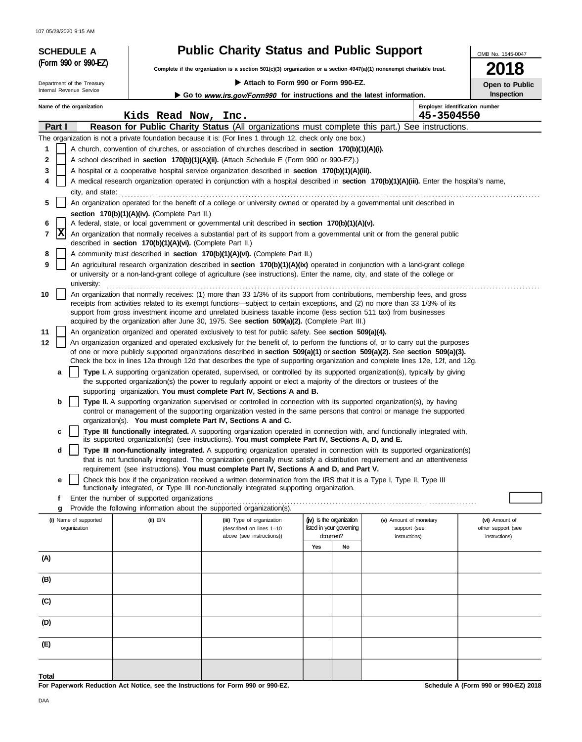107 05/28/2020 9:15 AM

# SCHEDULE A **Public Charity Status and Public Support** (Form 990 or 990-EZ)

OMB No. 1545-0047

**2018**

**Open to Public Inspection**

**Complete if the organization is a section 501(c)(3) organization or a section 4947(a)(1) nonexempt charitable trust.**

### **Attach to Form 990 or Form 990-EZ.**

Department of the Treasury<br>Internal Revenue Service

Go to www.irs.gov/Form990 for instructions and the latest information.

| Name of the organization              | Kids Read Now, Inc.                                                              |                                                                                                                                                                                                                                                                                                                                                                                                    |     |                                                      | 45-3504550                             | Employer identification number       |
|---------------------------------------|----------------------------------------------------------------------------------|----------------------------------------------------------------------------------------------------------------------------------------------------------------------------------------------------------------------------------------------------------------------------------------------------------------------------------------------------------------------------------------------------|-----|------------------------------------------------------|----------------------------------------|--------------------------------------|
| Part I                                |                                                                                  | Reason for Public Charity Status (All organizations must complete this part.) See instructions.                                                                                                                                                                                                                                                                                                    |     |                                                      |                                        |                                      |
|                                       |                                                                                  | The organization is not a private foundation because it is: (For lines 1 through 12, check only one box.)                                                                                                                                                                                                                                                                                          |     |                                                      |                                        |                                      |
| 1                                     |                                                                                  | A church, convention of churches, or association of churches described in section 170(b)(1)(A)(i).                                                                                                                                                                                                                                                                                                 |     |                                                      |                                        |                                      |
| 2                                     |                                                                                  | A school described in section 170(b)(1)(A)(ii). (Attach Schedule E (Form 990 or 990-EZ).)                                                                                                                                                                                                                                                                                                          |     |                                                      |                                        |                                      |
| 3                                     |                                                                                  | A hospital or a cooperative hospital service organization described in section 170(b)(1)(A)(iii).                                                                                                                                                                                                                                                                                                  |     |                                                      |                                        |                                      |
| 4                                     |                                                                                  | A medical research organization operated in conjunction with a hospital described in section 170(b)(1)(A)(iii). Enter the hospital's name,                                                                                                                                                                                                                                                         |     |                                                      |                                        |                                      |
| city, and state:                      |                                                                                  |                                                                                                                                                                                                                                                                                                                                                                                                    |     |                                                      |                                        |                                      |
| 5                                     |                                                                                  | An organization operated for the benefit of a college or university owned or operated by a governmental unit described in                                                                                                                                                                                                                                                                          |     |                                                      |                                        |                                      |
|                                       | section 170(b)(1)(A)(iv). (Complete Part II.)                                    |                                                                                                                                                                                                                                                                                                                                                                                                    |     |                                                      |                                        |                                      |
| 6<br> X<br>7                          |                                                                                  | A federal, state, or local government or governmental unit described in section 170(b)(1)(A)(v).<br>An organization that normally receives a substantial part of its support from a governmental unit or from the general public                                                                                                                                                                   |     |                                                      |                                        |                                      |
|                                       | described in section 170(b)(1)(A)(vi). (Complete Part II.)                       |                                                                                                                                                                                                                                                                                                                                                                                                    |     |                                                      |                                        |                                      |
| 8<br>9                                |                                                                                  | A community trust described in section 170(b)(1)(A)(vi). (Complete Part II.)                                                                                                                                                                                                                                                                                                                       |     |                                                      |                                        |                                      |
| university:                           |                                                                                  | An agricultural research organization described in section 170(b)(1)(A)(ix) operated in conjunction with a land-grant college<br>or university or a non-land-grant college of agriculture (see instructions). Enter the name, city, and state of the college or                                                                                                                                    |     |                                                      |                                        |                                      |
| 10                                    |                                                                                  | An organization that normally receives: (1) more than 33 1/3% of its support from contributions, membership fees, and gross<br>receipts from activities related to its exempt functions—subject to certain exceptions, and (2) no more than 33 1/3% of its<br>support from gross investment income and unrelated business taxable income (less section 511 tax) from businesses                    |     |                                                      |                                        |                                      |
|                                       |                                                                                  | acquired by the organization after June 30, 1975. See section 509(a)(2). (Complete Part III.)                                                                                                                                                                                                                                                                                                      |     |                                                      |                                        |                                      |
| 11                                    |                                                                                  | An organization organized and operated exclusively to test for public safety. See section 509(a)(4).                                                                                                                                                                                                                                                                                               |     |                                                      |                                        |                                      |
| 12                                    |                                                                                  | An organization organized and operated exclusively for the benefit of, to perform the functions of, or to carry out the purposes<br>of one or more publicly supported organizations described in section 509(a)(1) or section 509(a)(2). See section 509(a)(3).<br>Check the box in lines 12a through 12d that describes the type of supporting organization and complete lines 12e, 12f, and 12g. |     |                                                      |                                        |                                      |
| a                                     |                                                                                  | Type I. A supporting organization operated, supervised, or controlled by its supported organization(s), typically by giving                                                                                                                                                                                                                                                                        |     |                                                      |                                        |                                      |
|                                       |                                                                                  | the supported organization(s) the power to regularly appoint or elect a majority of the directors or trustees of the                                                                                                                                                                                                                                                                               |     |                                                      |                                        |                                      |
|                                       |                                                                                  | supporting organization. You must complete Part IV, Sections A and B.                                                                                                                                                                                                                                                                                                                              |     |                                                      |                                        |                                      |
| b                                     |                                                                                  | Type II. A supporting organization supervised or controlled in connection with its supported organization(s), by having                                                                                                                                                                                                                                                                            |     |                                                      |                                        |                                      |
|                                       | organization(s). You must complete Part IV, Sections A and C.                    | control or management of the supporting organization vested in the same persons that control or manage the supported                                                                                                                                                                                                                                                                               |     |                                                      |                                        |                                      |
| c                                     |                                                                                  | Type III functionally integrated. A supporting organization operated in connection with, and functionally integrated with,                                                                                                                                                                                                                                                                         |     |                                                      |                                        |                                      |
|                                       |                                                                                  | its supported organization(s) (see instructions). You must complete Part IV, Sections A, D, and E.                                                                                                                                                                                                                                                                                                 |     |                                                      |                                        |                                      |
| d                                     |                                                                                  | Type III non-functionally integrated. A supporting organization operated in connection with its supported organization(s)                                                                                                                                                                                                                                                                          |     |                                                      |                                        |                                      |
|                                       |                                                                                  | that is not functionally integrated. The organization generally must satisfy a distribution requirement and an attentiveness<br>requirement (see instructions). You must complete Part IV, Sections A and D, and Part V.                                                                                                                                                                           |     |                                                      |                                        |                                      |
| е                                     |                                                                                  | Check this box if the organization received a written determination from the IRS that it is a Type I, Type II, Type III                                                                                                                                                                                                                                                                            |     |                                                      |                                        |                                      |
|                                       |                                                                                  | functionally integrated, or Type III non-functionally integrated supporting organization.                                                                                                                                                                                                                                                                                                          |     |                                                      |                                        |                                      |
|                                       | Enter the number of supported organizations                                      |                                                                                                                                                                                                                                                                                                                                                                                                    |     |                                                      |                                        |                                      |
|                                       | Provide the following information about the supported organization(s).           |                                                                                                                                                                                                                                                                                                                                                                                                    |     |                                                      |                                        |                                      |
| (i) Name of supported<br>organization | (ii) EIN                                                                         | (iii) Type of organization<br>(described on lines 1-10                                                                                                                                                                                                                                                                                                                                             |     | (iv) Is the organization<br>listed in your governing | (v) Amount of monetary<br>support (see | (vi) Amount of<br>other support (see |
|                                       |                                                                                  | above (see instructions))                                                                                                                                                                                                                                                                                                                                                                          |     | document?                                            | instructions)                          | instructions)                        |
|                                       |                                                                                  |                                                                                                                                                                                                                                                                                                                                                                                                    | Yes | No                                                   |                                        |                                      |
| (A)                                   |                                                                                  |                                                                                                                                                                                                                                                                                                                                                                                                    |     |                                                      |                                        |                                      |
| (B)                                   |                                                                                  |                                                                                                                                                                                                                                                                                                                                                                                                    |     |                                                      |                                        |                                      |
|                                       |                                                                                  |                                                                                                                                                                                                                                                                                                                                                                                                    |     |                                                      |                                        |                                      |
| (C)                                   |                                                                                  |                                                                                                                                                                                                                                                                                                                                                                                                    |     |                                                      |                                        |                                      |
| (D)                                   |                                                                                  |                                                                                                                                                                                                                                                                                                                                                                                                    |     |                                                      |                                        |                                      |
| (E)                                   |                                                                                  |                                                                                                                                                                                                                                                                                                                                                                                                    |     |                                                      |                                        |                                      |
|                                       |                                                                                  |                                                                                                                                                                                                                                                                                                                                                                                                    |     |                                                      |                                        |                                      |
| <b>Total</b>                          |                                                                                  |                                                                                                                                                                                                                                                                                                                                                                                                    |     |                                                      |                                        |                                      |
|                                       | For Paperwork Reduction Act Notice, see the Instructions for Form 990 or 990-EZ. |                                                                                                                                                                                                                                                                                                                                                                                                    |     |                                                      |                                        | Schedule A (Form 990 or 990-EZ) 2018 |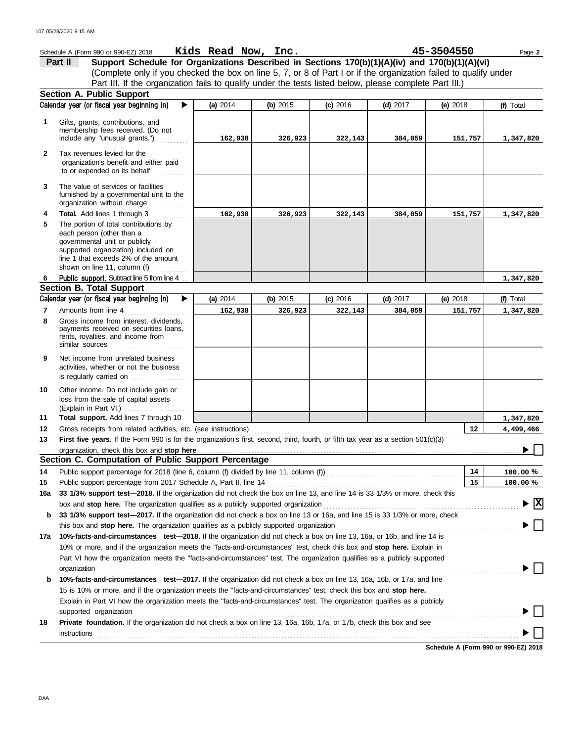|              | Schedule A (Form 990 or 990-EZ) 2018                                                                                                                                                                                        | Kids Read Now, Inc. |            |            |            | 45-3504550 | Page 2              |
|--------------|-----------------------------------------------------------------------------------------------------------------------------------------------------------------------------------------------------------------------------|---------------------|------------|------------|------------|------------|---------------------|
|              | Support Schedule for Organizations Described in Sections 170(b)(1)(A)(iv) and 170(b)(1)(A)(vi)<br>Part II                                                                                                                   |                     |            |            |            |            |                     |
|              | (Complete only if you checked the box on line 5, 7, or 8 of Part I or if the organization failed to qualify under                                                                                                           |                     |            |            |            |            |                     |
|              | Part III. If the organization fails to qualify under the tests listed below, please complete Part III.)                                                                                                                     |                     |            |            |            |            |                     |
|              | <b>Section A. Public Support</b>                                                                                                                                                                                            |                     |            |            |            |            |                     |
|              | Calendar year (or fiscal year beginning in)<br>▶                                                                                                                                                                            | (a) 2014            | (b) $2015$ | $(c)$ 2016 | $(d)$ 2017 | (e) 2018   | (f) Total           |
| 1            | Gifts, grants, contributions, and<br>membership fees received. (Do not<br>include any "unusual grants.")                                                                                                                    | 162,938             | 326,923    | 322,143    | 384,059    | 151,757    | 1,347,820           |
| $\mathbf{2}$ | Tax revenues levied for the<br>organization's benefit and either paid<br>to or expended on its behalf                                                                                                                       |                     |            |            |            |            |                     |
| 3            | The value of services or facilities<br>furnished by a governmental unit to the<br>organization without charge<br><u>.</u><br>1986 - Paul Barbara, president                                                                 |                     |            |            |            |            |                     |
| 4            | <b>Total.</b> Add lines 1 through 3                                                                                                                                                                                         | 162,938             | 326,923    | 322,143    | 384,059    | 151,757    | 1,347,820           |
| 5            | The portion of total contributions by<br>each person (other than a<br>governmental unit or publicly<br>supported organization) included on<br>line 1 that exceeds 2% of the amount<br>shown on line 11, column (f) $\ldots$ |                     |            |            |            |            |                     |
| 6            | Public support. Subtract line 5 from line 4                                                                                                                                                                                 |                     |            |            |            |            | 1,347,820           |
|              | <b>Section B. Total Support</b>                                                                                                                                                                                             |                     |            |            |            |            |                     |
|              | Calendar year (or fiscal year beginning in)<br>▶                                                                                                                                                                            | (a) 2014            | (b) $2015$ | $(c)$ 2016 | (d) $2017$ | (e) $2018$ | (f) Total           |
| 7<br>8       | Amounts from line 4<br>Gross income from interest, dividends,                                                                                                                                                               | 162,938             | 326,923    | 322,143    | 384,059    | 151,757    | 1,347,820           |
|              | payments received on securities loans,<br>rents, royalties, and income from<br>similar sources                                                                                                                              |                     |            |            |            |            |                     |
| 9            | Net income from unrelated business<br>activities, whether or not the business<br>is regularly carried on                                                                                                                    |                     |            |            |            |            |                     |
| 10           | Other income. Do not include gain or<br>loss from the sale of capital assets                                                                                                                                                |                     |            |            |            |            |                     |
| 11           | Total support. Add lines 7 through 10                                                                                                                                                                                       |                     |            |            |            |            | 1,347,820           |
| 12           |                                                                                                                                                                                                                             |                     |            |            |            | 12         | 4,499,466           |
| 13           | First five years. If the Form 990 is for the organization's first, second, third, fourth, or fifth tax year as a section 501(c)(3)                                                                                          |                     |            |            |            |            |                     |
|              |                                                                                                                                                                                                                             |                     |            |            |            |            |                     |
|              | Section C. Computation of Public Support Percentage                                                                                                                                                                         |                     |            |            |            |            |                     |
| 14           |                                                                                                                                                                                                                             |                     |            |            |            | 14<br>15   | 100.00%<br>100.00 % |
| 15           | 33 1/3% support test-2018. If the organization did not check the box on line 13, and line 14 is 33 1/3% or more, check this                                                                                                 |                     |            |            |            |            |                     |
| 16a          |                                                                                                                                                                                                                             |                     |            |            |            |            | $\vert x \vert$     |
| b            | 33 1/3% support test-2017. If the organization did not check a box on line 13 or 16a, and line 15 is 33 1/3% or more, check                                                                                                 |                     |            |            |            |            |                     |
|              | this box and stop here. The organization qualifies as a publicly supported organization                                                                                                                                     |                     |            |            |            |            |                     |
| 17a          | 10%-facts-and-circumstances test-2018. If the organization did not check a box on line 13, 16a, or 16b, and line 14 is                                                                                                      |                     |            |            |            |            |                     |
|              | 10% or more, and if the organization meets the "facts-and-circumstances" test, check this box and stop here. Explain in                                                                                                     |                     |            |            |            |            |                     |
|              | Part VI how the organization meets the "facts-and-circumstances" test. The organization qualifies as a publicly supported                                                                                                   |                     |            |            |            |            |                     |
|              | organization                                                                                                                                                                                                                |                     |            |            |            |            |                     |
| b            | 10%-facts-and-circumstances test-2017. If the organization did not check a box on line 13, 16a, 16b, or 17a, and line                                                                                                       |                     |            |            |            |            |                     |
|              | 15 is 10% or more, and if the organization meets the "facts-and-circumstances" test, check this box and stop here.                                                                                                          |                     |            |            |            |            |                     |
|              | Explain in Part VI how the organization meets the "facts-and-circumstances" test. The organization qualifies as a publicly                                                                                                  |                     |            |            |            |            |                     |
|              | supported organization                                                                                                                                                                                                      |                     |            |            |            |            |                     |
| 18           | Private foundation. If the organization did not check a box on line 13, 16a, 16b, 17a, or 17b, check this box and see                                                                                                       |                     |            |            |            |            |                     |
|              | instructions                                                                                                                                                                                                                |                     |            |            |            |            |                     |

**Schedule A (Form 990 or 990-EZ) 2018**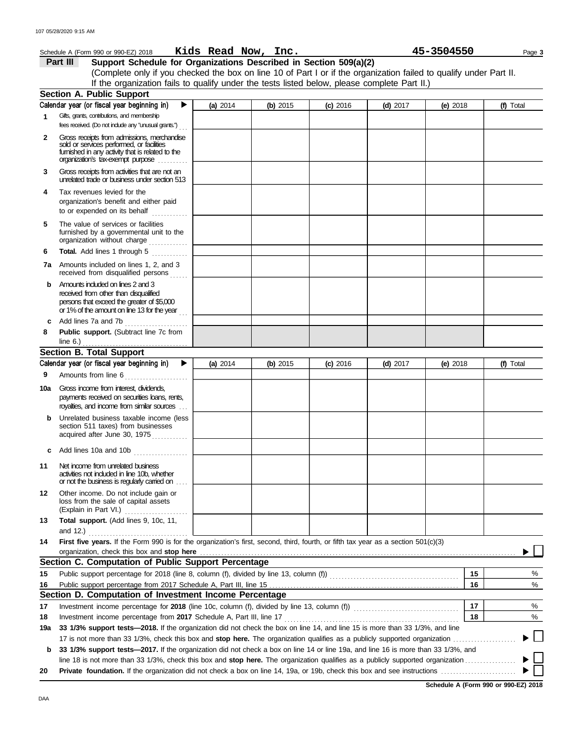|     | Schedule A (Form 990 or 990-EZ) 2018 Kids Read Now, Inc.                                                                                                                         |          |          |            |            | 45-3504550 | Page 3    |
|-----|----------------------------------------------------------------------------------------------------------------------------------------------------------------------------------|----------|----------|------------|------------|------------|-----------|
|     | Support Schedule for Organizations Described in Section 509(a)(2)<br>Part III                                                                                                    |          |          |            |            |            |           |
|     | (Complete only if you checked the box on line 10 of Part I or if the organization failed to qualify under Part II.                                                               |          |          |            |            |            |           |
|     | If the organization fails to qualify under the tests listed below, please complete Part II.)                                                                                     |          |          |            |            |            |           |
|     | <b>Section A. Public Support</b>                                                                                                                                                 |          |          |            |            |            |           |
|     | Calendar year (or fiscal year beginning in)<br>▶                                                                                                                                 | (a) 2014 | (b) 2015 | $(c)$ 2016 | $(d)$ 2017 | (e) $2018$ | (f) Total |
| 1   | Gifts, grants, contributions, and membership<br>fees received. (Do not include any "unusual grants.")                                                                            |          |          |            |            |            |           |
| 2   | Gross receipts from admissions, merchandise<br>sold or services performed, or facilities<br>fumished in any activity that is related to the<br>organization's tax-exempt purpose |          |          |            |            |            |           |
| 3   | Gross receipts from activities that are not an<br>unrelated trade or business under section 513                                                                                  |          |          |            |            |            |           |
| 4   | Tax revenues levied for the                                                                                                                                                      |          |          |            |            |            |           |
|     | organization's benefit and either paid                                                                                                                                           |          |          |            |            |            |           |
| 5   | The value of services or facilities<br>furnished by a governmental unit to the<br>organization without charge                                                                    |          |          |            |            |            |           |
| 6   | Total. Add lines 1 through 5                                                                                                                                                     |          |          |            |            |            |           |
|     | 7a Amounts included on lines 1, 2, and 3<br>received from disqualified persons                                                                                                   |          |          |            |            |            |           |
| b   | Amounts included on lines 2 and 3<br>received from other than disqualified<br>persons that exceed the greater of \$5,000<br>or 1% of the amount on line 13 for the year          |          |          |            |            |            |           |
| c   |                                                                                                                                                                                  |          |          |            |            |            |           |
| 8   | Public support. (Subtract line 7c from<br>line $6.$ )                                                                                                                            |          |          |            |            |            |           |
|     | <b>Section B. Total Support</b>                                                                                                                                                  |          |          |            |            |            |           |
|     | Calendar year (or fiscal year beginning in)<br>▶                                                                                                                                 | (a) 2014 | (b) 2015 | $(c)$ 2016 | $(d)$ 2017 | (e) $2018$ | (f) Total |
| 9   | Amounts from line 6                                                                                                                                                              |          |          |            |            |            |           |
|     | 10a Gross income from interest, dividends,<br>payments received on securities loans, rents,<br>royalties, and income from similar sources                                        |          |          |            |            |            |           |
| b   | Unrelated business taxable income (less<br>section 511 taxes) from businesses<br>acquired after June 30, 1975                                                                    |          |          |            |            |            |           |
| c   | Add lines 10a and 10b<br>. <b>.</b> .                                                                                                                                            |          |          |            |            |            |           |
| 11  | Net income from unrelated business<br>activities not induded in line 10b, whether<br>or not the business is regularly carried on                                                 |          |          |            |            |            |           |
| 12  | Other income. Do not include gain or<br>loss from the sale of capital assets<br>(Explain in Part VI.)                                                                            |          |          |            |            |            |           |
| 13  | Total support. (Add lines 9, 10c, 11,<br>and 12.) $\qquad \qquad$                                                                                                                |          |          |            |            |            |           |
| 14  | First five years. If the Form 990 is for the organization's first, second, third, fourth, or fifth tax year as a section 501(c)(3)<br>organization, check this box and stop here |          |          |            |            |            |           |
|     | Section C. Computation of Public Support Percentage                                                                                                                              |          |          |            |            |            |           |
| 15  |                                                                                                                                                                                  |          |          |            |            | 15         | %         |
| 16  |                                                                                                                                                                                  |          |          |            |            | 16         | %         |
|     | Section D. Computation of Investment Income Percentage                                                                                                                           |          |          |            |            |            |           |
| 17  |                                                                                                                                                                                  |          |          |            |            | 17         | %         |
| 18  |                                                                                                                                                                                  |          |          |            |            | 18         | %         |
| 19a | 33 1/3% support tests-2018. If the organization did not check the box on line 14, and line 15 is more than 33 1/3%, and line                                                     |          |          |            |            |            |           |
|     |                                                                                                                                                                                  |          |          |            |            |            |           |
|     | b 33 1/3% support tests-2017. If the organization did not check a box on line 14 or line 19a, and line 16 is more than 33 1/3%, and                                              |          |          |            |            |            |           |

line 18 is not more than 33 1/3%, check this box and **stop here.** The organization qualifies as a publicly supported organization . . . . . . . . . . . . . . . . . **20 Private foundation.** If the organization did not check a box on line 14, 19a, or 19b, check this box and see instructions . . . . . . . . . . . . . . . . . . . . . . . . .

**Schedule A (Form 990 or 990-EZ) 2018**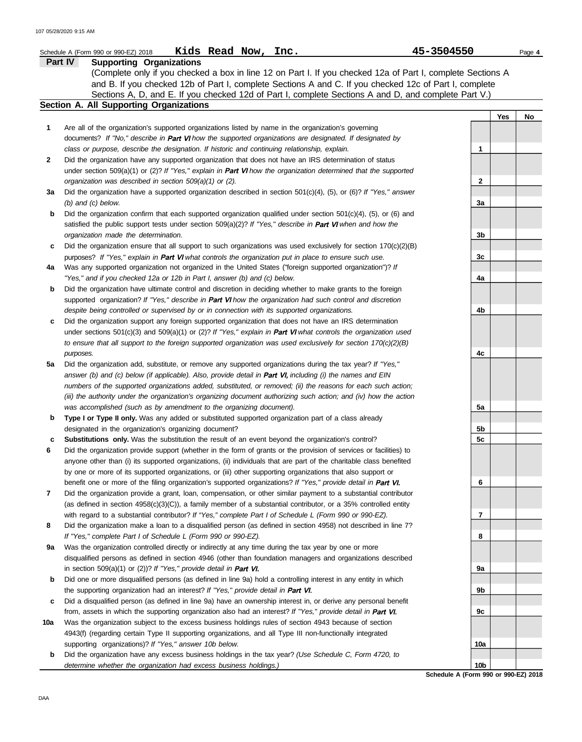|     | Kids Read Now, Inc.<br>Schedule A (Form 990 or 990-EZ) 2018                                                              | 45-3504550 |     | Page 4 |
|-----|--------------------------------------------------------------------------------------------------------------------------|------------|-----|--------|
|     | Part IV<br><b>Supporting Organizations</b>                                                                               |            |     |        |
|     | (Complete only if you checked a box in line 12 on Part I. If you checked 12a of Part I, complete Sections A              |            |     |        |
|     | and B. If you checked 12b of Part I, complete Sections A and C. If you checked 12c of Part I, complete                   |            |     |        |
|     | Sections A, D, and E. If you checked 12d of Part I, complete Sections A and D, and complete Part V.)                     |            |     |        |
|     | Section A. All Supporting Organizations                                                                                  |            |     |        |
|     |                                                                                                                          |            | Yes | No     |
| 1   | Are all of the organization's supported organizations listed by name in the organization's governing                     |            |     |        |
|     | documents? If "No," describe in Part VI how the supported organizations are designated. If designated by                 |            |     |        |
|     | class or purpose, describe the designation. If historic and continuing relationship, explain.                            | 1          |     |        |
| 2   | Did the organization have any supported organization that does not have an IRS determination of status                   |            |     |        |
|     | under section 509(a)(1) or (2)? If "Yes," explain in <b>Part VI</b> how the organization determined that the supported   |            |     |        |
|     | organization was described in section 509(a)(1) or (2).                                                                  | 2          |     |        |
| За  | Did the organization have a supported organization described in section $501(c)(4)$ , (5), or (6)? If "Yes," answer      |            |     |        |
|     | $(b)$ and $(c)$ below.                                                                                                   | За         |     |        |
| b   | Did the organization confirm that each supported organization qualified under section $501(c)(4)$ , $(5)$ , or $(6)$ and |            |     |        |
|     | satisfied the public support tests under section $509(a)(2)?$ If "Yes," describe in Part VI when and how the             |            |     |        |
|     | organization made the determination.                                                                                     | 3b         |     |        |
| c   | Did the organization ensure that all support to such organizations was used exclusively for section $170(c)(2)(B)$       |            |     |        |
|     | purposes? If "Yes," explain in Part VI what controls the organization put in place to ensure such use.                   | 3c         |     |        |
| 4a  | Was any supported organization not organized in the United States ("foreign supported organization")? If                 |            |     |        |
|     | "Yes," and if you checked 12a or 12b in Part I, answer (b) and (c) below.                                                | 4a         |     |        |
| b   | Did the organization have ultimate control and discretion in deciding whether to make grants to the foreign              |            |     |        |
|     | supported organization? If "Yes," describe in Part VI how the organization had such control and discretion               |            |     |        |
|     | despite being controlled or supervised by or in connection with its supported organizations.                             | 4b         |     |        |
| c   | Did the organization support any foreign supported organization that does not have an IRS determination                  |            |     |        |
|     | under sections $501(c)(3)$ and $509(a)(1)$ or (2)? If "Yes," explain in Part VI what controls the organization used      |            |     |        |
|     | to ensure that all support to the foreign supported organization was used exclusively for section $170(c)(2)(B)$         |            |     |        |
|     | purposes.                                                                                                                | 4c         |     |        |
| 5а  | Did the organization add, substitute, or remove any supported organizations during the tax year? If "Yes,"               |            |     |        |
|     | answer (b) and (c) below (if applicable). Also, provide detail in Part VI, including (i) the names and EIN               |            |     |        |
|     | numbers of the supported organizations added, substituted, or removed; (ii) the reasons for each such action;            |            |     |        |
|     | (iii) the authority under the organization's organizing document authorizing such action; and (iv) how the action        |            |     |        |
|     | was accomplished (such as by amendment to the organizing document).                                                      | 5a         |     |        |
| b   | Type I or Type II only. Was any added or substituted supported organization part of a class already                      |            |     |        |
|     | designated in the organization's organizing document?                                                                    | 5b         |     |        |
| c   | Substitutions only. Was the substitution the result of an event beyond the organization's control?                       | 5c         |     |        |
|     | Did the organization provide support (whether in the form of grants or the provision of services or facilities) to       |            |     |        |
|     | anyone other than (i) its supported organizations, (ii) individuals that are part of the charitable class benefited      |            |     |        |
|     | by one or more of its supported organizations, or (iii) other supporting organizations that also support or              |            |     |        |
|     | benefit one or more of the filing organization's supported organizations? If "Yes," provide detail in Part VI.           | 6          |     |        |
|     | Did the organization provide a grant, loan, compensation, or other similar payment to a substantial contributor          |            |     |        |
|     | (as defined in section $4958(c)(3)(C)$ ), a family member of a substantial contributor, or a 35% controlled entity       |            |     |        |
|     | with regard to a substantial contributor? If "Yes," complete Part I of Schedule L (Form 990 or 990-EZ).                  | 7          |     |        |
|     | Did the organization make a loan to a disqualified person (as defined in section 4958) not described in line 7?          |            |     |        |
|     | If "Yes," complete Part I of Schedule L (Form 990 or 990-EZ).                                                            | 8          |     |        |
| 9а  | Was the organization controlled directly or indirectly at any time during the tax year by one or more                    |            |     |        |
|     | disqualified persons as defined in section 4946 (other than foundation managers and organizations described              |            |     |        |
|     | in section 509(a)(1) or (2))? If "Yes," provide detail in Part VI.                                                       | 9а         |     |        |
| b   | Did one or more disqualified persons (as defined in line 9a) hold a controlling interest in any entity in which          |            |     |        |
|     | the supporting organization had an interest? If "Yes," provide detail in Part VI.                                        | 9b         |     |        |
| c   | Did a disqualified person (as defined in line 9a) have an ownership interest in, or derive any personal benefit          |            |     |        |
|     | from, assets in which the supporting organization also had an interest? If "Yes," provide detail in Part VI.             | 9с         |     |        |
| 10a | Was the organization subject to the excess business holdings rules of section 4943 because of section                    |            |     |        |
|     | 4943(f) (regarding certain Type II supporting organizations, and all Type III non-functionally integrated                |            |     |        |
|     | supporting organizations)? If "Yes," answer 10b below.                                                                   | 10a        |     |        |
| b   | Did the organization have any excess business holdings in the tax year? (Use Schedule C, Form 4720, to                   |            |     |        |

Did the organization have any excess business holdings in the tax year? *(Use Schedule C, Form 4720, to determine whether the organization had excess business holdings.)*

**Schedule A (Form 990 or 990-EZ) 2018 10b**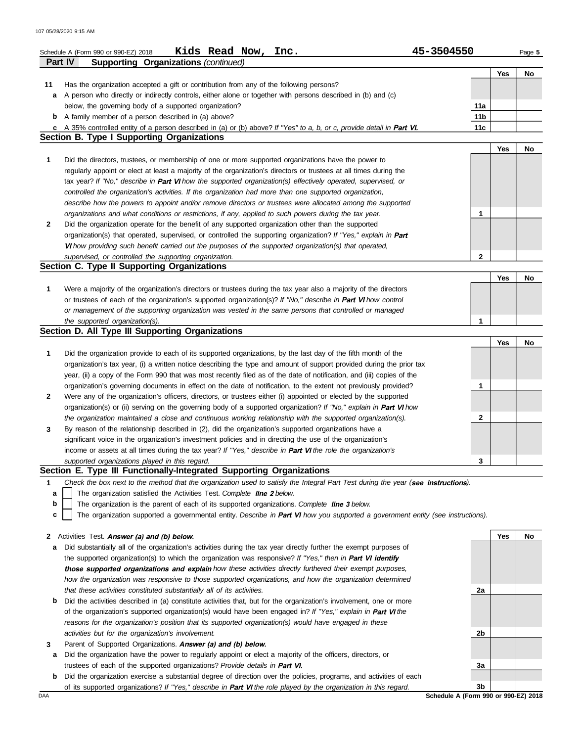|              | Kids Read Now, Inc.<br>Schedule A (Form 990 or 990-EZ) 2018                                                                       | 45-3504550      |     | Page 5 |
|--------------|-----------------------------------------------------------------------------------------------------------------------------------|-----------------|-----|--------|
|              | Supporting Organizations (continued)<br><b>Part IV</b>                                                                            |                 |     |        |
|              |                                                                                                                                   |                 | Yes | No     |
| 11           | Has the organization accepted a gift or contribution from any of the following persons?                                           |                 |     |        |
| а            | A person who directly or indirectly controls, either alone or together with persons described in (b) and (c)                      |                 |     |        |
|              | below, the governing body of a supported organization?                                                                            | 11a             |     |        |
|              | <b>b</b> A family member of a person described in (a) above?                                                                      | 11 <sub>b</sub> |     |        |
|              | c A 35% controlled entity of a person described in (a) or (b) above? If "Yes" to a, b, or c, provide detail in Part VI.           | 11c             |     |        |
|              | <b>Section B. Type I Supporting Organizations</b>                                                                                 |                 |     |        |
|              |                                                                                                                                   |                 | Yes | No     |
| 1            | Did the directors, trustees, or membership of one or more supported organizations have the power to                               |                 |     |        |
|              | regularly appoint or elect at least a majority of the organization's directors or trustees at all times during the                |                 |     |        |
|              | tax year? If "No," describe in Part VI how the supported organization(s) effectively operated, supervised, or                     |                 |     |        |
|              | controlled the organization's activities. If the organization had more than one supported organization,                           |                 |     |        |
|              | describe how the powers to appoint and/or remove directors or trustees were allocated among the supported                         |                 |     |        |
|              | organizations and what conditions or restrictions, if any, applied to such powers during the tax year.                            | 1               |     |        |
| $\mathbf{2}$ | Did the organization operate for the benefit of any supported organization other than the supported                               |                 |     |        |
|              | organization(s) that operated, supervised, or controlled the supporting organization? If "Yes," explain in Part                   |                 |     |        |
|              | VI how providing such benefit carried out the purposes of the supported organization(s) that operated,                            |                 |     |        |
|              | supervised, or controlled the supporting organization.                                                                            | $\mathbf{2}$    |     |        |
|              | Section C. Type II Supporting Organizations                                                                                       |                 |     |        |
|              |                                                                                                                                   |                 | Yes | No     |
| 1            | Were a majority of the organization's directors or trustees during the tax year also a majority of the directors                  |                 |     |        |
|              | or trustees of each of the organization's supported organization(s)? If "No," describe in Part VI how control                     |                 |     |        |
|              | or management of the supporting organization was vested in the same persons that controlled or managed                            |                 |     |        |
|              | the supported organization(s).                                                                                                    | 1               |     |        |
|              | Section D. All Type III Supporting Organizations                                                                                  |                 |     |        |
|              |                                                                                                                                   |                 | Yes | No     |
| 1            | Did the organization provide to each of its supported organizations, by the last day of the fifth month of the                    |                 |     |        |
|              | organization's tax year, (i) a written notice describing the type and amount of support provided during the prior tax             |                 |     |        |
|              | year, (ii) a copy of the Form 990 that was most recently filed as of the date of notification, and (iii) copies of the            |                 |     |        |
|              | organization's governing documents in effect on the date of notification, to the extent not previously provided?                  | 1               |     |        |
| 2            | Were any of the organization's officers, directors, or trustees either (i) appointed or elected by the supported                  |                 |     |        |
|              | organization(s) or (ii) serving on the governing body of a supported organization? If "No," explain in Part VI how                |                 |     |        |
|              | the organization maintained a close and continuous working relationship with the supported organization(s).                       | 2               |     |        |
| 3            | By reason of the relationship described in (2), did the organization's supported organizations have a                             |                 |     |        |
|              | significant voice in the organization's investment policies and in directing the use of the organization's                        |                 |     |        |
|              | income or assets at all times during the tax year? If "Yes," describe in Part VI the role the organization's                      |                 |     |        |
|              | supported organizations played in this regard.                                                                                    | 3               |     |        |
|              | Section E. Type III Functionally-Integrated Supporting Organizations                                                              |                 |     |        |
| 1            | Check the box next to the method that the organization used to satisfy the Integral Part Test during the year (see instructions). |                 |     |        |
| а            | The organization satisfied the Activities Test. Complete line 2 below.                                                            |                 |     |        |
| b            | The organization is the parent of each of its supported organizations. Complete line 3 below.                                     |                 |     |        |
| c            | The organization supported a governmental entity. Describe in Part VI how you supported a government entity (see instructions).   |                 |     |        |
|              |                                                                                                                                   |                 |     |        |
| 2            | Activities Test. Answer (a) and (b) below.                                                                                        |                 | Yes | No     |
| а            | Did substantially all of the organization's activities during the tax year directly further the exempt purposes of                |                 |     |        |
|              | the supported organization(s) to which the organization was responsive? If "Yes," then in Part VI identify                        |                 |     |        |
|              | those supported organizations and explain how these activities directly furthered their exempt purposes,                          |                 |     |        |
|              | how the organization was responsive to those supported organizations, and how the organization determined                         |                 |     |        |
|              | that these activities constituted substantially all of its activities.                                                            | 2a              |     |        |
| b            | Did the activities described in (a) constitute activities that, but for the organization's involvement, one or more               |                 |     |        |
|              | of the organization's supported organization(s) would have been engaged in? If "Yes," explain in Part VI the                      |                 |     |        |
|              | reasons for the organization's position that its supported organization(s) would have engaged in these                            |                 |     |        |
|              | activities but for the organization's involvement.                                                                                | 2b              |     |        |
| 3            | Parent of Supported Organizations. Answer (a) and (b) below.                                                                      |                 |     |        |

**a** Did the organization have the power to regularly appoint or elect a majority of the officers, directors, or trustees of each of the supported organizations? *Provide details in* 

**b** Did the organization exercise a substantial degree of direction over the policies, programs, and activities of each of its supported organizations? If "Yes," describe in Part VI the role played by the organization in this regard.

DAA **Schedule A (Form 990 or 990-EZ) 2018 3b**

**3a**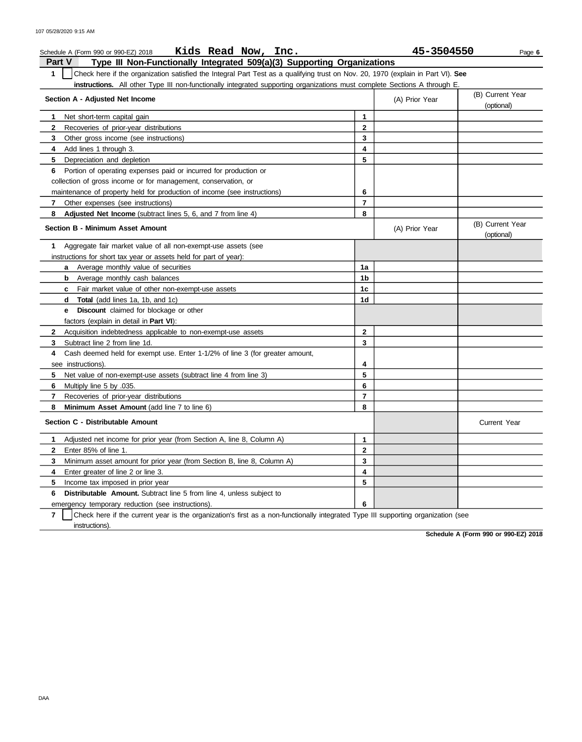| Kids Read Now, Inc.<br>Schedule A (Form 990 or 990-EZ) 2018                                                                           |              | 45-3504550     | Page 6                         |
|---------------------------------------------------------------------------------------------------------------------------------------|--------------|----------------|--------------------------------|
| Part V<br>Type III Non-Functionally Integrated 509(a)(3) Supporting Organizations                                                     |              |                |                                |
| 1<br>Check here if the organization satisfied the Integral Part Test as a qualifying trust on Nov. 20, 1970 (explain in Part VI). See |              |                |                                |
| instructions. All other Type III non-functionally integrated supporting organizations must complete Sections A through E.             |              |                |                                |
| Section A - Adjusted Net Income                                                                                                       |              | (A) Prior Year | (B) Current Year<br>(optional) |
| Net short-term capital gain<br>1                                                                                                      | 1            |                |                                |
| 2<br>Recoveries of prior-year distributions                                                                                           | 2            |                |                                |
| 3<br>Other gross income (see instructions)                                                                                            | 3            |                |                                |
| Add lines 1 through 3.<br>4                                                                                                           | 4            |                |                                |
| 5<br>Depreciation and depletion                                                                                                       | 5            |                |                                |
| Portion of operating expenses paid or incurred for production or<br>6                                                                 |              |                |                                |
| collection of gross income or for management, conservation, or                                                                        |              |                |                                |
| maintenance of property held for production of income (see instructions)                                                              | 6            |                |                                |
| Other expenses (see instructions)<br>7                                                                                                | 7            |                |                                |
| Adjusted Net Income (subtract lines 5, 6, and 7 from line 4)<br>8                                                                     | 8            |                |                                |
| <b>Section B - Minimum Asset Amount</b>                                                                                               |              | (A) Prior Year | (B) Current Year<br>(optional) |
| Aggregate fair market value of all non-exempt-use assets (see<br>1                                                                    |              |                |                                |
| instructions for short tax year or assets held for part of year):                                                                     |              |                |                                |
| Average monthly value of securities<br>а                                                                                              | 1a           |                |                                |
| Average monthly cash balances<br>b                                                                                                    | 1b           |                |                                |
| Fair market value of other non-exempt-use assets<br>c                                                                                 | 1c           |                |                                |
| <b>Total</b> (add lines 1a, 1b, and 1c)<br>d                                                                                          | 1d           |                |                                |
| Discount claimed for blockage or other<br>е                                                                                           |              |                |                                |
| factors (explain in detail in <b>Part VI</b> ):                                                                                       |              |                |                                |
| $\mathbf{2}$<br>Acquisition indebtedness applicable to non-exempt-use assets                                                          | $\mathbf{2}$ |                |                                |
| 3<br>Subtract line 2 from line 1d.                                                                                                    | 3            |                |                                |
| Cash deemed held for exempt use. Enter 1-1/2% of line 3 (for greater amount,<br>4                                                     |              |                |                                |
| see instructions)                                                                                                                     | 4            |                |                                |
| 5<br>Net value of non-exempt-use assets (subtract line 4 from line 3)                                                                 | 5            |                |                                |
| 6<br>Multiply line 5 by .035.                                                                                                         | 6            |                |                                |
| 7<br>Recoveries of prior-year distributions                                                                                           | 7            |                |                                |
| 8<br>Minimum Asset Amount (add line 7 to line 6)                                                                                      | 8            |                |                                |
| Section C - Distributable Amount                                                                                                      |              |                | <b>Current Year</b>            |
| 1<br>Adjusted net income for prior year (from Section A, line 8, Column A)                                                            | 1            |                |                                |
| Enter 85% of line 1.<br>2                                                                                                             | $\mathbf{2}$ |                |                                |
| Minimum asset amount for prior year (from Section B, line 8, Column A)<br>3                                                           | 3            |                |                                |
| Enter greater of line 2 or line 3.<br>4                                                                                               | 4            |                |                                |
| 5<br>Income tax imposed in prior year                                                                                                 | 5            |                |                                |
| 6<br>Distributable Amount. Subtract line 5 from line 4, unless subject to                                                             |              |                |                                |
| emergency temporary reduction (see instructions).                                                                                     | 6            |                |                                |

**7** | Check here if the current year is the organization's first as a non-functionally integrated Type III supporting organization (see instructions).

**Schedule A (Form 990 or 990-EZ) 2018**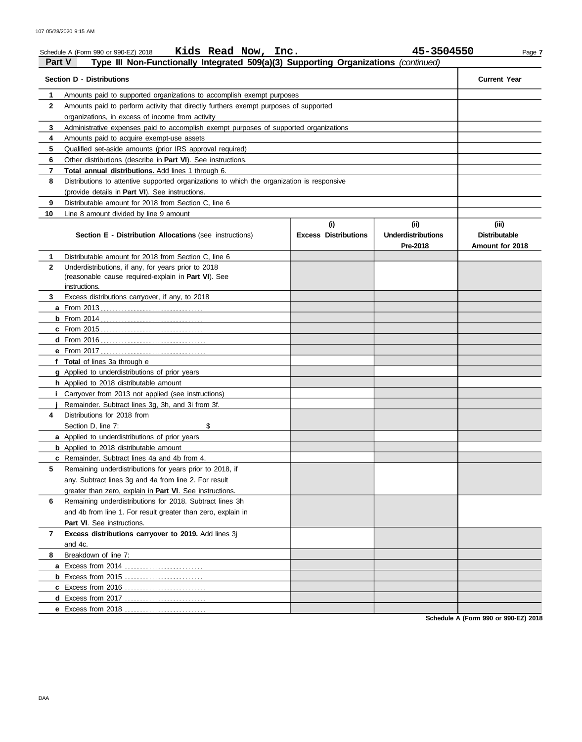| Part V         | Kids Read Now, Inc.<br>Schedule A (Form 990 or 990-EZ) 2018<br>Type III Non-Functionally Integrated 509(a)(3) Supporting Organizations (continued) |                                    | 45-3504550                                   | Page 7                                           |
|----------------|----------------------------------------------------------------------------------------------------------------------------------------------------|------------------------------------|----------------------------------------------|--------------------------------------------------|
|                |                                                                                                                                                    |                                    |                                              |                                                  |
|                | <b>Section D - Distributions</b>                                                                                                                   |                                    |                                              | <b>Current Year</b>                              |
| 1              | Amounts paid to supported organizations to accomplish exempt purposes                                                                              |                                    |                                              |                                                  |
| $\mathbf{2}$   | Amounts paid to perform activity that directly furthers exempt purposes of supported                                                               |                                    |                                              |                                                  |
|                | organizations, in excess of income from activity                                                                                                   |                                    |                                              |                                                  |
| 3              | Administrative expenses paid to accomplish exempt purposes of supported organizations                                                              |                                    |                                              |                                                  |
| 4              | Amounts paid to acquire exempt-use assets                                                                                                          |                                    |                                              |                                                  |
| 5              | Qualified set-aside amounts (prior IRS approval required)                                                                                          |                                    |                                              |                                                  |
| 6              | Other distributions (describe in <b>Part VI</b> ). See instructions.                                                                               |                                    |                                              |                                                  |
| $\overline{7}$ | Total annual distributions. Add lines 1 through 6.                                                                                                 |                                    |                                              |                                                  |
| 8              | Distributions to attentive supported organizations to which the organization is responsive                                                         |                                    |                                              |                                                  |
|                | (provide details in Part VI). See instructions.                                                                                                    |                                    |                                              |                                                  |
| 9              | Distributable amount for 2018 from Section C, line 6                                                                                               |                                    |                                              |                                                  |
| 10             | Line 8 amount divided by line 9 amount                                                                                                             |                                    |                                              |                                                  |
|                | Section E - Distribution Allocations (see instructions)                                                                                            | (i)<br><b>Excess Distributions</b> | (i)<br><b>Underdistributions</b><br>Pre-2018 | (iii)<br><b>Distributable</b><br>Amount for 2018 |
| 1              | Distributable amount for 2018 from Section C, line 6                                                                                               |                                    |                                              |                                                  |
| $\mathbf{2}$   | Underdistributions, if any, for years prior to 2018                                                                                                |                                    |                                              |                                                  |
|                | (reasonable cause required-explain in Part VI). See                                                                                                |                                    |                                              |                                                  |
|                | instructions.                                                                                                                                      |                                    |                                              |                                                  |
| 3              | Excess distributions carryover, if any, to 2018                                                                                                    |                                    |                                              |                                                  |
|                |                                                                                                                                                    |                                    |                                              |                                                  |
|                |                                                                                                                                                    |                                    |                                              |                                                  |
|                |                                                                                                                                                    |                                    |                                              |                                                  |
|                |                                                                                                                                                    |                                    |                                              |                                                  |
|                |                                                                                                                                                    |                                    |                                              |                                                  |
|                | f Total of lines 3a through e                                                                                                                      |                                    |                                              |                                                  |
|                | <b>g</b> Applied to underdistributions of prior years                                                                                              |                                    |                                              |                                                  |
|                | <b>h</b> Applied to 2018 distributable amount                                                                                                      |                                    |                                              |                                                  |
|                | Carryover from 2013 not applied (see instructions)<br>Remainder. Subtract lines 3q, 3h, and 3i from 3f.                                            |                                    |                                              |                                                  |
| 4              | Distributions for 2018 from                                                                                                                        |                                    |                                              |                                                  |
|                | \$                                                                                                                                                 |                                    |                                              |                                                  |
|                | Section D, line 7:                                                                                                                                 |                                    |                                              |                                                  |
|                | <b>a</b> Applied to underdistributions of prior years                                                                                              |                                    |                                              |                                                  |
|                | <b>b</b> Applied to 2018 distributable amount<br><b>c</b> Remainder. Subtract lines 4a and 4b from 4.                                              |                                    |                                              |                                                  |
| 5              | Remaining underdistributions for years prior to 2018, if                                                                                           |                                    |                                              |                                                  |
|                | any. Subtract lines 3g and 4a from line 2. For result                                                                                              |                                    |                                              |                                                  |
|                | greater than zero, explain in Part VI. See instructions.                                                                                           |                                    |                                              |                                                  |
| 6              | Remaining underdistributions for 2018. Subtract lines 3h                                                                                           |                                    |                                              |                                                  |
|                | and 4b from line 1. For result greater than zero, explain in                                                                                       |                                    |                                              |                                                  |
|                | <b>Part VI.</b> See instructions.                                                                                                                  |                                    |                                              |                                                  |
| 7              | Excess distributions carryover to 2019. Add lines 3j                                                                                               |                                    |                                              |                                                  |
|                | and 4c.                                                                                                                                            |                                    |                                              |                                                  |
| 8              | Breakdown of line 7:                                                                                                                               |                                    |                                              |                                                  |
|                | a Excess from 2014                                                                                                                                 |                                    |                                              |                                                  |
|                |                                                                                                                                                    |                                    |                                              |                                                  |
|                |                                                                                                                                                    |                                    |                                              |                                                  |
|                |                                                                                                                                                    |                                    |                                              |                                                  |
|                | e Excess from 2018.                                                                                                                                |                                    |                                              |                                                  |

**Schedule A (Form 990 or 990-EZ) 2018**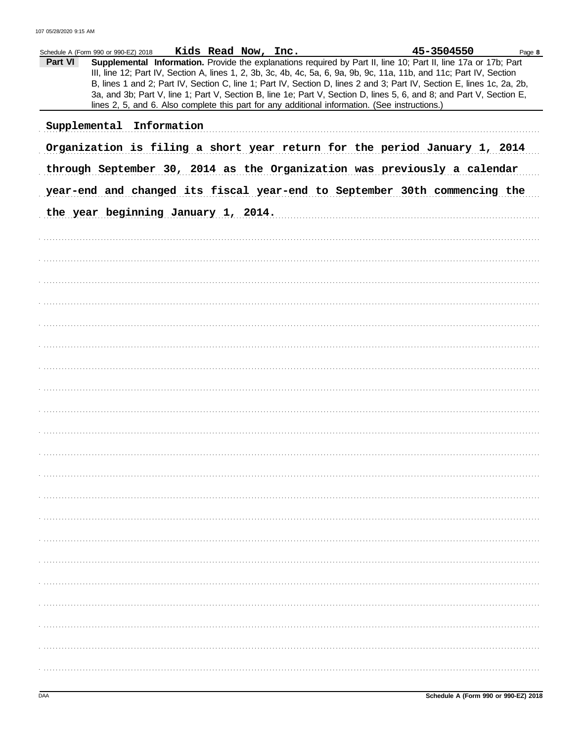|         | Schedule A (Form 990 or 990-EZ) 2018 Kids Read Now, Inc. |  |                                                                                                | 45-3504550                                                                                                                                                                                                                                                                                                                                                                                                                                                                                | Page 8 |
|---------|----------------------------------------------------------|--|------------------------------------------------------------------------------------------------|-------------------------------------------------------------------------------------------------------------------------------------------------------------------------------------------------------------------------------------------------------------------------------------------------------------------------------------------------------------------------------------------------------------------------------------------------------------------------------------------|--------|
| Part VI |                                                          |  | lines 2, 5, and 6. Also complete this part for any additional information. (See instructions.) | Supplemental Information. Provide the explanations required by Part II, line 10; Part II, line 17a or 17b; Part<br>III, line 12; Part IV, Section A, lines 1, 2, 3b, 3c, 4b, 4c, 5a, 6, 9a, 9b, 9c, 11a, 11b, and 11c; Part IV, Section<br>B, lines 1 and 2; Part IV, Section C, line 1; Part IV, Section D, lines 2 and 3; Part IV, Section E, lines 1c, 2a, 2b,<br>3a, and 3b; Part V, line 1; Part V, Section B, line 1e; Part V, Section D, lines 5, 6, and 8; and Part V, Section E, |        |
|         | Supplemental Information                                 |  |                                                                                                |                                                                                                                                                                                                                                                                                                                                                                                                                                                                                           |        |
|         |                                                          |  |                                                                                                | Organization is filing a short year return for the period January 1, 2014                                                                                                                                                                                                                                                                                                                                                                                                                 |        |
|         |                                                          |  |                                                                                                | through September 30, 2014 as the Organization was previously a calendar                                                                                                                                                                                                                                                                                                                                                                                                                  |        |
|         |                                                          |  |                                                                                                | year-end and changed its fiscal year-end to September 30th commencing the                                                                                                                                                                                                                                                                                                                                                                                                                 |        |
|         | the year beginning January 1, 2014.                      |  |                                                                                                |                                                                                                                                                                                                                                                                                                                                                                                                                                                                                           |        |
|         |                                                          |  |                                                                                                |                                                                                                                                                                                                                                                                                                                                                                                                                                                                                           |        |
|         |                                                          |  |                                                                                                |                                                                                                                                                                                                                                                                                                                                                                                                                                                                                           |        |
|         |                                                          |  |                                                                                                |                                                                                                                                                                                                                                                                                                                                                                                                                                                                                           |        |
|         |                                                          |  |                                                                                                |                                                                                                                                                                                                                                                                                                                                                                                                                                                                                           |        |
|         |                                                          |  |                                                                                                |                                                                                                                                                                                                                                                                                                                                                                                                                                                                                           |        |
|         |                                                          |  |                                                                                                |                                                                                                                                                                                                                                                                                                                                                                                                                                                                                           |        |
|         |                                                          |  |                                                                                                |                                                                                                                                                                                                                                                                                                                                                                                                                                                                                           |        |
|         |                                                          |  |                                                                                                |                                                                                                                                                                                                                                                                                                                                                                                                                                                                                           |        |
|         |                                                          |  |                                                                                                |                                                                                                                                                                                                                                                                                                                                                                                                                                                                                           |        |
|         |                                                          |  |                                                                                                |                                                                                                                                                                                                                                                                                                                                                                                                                                                                                           |        |
|         |                                                          |  |                                                                                                |                                                                                                                                                                                                                                                                                                                                                                                                                                                                                           |        |
|         |                                                          |  |                                                                                                |                                                                                                                                                                                                                                                                                                                                                                                                                                                                                           |        |
|         |                                                          |  |                                                                                                |                                                                                                                                                                                                                                                                                                                                                                                                                                                                                           |        |
|         |                                                          |  |                                                                                                |                                                                                                                                                                                                                                                                                                                                                                                                                                                                                           |        |
|         |                                                          |  |                                                                                                |                                                                                                                                                                                                                                                                                                                                                                                                                                                                                           |        |
|         |                                                          |  |                                                                                                |                                                                                                                                                                                                                                                                                                                                                                                                                                                                                           |        |
|         |                                                          |  |                                                                                                |                                                                                                                                                                                                                                                                                                                                                                                                                                                                                           |        |
|         |                                                          |  |                                                                                                |                                                                                                                                                                                                                                                                                                                                                                                                                                                                                           |        |
|         |                                                          |  |                                                                                                |                                                                                                                                                                                                                                                                                                                                                                                                                                                                                           |        |
|         |                                                          |  |                                                                                                |                                                                                                                                                                                                                                                                                                                                                                                                                                                                                           |        |
|         |                                                          |  |                                                                                                |                                                                                                                                                                                                                                                                                                                                                                                                                                                                                           |        |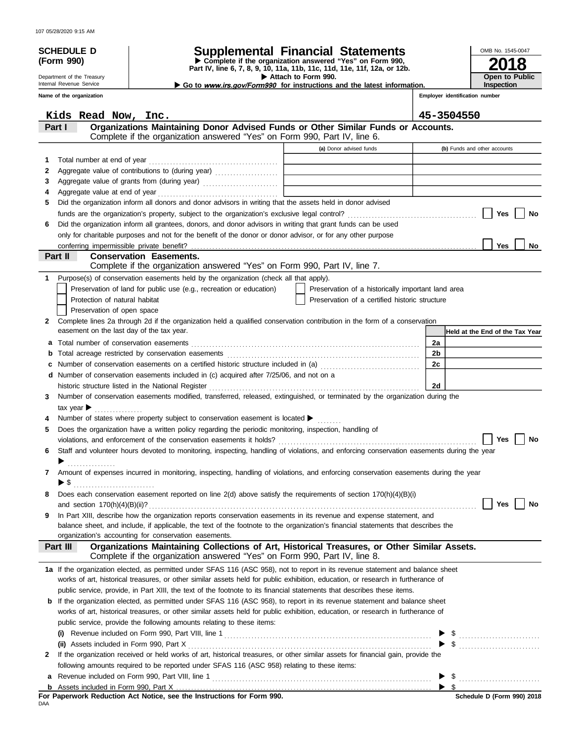|  |  | 107 05/28/2020 9:15 AM |  |  |
|--|--|------------------------|--|--|
|--|--|------------------------|--|--|

| <b>SCHEDULE D</b>          |                                |                                                                                                              | <b>Supplemental Financial Statements</b>                                                                                                                                                                                       |                      | OMB No. 1545-0047               |
|----------------------------|--------------------------------|--------------------------------------------------------------------------------------------------------------|--------------------------------------------------------------------------------------------------------------------------------------------------------------------------------------------------------------------------------|----------------------|---------------------------------|
| (Form 990)                 |                                |                                                                                                              | Complete if the organization answered "Yes" on Form 990,<br>Part IV, line 6, 7, 8, 9, 10, 11a, 11b, 11c, 11d, 11e, 11f, 12a, or 12b.                                                                                           |                      |                                 |
| Department of the Treasury |                                |                                                                                                              | Attach to Form 990.                                                                                                                                                                                                            |                      | Open to Public                  |
| Internal Revenue Service   |                                |                                                                                                              | Go to www.irs.gov/Form990 for instructions and the latest information.                                                                                                                                                         |                      | <b>Inspection</b>               |
| Name of the organization   |                                |                                                                                                              |                                                                                                                                                                                                                                |                      | Employer identification number  |
|                            | Kids Read Now, Inc.            |                                                                                                              |                                                                                                                                                                                                                                |                      | 45-3504550                      |
| Part I                     |                                |                                                                                                              | Organizations Maintaining Donor Advised Funds or Other Similar Funds or Accounts.                                                                                                                                              |                      |                                 |
|                            |                                | Complete if the organization answered "Yes" on Form 990, Part IV, line 6.                                    |                                                                                                                                                                                                                                |                      |                                 |
|                            |                                |                                                                                                              | (a) Donor advised funds                                                                                                                                                                                                        |                      | (b) Funds and other accounts    |
| 1                          | Total number at end of year    |                                                                                                              |                                                                                                                                                                                                                                |                      |                                 |
| 2                          |                                |                                                                                                              |                                                                                                                                                                                                                                |                      |                                 |
| 3                          |                                |                                                                                                              | Aggregate value of grants from (during year) Materian and Materian Material Property of the Materia and Materia and Materia and Materia and Materia and Materia and Materia and Materia and Materia and Materia and Materia an |                      |                                 |
| 4                          |                                |                                                                                                              |                                                                                                                                                                                                                                |                      |                                 |
| 5                          |                                | Did the organization inform all donors and donor advisors in writing that the assets held in donor advised   |                                                                                                                                                                                                                                |                      | No                              |
| 6                          |                                | Did the organization inform all grantees, donors, and donor advisors in writing that grant funds can be used |                                                                                                                                                                                                                                |                      | Yes                             |
|                            |                                | only for charitable purposes and not for the benefit of the donor or donor advisor, or for any other purpose |                                                                                                                                                                                                                                |                      |                                 |
|                            |                                |                                                                                                              |                                                                                                                                                                                                                                |                      | Yes<br>No                       |
| Part II                    |                                | <b>Conservation Easements.</b>                                                                               |                                                                                                                                                                                                                                |                      |                                 |
|                            |                                | Complete if the organization answered "Yes" on Form 990, Part IV, line 7.                                    |                                                                                                                                                                                                                                |                      |                                 |
| 1                          |                                | Purpose(s) of conservation easements held by the organization (check all that apply).                        |                                                                                                                                                                                                                                |                      |                                 |
|                            |                                | Preservation of land for public use (e.g., recreation or education)                                          | Preservation of a historically important land area                                                                                                                                                                             |                      |                                 |
|                            | Protection of natural habitat  |                                                                                                              | Preservation of a certified historic structure                                                                                                                                                                                 |                      |                                 |
|                            | Preservation of open space     |                                                                                                              |                                                                                                                                                                                                                                |                      |                                 |
| 2                          |                                |                                                                                                              | Complete lines 2a through 2d if the organization held a qualified conservation contribution in the form of a conservation                                                                                                      |                      |                                 |
|                            |                                | easement on the last day of the tax year.                                                                    |                                                                                                                                                                                                                                |                      | Held at the End of the Tax Year |
| a<br>b                     |                                | Total number of conservation easements                                                                       |                                                                                                                                                                                                                                | 2a<br>2 <sub>b</sub> |                                 |
| c                          |                                |                                                                                                              | Number of conservation easements on a certified historic structure included in (a) [[[[[ [ [ ]]]                                                                                                                               | 2c                   |                                 |
|                            |                                | d Number of conservation easements included in (c) acquired after 7/25/06, and not on a                      |                                                                                                                                                                                                                                |                      |                                 |
|                            |                                | historic structure listed in the National Register                                                           |                                                                                                                                                                                                                                | 2d                   |                                 |
| 3.                         |                                |                                                                                                              | Number of conservation easements modified, transferred, released, extinguished, or terminated by the organization during the                                                                                                   |                      |                                 |
|                            | tax year $\blacktriangleright$ |                                                                                                              |                                                                                                                                                                                                                                |                      |                                 |
|                            |                                | Number of states where property subject to conservation easement is located $\blacktriangleright$            |                                                                                                                                                                                                                                |                      |                                 |
|                            |                                | Does the organization have a written policy regarding the periodic monitoring, inspection, handling of       |                                                                                                                                                                                                                                |                      |                                 |
|                            |                                |                                                                                                              |                                                                                                                                                                                                                                |                      | Yes<br>No                       |
| 6                          |                                |                                                                                                              | Staff and volunteer hours devoted to monitoring, inspecting, handling of violations, and enforcing conservation easements during the year                                                                                      |                      |                                 |
|                            | .                              |                                                                                                              |                                                                                                                                                                                                                                |                      |                                 |
| 7                          |                                |                                                                                                              | Amount of expenses incurred in monitoring, inspecting, handling of violations, and enforcing conservation easements during the year                                                                                            |                      |                                 |
| 8                          |                                |                                                                                                              | Does each conservation easement reported on line 2(d) above satisfy the requirements of section 170(h)(4)(B)(i)                                                                                                                |                      |                                 |
|                            |                                |                                                                                                              |                                                                                                                                                                                                                                |                      | Yes<br>No                       |
| 9                          |                                |                                                                                                              | In Part XIII, describe how the organization reports conservation easements in its revenue and expense statement, and                                                                                                           |                      |                                 |
|                            |                                |                                                                                                              | balance sheet, and include, if applicable, the text of the footnote to the organization's financial statements that describes the                                                                                              |                      |                                 |
|                            |                                | organization's accounting for conservation easements.                                                        |                                                                                                                                                                                                                                |                      |                                 |
| Part III                   |                                | Complete if the organization answered "Yes" on Form 990, Part IV, line 8.                                    | Organizations Maintaining Collections of Art, Historical Treasures, or Other Similar Assets.                                                                                                                                   |                      |                                 |
|                            |                                |                                                                                                              | 1a If the organization elected, as permitted under SFAS 116 (ASC 958), not to report in its revenue statement and balance sheet                                                                                                |                      |                                 |
|                            |                                |                                                                                                              | works of art, historical treasures, or other similar assets held for public exhibition, education, or research in furtherance of                                                                                               |                      |                                 |
|                            |                                |                                                                                                              | public service, provide, in Part XIII, the text of the footnote to its financial statements that describes these items.                                                                                                        |                      |                                 |
|                            |                                |                                                                                                              | <b>b</b> If the organization elected, as permitted under SFAS 116 (ASC 958), to report in its revenue statement and balance sheet                                                                                              |                      |                                 |
|                            |                                |                                                                                                              | works of art, historical treasures, or other similar assets held for public exhibition, education, or research in furtherance of                                                                                               |                      |                                 |
|                            |                                | public service, provide the following amounts relating to these items:                                       |                                                                                                                                                                                                                                |                      |                                 |
| (i)                        |                                |                                                                                                              |                                                                                                                                                                                                                                |                      |                                 |
|                            |                                |                                                                                                              | If the organization received or held works of art, historical treasures, or other similar assets for financial gain, provide the                                                                                               |                      |                                 |
| 2                          |                                | following amounts required to be reported under SFAS 116 (ASC 958) relating to these items:                  |                                                                                                                                                                                                                                |                      |                                 |
| а                          |                                |                                                                                                              |                                                                                                                                                                                                                                |                      | $\triangleright$ \$             |
|                            |                                |                                                                                                              |                                                                                                                                                                                                                                |                      |                                 |

| a Revenue included on Form 990, Part VIII, line |
|-------------------------------------------------|
| Assets included in Form 990. Part X             |

For Paperwork Reduction Act Notice, see the Instructions for Form 990.<br><sub>DAA</sub>

**Schedule D (Form 990) 2018**

\$

 $\blacktriangleright$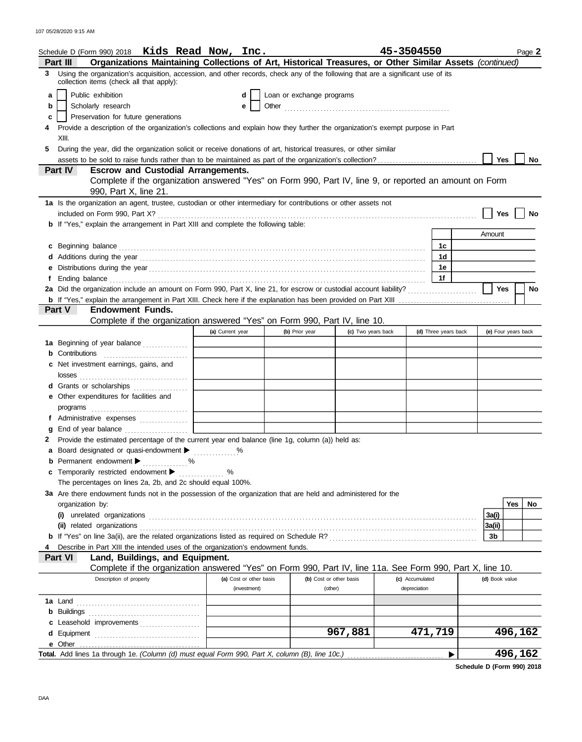|   | Schedule D (Form 990) 2018 Kids Read Now, Inc.                                                                                                                                                                                       |                         |                           |                         | 45-3504550      |                      |                     |         | Page 2 |
|---|--------------------------------------------------------------------------------------------------------------------------------------------------------------------------------------------------------------------------------------|-------------------------|---------------------------|-------------------------|-----------------|----------------------|---------------------|---------|--------|
|   | Organizations Maintaining Collections of Art, Historical Treasures, or Other Similar Assets (continued)<br>Part III                                                                                                                  |                         |                           |                         |                 |                      |                     |         |        |
| 3 | Using the organization's acquisition, accession, and other records, check any of the following that are a significant use of its<br>collection items (check all that apply):                                                         |                         |                           |                         |                 |                      |                     |         |        |
| a | Public exhibition                                                                                                                                                                                                                    | d                       | Loan or exchange programs |                         |                 |                      |                     |         |        |
| b | Scholarly research                                                                                                                                                                                                                   | е                       |                           |                         |                 |                      |                     |         |        |
| c | Preservation for future generations                                                                                                                                                                                                  |                         |                           |                         |                 |                      |                     |         |        |
|   | Provide a description of the organization's collections and explain how they further the organization's exempt purpose in Part                                                                                                       |                         |                           |                         |                 |                      |                     |         |        |
|   | XIII.                                                                                                                                                                                                                                |                         |                           |                         |                 |                      |                     |         |        |
| 5 | During the year, did the organization solicit or receive donations of art, historical treasures, or other similar                                                                                                                    |                         |                           |                         |                 |                      |                     |         |        |
|   |                                                                                                                                                                                                                                      |                         |                           |                         |                 |                      | <b>Yes</b>          |         | No     |
|   | <b>Part IV</b><br><b>Escrow and Custodial Arrangements.</b>                                                                                                                                                                          |                         |                           |                         |                 |                      |                     |         |        |
|   | Complete if the organization answered "Yes" on Form 990, Part IV, line 9, or reported an amount on Form                                                                                                                              |                         |                           |                         |                 |                      |                     |         |        |
|   | 990, Part X, line 21.                                                                                                                                                                                                                |                         |                           |                         |                 |                      |                     |         |        |
|   | 1a Is the organization an agent, trustee, custodian or other intermediary for contributions or other assets not                                                                                                                      |                         |                           |                         |                 |                      |                     |         |        |
|   |                                                                                                                                                                                                                                      |                         |                           |                         |                 |                      | Yes                 |         | No     |
|   | <b>b</b> If "Yes," explain the arrangement in Part XIII and complete the following table:                                                                                                                                            |                         |                           |                         |                 |                      |                     |         |        |
|   |                                                                                                                                                                                                                                      |                         |                           |                         |                 |                      | Amount              |         |        |
|   | c Beginning balance <b>contract the contract of the contract of the contract of the contract of the contract of the contract of the contract of the contract of the contract of the contract of the contract of the contract of </b> |                         |                           |                         |                 | 1с                   |                     |         |        |
|   | Additions during the year contained and according to the year contained and according the year contained and according the year contained and according the year contained and according to the state of the state of the stat       |                         |                           |                         |                 | 1 <sub>d</sub>       |                     |         |        |
|   |                                                                                                                                                                                                                                      |                         |                           |                         |                 | 1e                   |                     |         |        |
|   |                                                                                                                                                                                                                                      |                         |                           |                         |                 | 1f                   |                     |         |        |
|   |                                                                                                                                                                                                                                      |                         |                           |                         |                 |                      | Yes                 |         | No     |
|   |                                                                                                                                                                                                                                      |                         |                           |                         |                 |                      |                     |         |        |
|   | Part V<br><b>Endowment Funds.</b>                                                                                                                                                                                                    |                         |                           |                         |                 |                      |                     |         |        |
|   | Complete if the organization answered "Yes" on Form 990, Part IV, line 10.                                                                                                                                                           |                         |                           |                         |                 |                      |                     |         |        |
|   |                                                                                                                                                                                                                                      | (a) Current year        | (b) Prior year            | (c) Two years back      |                 | (d) Three years back | (e) Four years back |         |        |
|   | <b>1a</b> Beginning of year balance                                                                                                                                                                                                  |                         |                           |                         |                 |                      |                     |         |        |
|   | Contributions                                                                                                                                                                                                                        |                         |                           |                         |                 |                      |                     |         |        |
| c | Net investment earnings, gains, and                                                                                                                                                                                                  |                         |                           |                         |                 |                      |                     |         |        |
|   | d Grants or scholarships                                                                                                                                                                                                             |                         |                           |                         |                 |                      |                     |         |        |
|   | e Other expenditures for facilities and                                                                                                                                                                                              |                         |                           |                         |                 |                      |                     |         |        |
|   |                                                                                                                                                                                                                                      |                         |                           |                         |                 |                      |                     |         |        |
|   |                                                                                                                                                                                                                                      |                         |                           |                         |                 |                      |                     |         |        |
|   |                                                                                                                                                                                                                                      |                         |                           |                         |                 |                      |                     |         |        |
|   | Provide the estimated percentage of the current year end balance (line 1g, column (a)) held as:                                                                                                                                      |                         |                           |                         |                 |                      |                     |         |        |
|   | a Board designated or quasi-endowment >                                                                                                                                                                                              |                         |                           |                         |                 |                      |                     |         |        |
|   | <b>b</b> Permanent endowment $\blacktriangleright$<br>. %                                                                                                                                                                            |                         |                           |                         |                 |                      |                     |         |        |
|   | c Temporarily restricted endowment >                                                                                                                                                                                                 | ℅<br>.                  |                           |                         |                 |                      |                     |         |        |
|   | The percentages on lines 2a, 2b, and 2c should equal 100%.                                                                                                                                                                           |                         |                           |                         |                 |                      |                     |         |        |
|   | 3a Are there endowment funds not in the possession of the organization that are held and administered for the                                                                                                                        |                         |                           |                         |                 |                      |                     |         |        |
|   | organization by:                                                                                                                                                                                                                     |                         |                           |                         |                 |                      |                     | Yes     | No.    |
|   |                                                                                                                                                                                                                                      |                         |                           |                         |                 |                      | 3a(i)               |         |        |
|   | (ii) related organizations                                                                                                                                                                                                           |                         |                           |                         |                 |                      | 3a(ii)              |         |        |
|   |                                                                                                                                                                                                                                      |                         |                           |                         |                 |                      | 3b                  |         |        |
|   | Describe in Part XIII the intended uses of the organization's endowment funds.                                                                                                                                                       |                         |                           |                         |                 |                      |                     |         |        |
|   | Part VI<br>Land, Buildings, and Equipment.                                                                                                                                                                                           |                         |                           |                         |                 |                      |                     |         |        |
|   | Complete if the organization answered "Yes" on Form 990, Part IV, line 11a. See Form 990, Part X, line 10.                                                                                                                           |                         |                           |                         |                 |                      |                     |         |        |
|   | Description of property                                                                                                                                                                                                              | (a) Cost or other basis |                           | (b) Cost or other basis | (c) Accumulated |                      | (d) Book value      |         |        |
|   |                                                                                                                                                                                                                                      | (investment)            |                           | (other)                 | depreciation    |                      |                     |         |        |
|   | <b>1a</b> Land                                                                                                                                                                                                                       |                         |                           |                         |                 |                      |                     |         |        |
| b |                                                                                                                                                                                                                                      |                         |                           |                         |                 |                      |                     |         |        |
|   | Leasehold improvements                                                                                                                                                                                                               |                         |                           |                         |                 |                      |                     |         |        |
| d |                                                                                                                                                                                                                                      |                         |                           | 967,881                 |                 | 471,719              |                     | 496,162 |        |
|   | e Other                                                                                                                                                                                                                              |                         |                           |                         |                 |                      |                     |         |        |
|   | Total. Add lines 1a through 1e. (Column (d) must equal Form 990, Part X, column (B), line 10c.)                                                                                                                                      |                         |                           |                         |                 |                      |                     | 496,162 |        |

Total. Add lines 1a through 1e. *(Column (d) must equal Form 990, Part X, column (B), line 10c.)* 

**Schedule D (Form 990) 2018**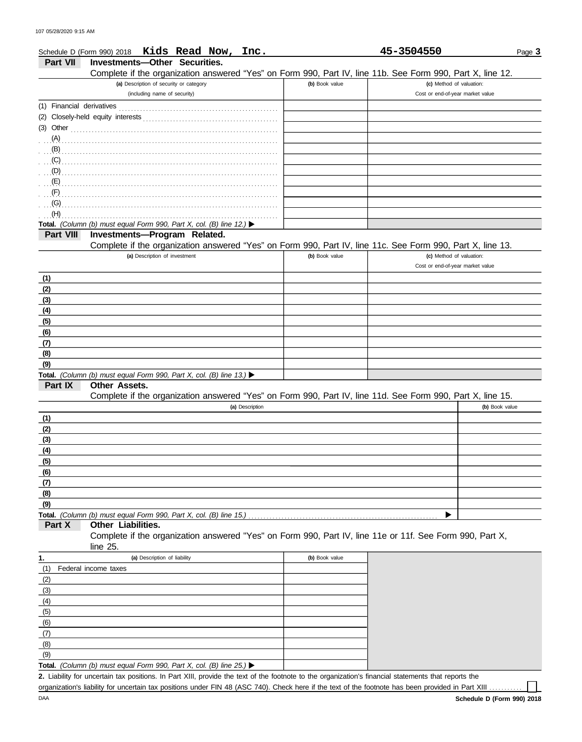|                 | Schedule D (Form 990) 2018 Kids Read Now, Inc.                                                             |                | 45-3504550                       | Page 3 |
|-----------------|------------------------------------------------------------------------------------------------------------|----------------|----------------------------------|--------|
| <b>Part VII</b> | Investments-Other Securities.                                                                              |                |                                  |        |
|                 | Complete if the organization answered "Yes" on Form 990, Part IV, line 11b. See Form 990, Part X, line 12. |                |                                  |        |
|                 | (a) Description of security or category                                                                    | (b) Book value | (c) Method of valuation:         |        |
|                 | (including name of security)                                                                               |                | Cost or end-of-year market value |        |
|                 |                                                                                                            |                |                                  |        |
|                 |                                                                                                            |                |                                  |        |
| (3) Other       |                                                                                                            |                |                                  |        |
| (A)             |                                                                                                            |                |                                  |        |
| (B)             |                                                                                                            |                |                                  |        |
| (C)             |                                                                                                            |                |                                  |        |
| (D)             |                                                                                                            |                |                                  |        |
| (E)             |                                                                                                            |                |                                  |        |
| (F)             |                                                                                                            |                |                                  |        |
| (G)             |                                                                                                            |                |                                  |        |
| (H)             |                                                                                                            |                |                                  |        |
|                 | Total. (Column (b) must equal Form 990, Part X, col. (B) line 12.) $\blacktriangleright$                   |                |                                  |        |
| Part VIII       | Investments-Program Related.                                                                               |                |                                  |        |
|                 | Complete if the organization answered "Yes" on Form 990, Part IV, line 11c. See Form 990, Part X, line 13. |                |                                  |        |
|                 | (a) Description of investment                                                                              | (b) Book value | (c) Method of valuation:         |        |
|                 |                                                                                                            |                | Cost or end-of-year market value |        |
|                 |                                                                                                            |                |                                  |        |
| (1)             |                                                                                                            |                |                                  |        |
| (2)             |                                                                                                            |                |                                  |        |
| (3)             |                                                                                                            |                |                                  |        |
| (4)             |                                                                                                            |                |                                  |        |
| (5)             |                                                                                                            |                |                                  |        |
| (6)             |                                                                                                            |                |                                  |        |
| (7)             |                                                                                                            |                |                                  |        |
| (8)             |                                                                                                            |                |                                  |        |
| (9)             |                                                                                                            |                |                                  |        |
|                 | Total. (Column (b) must equal Form 990, Part X, col. (B) line 13.)                                         |                |                                  |        |
| Part IX         | Other Assets.                                                                                              |                |                                  |        |
|                 | Complete if the organization answered "Yes" on Form 990, Part IV, line 11d. See Form 990, Part X, line 15. |                |                                  |        |
|                 | (a) Description                                                                                            |                | (b) Book value                   |        |
| (1)             |                                                                                                            |                |                                  |        |
| (2)             |                                                                                                            |                |                                  |        |
| (3)             |                                                                                                            |                |                                  |        |
| (4)             |                                                                                                            |                |                                  |        |
| (5)             |                                                                                                            |                |                                  |        |
| (6)             |                                                                                                            |                |                                  |        |
| (7)             |                                                                                                            |                |                                  |        |
| (8)             |                                                                                                            |                |                                  |        |
| (9)             |                                                                                                            |                |                                  |        |
|                 | Total. (Column (b) must equal Form 990, Part X, col. (B) line 15.)                                         |                |                                  |        |
| Part X          | Other Liabilities.                                                                                         |                |                                  |        |
|                 | Complete if the organization answered "Yes" on Form 990, Part IV, line 11e or 11f. See Form 990, Part X,   |                |                                  |        |
|                 | line 25.                                                                                                   |                |                                  |        |
| 1.              | (a) Description of liability                                                                               | (b) Book value |                                  |        |
| (1)             | Federal income taxes                                                                                       |                |                                  |        |
| (2)             |                                                                                                            |                |                                  |        |
| (3)             |                                                                                                            |                |                                  |        |
| (4)             |                                                                                                            |                |                                  |        |
| (5)             |                                                                                                            |                |                                  |        |
| (6)             |                                                                                                            |                |                                  |        |
| (7)             |                                                                                                            |                |                                  |        |
|                 |                                                                                                            |                |                                  |        |
| (8)             |                                                                                                            |                |                                  |        |
| (9)             | Total. (Column (b) must equal Form 990, Part X, col. (B) line 25.) $\blacktriangleright$                   |                |                                  |        |
|                 |                                                                                                            |                |                                  |        |

**Total.** *(Column (b) must equal Form 990, Part X, col. (B) line 25.)*   $\perp$ Liability for uncertain tax positions. In Part XIII, provide the text of the footnote to the organization's financial statements that reports the **2.**

organization's liability for uncertain tax positions under FIN 48 (ASC 740). Check here if the text of the footnote has been provided in Part XIII.

 $\perp$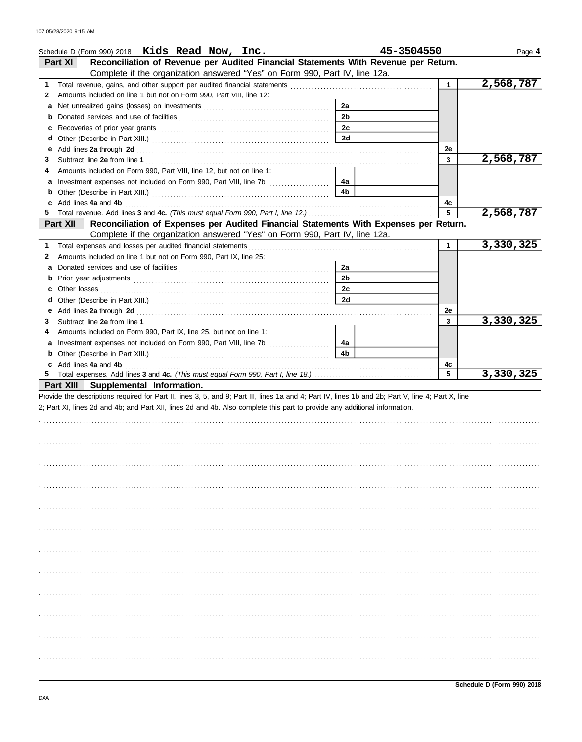|    | Schedule D (Form 990) 2018 Kids Read Now, Inc.                                                                                                                                                                                |                | 45-3504550   | Page 4    |
|----|-------------------------------------------------------------------------------------------------------------------------------------------------------------------------------------------------------------------------------|----------------|--------------|-----------|
|    | Reconciliation of Revenue per Audited Financial Statements With Revenue per Return.<br>Part XI                                                                                                                                |                |              |           |
|    | Complete if the organization answered "Yes" on Form 990, Part IV, line 12a.                                                                                                                                                   |                |              |           |
| 1  |                                                                                                                                                                                                                               |                | $\mathbf{1}$ | 2,568,787 |
| 2  | Amounts included on line 1 but not on Form 990, Part VIII, line 12:                                                                                                                                                           |                |              |           |
| a  |                                                                                                                                                                                                                               | 2a             |              |           |
| b  |                                                                                                                                                                                                                               | 2 <sub>b</sub> |              |           |
| c  |                                                                                                                                                                                                                               | 2c             |              |           |
| d  |                                                                                                                                                                                                                               | <b>2d</b>      |              |           |
| е  | Add lines 2a through 2d [11] Add [12] Add [12] Add lines 2a through 2d [12] Add lines 2a through 2d [12] Add [12] Add [12] Additional Additional Additional Additional Additional Additional Additional Additional Additional |                | 2e           |           |
| 3  |                                                                                                                                                                                                                               |                | 3            | 2,568,787 |
| 4  | Amounts included on Form 990, Part VIII, line 12, but not on line 1:                                                                                                                                                          |                |              |           |
| a  |                                                                                                                                                                                                                               | 4a             |              |           |
| b  |                                                                                                                                                                                                                               | 4b             |              |           |
| c  | Add lines 4a and 4b                                                                                                                                                                                                           |                | 4c           |           |
|    |                                                                                                                                                                                                                               |                | 5            | 2,568,787 |
|    | Reconciliation of Expenses per Audited Financial Statements With Expenses per Return.<br>Part XII<br>Complete if the organization answered "Yes" on Form 990, Part IV, line 12a.                                              |                |              |           |
| 1. |                                                                                                                                                                                                                               |                | $\mathbf 1$  | 3,330,325 |
| 2  | Amounts included on line 1 but not on Form 990, Part IX, line 25:                                                                                                                                                             |                |              |           |
|    |                                                                                                                                                                                                                               | 2a             |              |           |
| a  |                                                                                                                                                                                                                               | 2 <sub>b</sub> |              |           |
| b  |                                                                                                                                                                                                                               |                |              |           |
| c  |                                                                                                                                                                                                                               | 2с             |              |           |
| d  |                                                                                                                                                                                                                               | <b>2d</b>      |              |           |
| е  |                                                                                                                                                                                                                               |                | 2e           |           |
| 3  |                                                                                                                                                                                                                               |                | 3            | 3,330,325 |
| 4  | Amounts included on Form 990, Part IX, line 25, but not on line 1:                                                                                                                                                            |                |              |           |
| а  |                                                                                                                                                                                                                               | 4a             |              |           |
| b  |                                                                                                                                                                                                                               | 4 <sub>b</sub> |              |           |
| c  | Add lines 4a and 4b                                                                                                                                                                                                           |                | 4с<br>5      |           |
|    |                                                                                                                                                                                                                               |                |              | 3,330,325 |
|    | Part XIII<br>Supplemental Information.<br>Provide the descriptions required for Part II, lines 3, 5, and 9; Part III, lines 1a and 4; Part IV, lines 1b and 2b; Part V, line 4; Part X, line                                  |                |              |           |
|    | 2; Part XI, lines 2d and 4b; and Part XII, lines 2d and 4b. Also complete this part to provide any additional information.                                                                                                    |                |              |           |
|    |                                                                                                                                                                                                                               |                |              |           |
|    |                                                                                                                                                                                                                               |                |              |           |
|    |                                                                                                                                                                                                                               |                |              |           |
|    |                                                                                                                                                                                                                               |                |              |           |
|    |                                                                                                                                                                                                                               |                |              |           |
|    |                                                                                                                                                                                                                               |                |              |           |
|    |                                                                                                                                                                                                                               |                |              |           |
|    |                                                                                                                                                                                                                               |                |              |           |
|    |                                                                                                                                                                                                                               |                |              |           |
|    |                                                                                                                                                                                                                               |                |              |           |
|    |                                                                                                                                                                                                                               |                |              |           |
|    |                                                                                                                                                                                                                               |                |              |           |
|    |                                                                                                                                                                                                                               |                |              |           |
|    |                                                                                                                                                                                                                               |                |              |           |
|    |                                                                                                                                                                                                                               |                |              |           |
|    |                                                                                                                                                                                                                               |                |              |           |
|    |                                                                                                                                                                                                                               |                |              |           |
|    |                                                                                                                                                                                                                               |                |              |           |
|    |                                                                                                                                                                                                                               |                |              |           |
|    |                                                                                                                                                                                                                               |                |              |           |
|    |                                                                                                                                                                                                                               |                |              |           |
|    |                                                                                                                                                                                                                               |                |              |           |
|    |                                                                                                                                                                                                                               |                |              |           |
|    |                                                                                                                                                                                                                               |                |              |           |
|    |                                                                                                                                                                                                                               |                |              |           |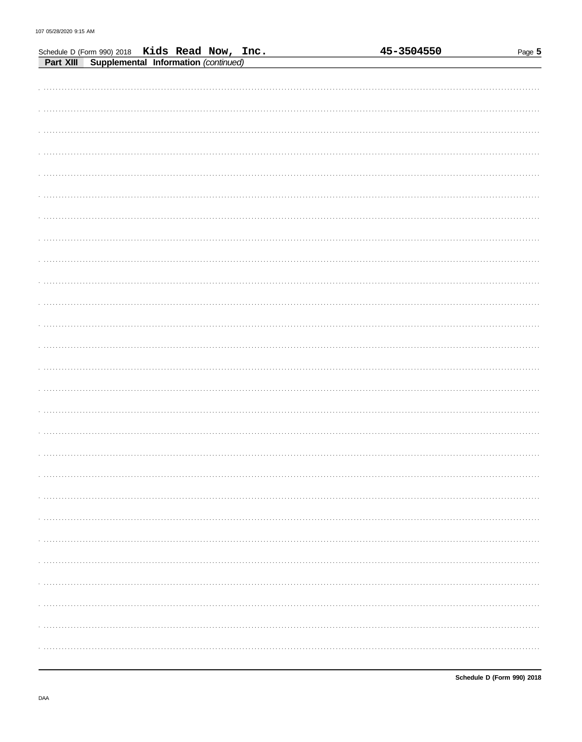|                                                                                                  |  |  |  | 45-3504550 | Page 5 |
|--------------------------------------------------------------------------------------------------|--|--|--|------------|--------|
| Schedule D (Form 990) 2018 Kids Read Now, Inc.<br>Part XIII Supplemental Information (continued) |  |  |  |            |        |
|                                                                                                  |  |  |  |            |        |
|                                                                                                  |  |  |  |            |        |
|                                                                                                  |  |  |  |            |        |
|                                                                                                  |  |  |  |            |        |
|                                                                                                  |  |  |  |            |        |
|                                                                                                  |  |  |  |            |        |
|                                                                                                  |  |  |  |            |        |
|                                                                                                  |  |  |  |            |        |
|                                                                                                  |  |  |  |            |        |
|                                                                                                  |  |  |  |            |        |
|                                                                                                  |  |  |  |            |        |
|                                                                                                  |  |  |  |            |        |
|                                                                                                  |  |  |  |            |        |
|                                                                                                  |  |  |  |            |        |
|                                                                                                  |  |  |  |            |        |
|                                                                                                  |  |  |  |            |        |
|                                                                                                  |  |  |  |            |        |
|                                                                                                  |  |  |  |            |        |
|                                                                                                  |  |  |  |            |        |
|                                                                                                  |  |  |  |            |        |
|                                                                                                  |  |  |  |            |        |
|                                                                                                  |  |  |  |            |        |
|                                                                                                  |  |  |  |            |        |
|                                                                                                  |  |  |  |            |        |
|                                                                                                  |  |  |  |            |        |
|                                                                                                  |  |  |  |            |        |
|                                                                                                  |  |  |  |            |        |
|                                                                                                  |  |  |  |            |        |
|                                                                                                  |  |  |  |            |        |
|                                                                                                  |  |  |  |            |        |
|                                                                                                  |  |  |  |            |        |
|                                                                                                  |  |  |  |            |        |
|                                                                                                  |  |  |  |            |        |
|                                                                                                  |  |  |  |            |        |
|                                                                                                  |  |  |  |            |        |
|                                                                                                  |  |  |  |            |        |
|                                                                                                  |  |  |  |            |        |
|                                                                                                  |  |  |  |            |        |
|                                                                                                  |  |  |  |            |        |
|                                                                                                  |  |  |  |            |        |
|                                                                                                  |  |  |  |            |        |
|                                                                                                  |  |  |  |            |        |
|                                                                                                  |  |  |  |            |        |
|                                                                                                  |  |  |  |            |        |
|                                                                                                  |  |  |  |            |        |
|                                                                                                  |  |  |  |            |        |
|                                                                                                  |  |  |  |            |        |
|                                                                                                  |  |  |  |            |        |
|                                                                                                  |  |  |  |            |        |
|                                                                                                  |  |  |  |            |        |
|                                                                                                  |  |  |  |            |        |
|                                                                                                  |  |  |  |            |        |
|                                                                                                  |  |  |  |            |        |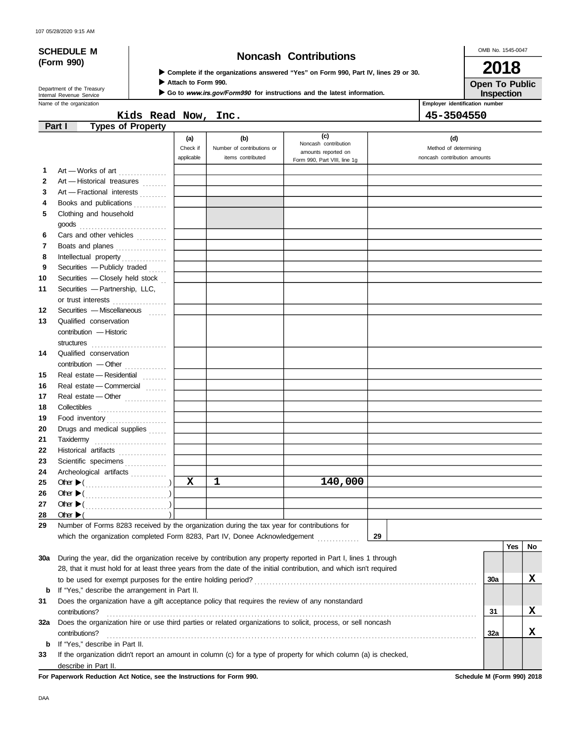# **(Form 990)**

## **SCHEDULE M Noncash Contributions**

OMB No. 1545-0047

**Open To Public 2018**

|  | ▶ Complete if the organizations answered "Yes" on Form 990, Part IV, lines 29 or 30. |  |  |  |  |
|--|--------------------------------------------------------------------------------------|--|--|--|--|
|  |                                                                                      |  |  |  |  |

**Attach to Form 990.**

Go to www.irs.gov/Form990 for instructions and the latest information.

Department of the Treasury<br>Internal Revenue Service

Name of the organization **Employer identification number Employer identification number Inspection**

**Kids Read Now, Inc. 45-3504550**

|     | <b>Types of Property</b><br>Part I                                                                                 |             |                            |                                             |                              |     |     |    |
|-----|--------------------------------------------------------------------------------------------------------------------|-------------|----------------------------|---------------------------------------------|------------------------------|-----|-----|----|
|     |                                                                                                                    | (a)         | (b)                        | (c)                                         | (d)                          |     |     |    |
|     |                                                                                                                    | Check if    | Number of contributions or | Noncash contribution<br>amounts reported on | Method of determining        |     |     |    |
|     |                                                                                                                    | applicable  | items contributed          | Form 990, Part VIII, line 1g                | noncash contribution amounts |     |     |    |
| 1   | Art - Works of art                                                                                                 |             |                            |                                             |                              |     |     |    |
| 2   | Art - Historical treasures                                                                                         |             |                            |                                             |                              |     |     |    |
| 3   | Art - Fractional interests                                                                                         |             |                            |                                             |                              |     |     |    |
| 4   | Books and publications                                                                                             |             |                            |                                             |                              |     |     |    |
| 5   | Clothing and household                                                                                             |             |                            |                                             |                              |     |     |    |
|     |                                                                                                                    |             |                            |                                             |                              |     |     |    |
| 6   | Cars and other vehicles                                                                                            |             |                            |                                             |                              |     |     |    |
| 7   | Boats and planes                                                                                                   |             |                            |                                             |                              |     |     |    |
| 8   | Intellectual property                                                                                              |             |                            |                                             |                              |     |     |    |
| 9   | Securities - Publicly traded                                                                                       |             |                            |                                             |                              |     |     |    |
| 10  | Securities - Closely held stock                                                                                    |             |                            |                                             |                              |     |     |    |
| 11  | Securities - Partnership, LLC,                                                                                     |             |                            |                                             |                              |     |     |    |
|     | or trust interests                                                                                                 |             |                            |                                             |                              |     |     |    |
| 12  | Securities - Miscellaneous                                                                                         |             |                            |                                             |                              |     |     |    |
| 13  | Qualified conservation                                                                                             |             |                            |                                             |                              |     |     |    |
|     | contribution - Historic                                                                                            |             |                            |                                             |                              |     |     |    |
|     |                                                                                                                    |             |                            |                                             |                              |     |     |    |
| 14  | Qualified conservation                                                                                             |             |                            |                                             |                              |     |     |    |
|     |                                                                                                                    |             |                            |                                             |                              |     |     |    |
| 15  | Real estate - Residential                                                                                          |             |                            |                                             |                              |     |     |    |
| 16  | Real estate - Commercial                                                                                           |             |                            |                                             |                              |     |     |    |
| 17  | Real estate - Other                                                                                                |             |                            |                                             |                              |     |     |    |
| 18  |                                                                                                                    |             |                            |                                             |                              |     |     |    |
| 19  | Food inventory                                                                                                     |             |                            |                                             |                              |     |     |    |
| 20  | Drugs and medical supplies                                                                                         |             |                            |                                             |                              |     |     |    |
| 21  |                                                                                                                    |             |                            |                                             |                              |     |     |    |
| 22  | Historical artifacts                                                                                               |             |                            |                                             |                              |     |     |    |
| 23  | Scientific specimens                                                                                               |             |                            |                                             |                              |     |     |    |
| 24  | Archeological artifacts                                                                                            |             |                            |                                             |                              |     |     |    |
| 25  |                                                                                                                    | $\mathbf x$ | 1                          | 140,000                                     |                              |     |     |    |
| 26  |                                                                                                                    |             |                            |                                             |                              |     |     |    |
| 27  |                                                                                                                    |             |                            |                                             |                              |     |     |    |
| 28  | Other $\blacktriangleright$ (                                                                                      |             |                            |                                             |                              |     |     |    |
| 29  | Number of Forms 8283 received by the organization during the tax year for contributions for                        |             |                            |                                             |                              |     |     |    |
|     | which the organization completed Form 8283, Part IV, Donee Acknowledgement                                         |             |                            |                                             | 29                           |     |     |    |
|     |                                                                                                                    |             |                            |                                             |                              |     | Yes | No |
| 30a | During the year, did the organization receive by contribution any property reported in Part I, lines 1 through     |             |                            |                                             |                              |     |     |    |
|     | 28, that it must hold for at least three years from the date of the initial contribution, and which isn't required |             |                            |                                             |                              |     |     |    |
|     |                                                                                                                    |             |                            |                                             |                              | 30a |     | x  |
| b   | If "Yes," describe the arrangement in Part II.                                                                     |             |                            |                                             |                              |     |     |    |
| 31  | Does the organization have a gift acceptance policy that requires the review of any nonstandard                    |             |                            |                                             |                              |     |     |    |
|     | contributions?                                                                                                     |             |                            |                                             |                              | 31  |     | X  |
| 32a | Does the organization hire or use third parties or related organizations to solicit, process, or sell noncash      |             |                            |                                             |                              |     |     |    |
|     | contributions?                                                                                                     |             |                            |                                             |                              | 32a |     | x  |
| b   | If "Yes," describe in Part II.                                                                                     |             |                            |                                             |                              |     |     |    |
| 33  | If the organization didn't report an amount in column (c) for a type of property for which column (a) is checked,  |             |                            |                                             |                              |     |     |    |
|     | describe in Part II.                                                                                               |             |                            |                                             |                              |     |     |    |

**For Paperwork Reduction Act Notice, see the Instructions for Form 990. Schedule M (Form 990) 2018**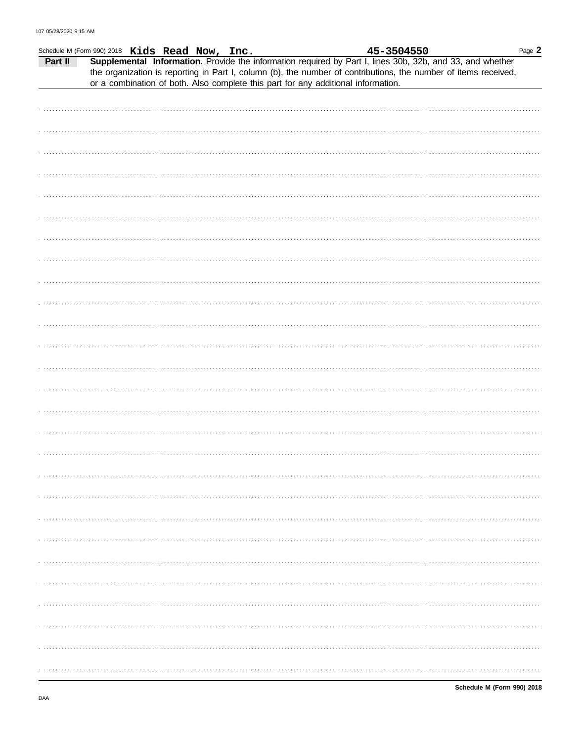|         | Schedule M (Form 990) 2018 Kids Read Now, Inc. |                                                                                                                                                                                                                              |  | 45-3504550 | Page 2 |
|---------|------------------------------------------------|------------------------------------------------------------------------------------------------------------------------------------------------------------------------------------------------------------------------------|--|------------|--------|
| Part II |                                                | Supplemental Information. Provide the information required by Part I, lines 30b, 32b, and 33, and whether<br>the organization is reporting in Part I, column (b), the number of contributions, the number of items received, |  |            |        |
|         |                                                | or a combination of both. Also complete this part for any additional information.                                                                                                                                            |  |            |        |
|         |                                                |                                                                                                                                                                                                                              |  |            |        |
|         |                                                |                                                                                                                                                                                                                              |  |            |        |
|         |                                                |                                                                                                                                                                                                                              |  |            |        |
|         |                                                |                                                                                                                                                                                                                              |  |            |        |
|         |                                                |                                                                                                                                                                                                                              |  |            |        |
|         |                                                |                                                                                                                                                                                                                              |  |            |        |
|         |                                                |                                                                                                                                                                                                                              |  |            |        |
|         |                                                |                                                                                                                                                                                                                              |  |            |        |
|         |                                                |                                                                                                                                                                                                                              |  |            |        |
|         |                                                |                                                                                                                                                                                                                              |  |            |        |
|         |                                                |                                                                                                                                                                                                                              |  |            |        |
|         |                                                |                                                                                                                                                                                                                              |  |            |        |
|         |                                                |                                                                                                                                                                                                                              |  |            |        |
|         |                                                |                                                                                                                                                                                                                              |  |            |        |
|         |                                                |                                                                                                                                                                                                                              |  |            |        |
|         |                                                |                                                                                                                                                                                                                              |  |            |        |
|         |                                                |                                                                                                                                                                                                                              |  |            |        |
|         |                                                |                                                                                                                                                                                                                              |  |            |        |
|         |                                                |                                                                                                                                                                                                                              |  |            |        |
|         |                                                |                                                                                                                                                                                                                              |  |            |        |
|         |                                                |                                                                                                                                                                                                                              |  |            |        |
|         |                                                |                                                                                                                                                                                                                              |  |            |        |
|         |                                                |                                                                                                                                                                                                                              |  |            |        |
|         |                                                |                                                                                                                                                                                                                              |  |            |        |
|         |                                                |                                                                                                                                                                                                                              |  |            |        |
|         |                                                |                                                                                                                                                                                                                              |  |            |        |
|         |                                                |                                                                                                                                                                                                                              |  |            |        |
|         |                                                |                                                                                                                                                                                                                              |  |            |        |
|         |                                                |                                                                                                                                                                                                                              |  |            |        |
|         |                                                |                                                                                                                                                                                                                              |  |            |        |
|         |                                                |                                                                                                                                                                                                                              |  |            |        |
|         |                                                |                                                                                                                                                                                                                              |  |            |        |
|         |                                                |                                                                                                                                                                                                                              |  |            |        |
|         |                                                |                                                                                                                                                                                                                              |  |            |        |
|         |                                                |                                                                                                                                                                                                                              |  |            |        |
|         |                                                |                                                                                                                                                                                                                              |  |            |        |
|         |                                                |                                                                                                                                                                                                                              |  |            |        |
|         |                                                |                                                                                                                                                                                                                              |  |            |        |
|         |                                                |                                                                                                                                                                                                                              |  |            |        |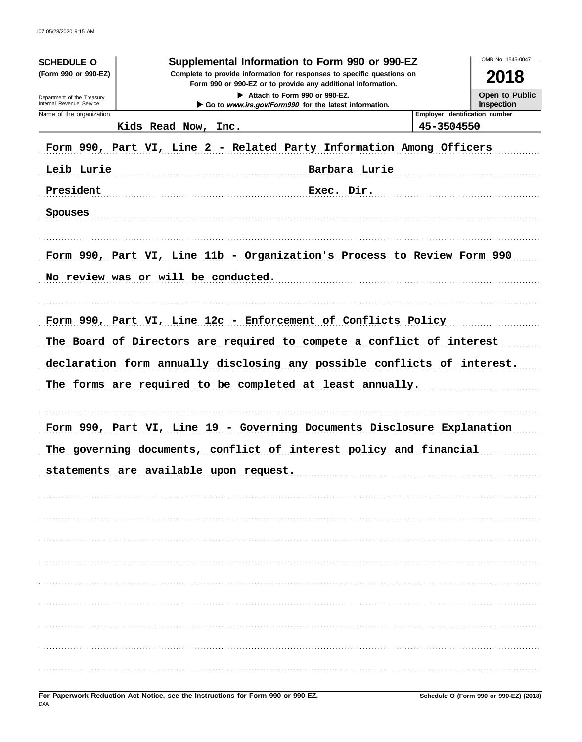| <b>SCHEDULE O</b><br>(Form 990 or 990-EZ)<br>Department of the Treasury<br>Internal Revenue Service | OMB No. 1545-0047<br>Supplemental Information to Form 990 or 990-EZ<br>Complete to provide information for responses to specific questions on<br>2018<br>Open to Public<br>Inspection |                                              |
|-----------------------------------------------------------------------------------------------------|---------------------------------------------------------------------------------------------------------------------------------------------------------------------------------------|----------------------------------------------|
| Name of the organization                                                                            | Kids Read Now, Inc.                                                                                                                                                                   | Employer identification number<br>45-3504550 |
|                                                                                                     | Form 990, Part VI, Line 2 - Related Party Information Among Officers                                                                                                                  |                                              |
| Leib Lurie                                                                                          | Barbara Lurie                                                                                                                                                                         |                                              |
| President                                                                                           | Exec. Dir.                                                                                                                                                                            |                                              |
| Spouses                                                                                             |                                                                                                                                                                                       |                                              |
|                                                                                                     | Form 990, Part VI, Line 11b - Organization's Process to Review Form 990<br>No review was or will be conducted.                                                                        |                                              |
|                                                                                                     | Form 990, Part VI, Line 12c - Enforcement of Conflicts Policy                                                                                                                         |                                              |
|                                                                                                     | The Board of Directors are required to compete a conflict of interest                                                                                                                 |                                              |
|                                                                                                     | declaration form annually disclosing any possible conflicts of interest.                                                                                                              |                                              |
|                                                                                                     | The forms are required to be completed at least annually.                                                                                                                             |                                              |
|                                                                                                     | Form 990, Part VI, Line 19 - Governing Documents Disclosure Explanation<br>The governing documents, conflict of interest policy and financial                                         |                                              |
|                                                                                                     | statements are available upon request.                                                                                                                                                |                                              |
|                                                                                                     |                                                                                                                                                                                       |                                              |
|                                                                                                     |                                                                                                                                                                                       |                                              |
|                                                                                                     |                                                                                                                                                                                       |                                              |
|                                                                                                     |                                                                                                                                                                                       |                                              |
|                                                                                                     |                                                                                                                                                                                       |                                              |
|                                                                                                     |                                                                                                                                                                                       |                                              |
|                                                                                                     |                                                                                                                                                                                       |                                              |
|                                                                                                     |                                                                                                                                                                                       |                                              |
|                                                                                                     |                                                                                                                                                                                       |                                              |